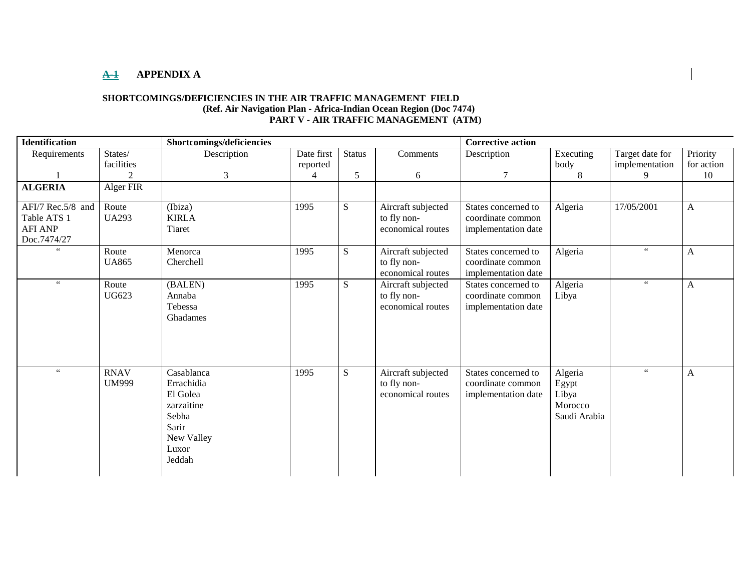## **A-1 APPENDIX A**

### **SHORTCOMINGS/DEFICIENCIES IN THE AIR TRAFFIC MANAGEMENT FIELD (Ref. Air Navigation Plan - Africa-Indian Ocean Region (Doc 7474) PART V - AIR TRAFFIC MANAGEMENT (ATM)**

| <b>Identification</b> |                | Shortcomings/deficiencies |            |               |                    | <b>Corrective action</b> |                      |                      |              |
|-----------------------|----------------|---------------------------|------------|---------------|--------------------|--------------------------|----------------------|----------------------|--------------|
| Requirements          | States/        | Description               | Date first | <b>Status</b> | Comments           | Description              | Executing            | Target date for      | Priority     |
|                       | facilities     |                           | reported   |               |                    |                          | body                 | implementation       | for action   |
|                       | $\overline{2}$ | 3                         | 4          | 5             | 6                  | 7                        | 8                    | 9                    | 10           |
| <b>ALGERIA</b>        | Alger FIR      |                           |            |               |                    |                          |                      |                      |              |
| AFI/7 Rec.5/8 and     | Route          | (Ibiza)                   | 1995       | S             | Aircraft subjected | States concerned to      | $Algeri\overline{a}$ | 17/05/2001           | A            |
| Table ATS 1           | <b>UA293</b>   | <b>KIRLA</b>              |            |               | to fly non-        | coordinate common        |                      |                      |              |
| <b>AFI ANP</b>        |                | Tiaret                    |            |               | economical routes  | implementation date      |                      |                      |              |
| Doc.7474/27           |                |                           |            |               |                    |                          |                      |                      |              |
| $\,$ 6 $\,$           | Route          | Menorca                   | 1995       | ${\bf S}$     | Aircraft subjected | States concerned to      | Algeria              | $\epsilon\,\epsilon$ | A            |
|                       | <b>UA865</b>   | Cherchell                 |            |               | to fly non-        | coordinate common        |                      |                      |              |
|                       |                |                           |            |               | economical routes  | implementation date      |                      |                      |              |
| $\,$ 6 $\,$           | Route          | (BALEN)                   | 1995       | S             | Aircraft subjected | States concerned to      | Algeria              | $\epsilon\,\epsilon$ | A            |
|                       | <b>UG623</b>   | Annaba                    |            |               | to fly non-        | coordinate common        | Libya                |                      |              |
|                       |                | Tebessa                   |            |               | economical routes  | implementation date      |                      |                      |              |
|                       |                | Ghadames                  |            |               |                    |                          |                      |                      |              |
|                       |                |                           |            |               |                    |                          |                      |                      |              |
|                       |                |                           |            |               |                    |                          |                      |                      |              |
|                       |                |                           |            |               |                    |                          |                      |                      |              |
| $\epsilon\,\epsilon$  | <b>RNAV</b>    | Casablanca                | 1995       | S             | Aircraft subjected | States concerned to      | Algeria              | $\epsilon\,\epsilon$ | $\mathbf{A}$ |
|                       | <b>UM999</b>   | Errachidia                |            |               | to fly non-        | coordinate common        |                      |                      |              |
|                       |                | El Golea                  |            |               | economical routes  | implementation date      | Egypt<br>Libya       |                      |              |
|                       |                | zarzaitine                |            |               |                    |                          | Morocco              |                      |              |
|                       |                | Sebha                     |            |               |                    |                          | Saudi Arabia         |                      |              |
|                       |                | Sarir                     |            |               |                    |                          |                      |                      |              |
|                       |                | New Valley                |            |               |                    |                          |                      |                      |              |
|                       |                | Luxor                     |            |               |                    |                          |                      |                      |              |
|                       |                | Jeddah                    |            |               |                    |                          |                      |                      |              |
|                       |                |                           |            |               |                    |                          |                      |                      |              |
|                       |                |                           |            |               |                    |                          |                      |                      |              |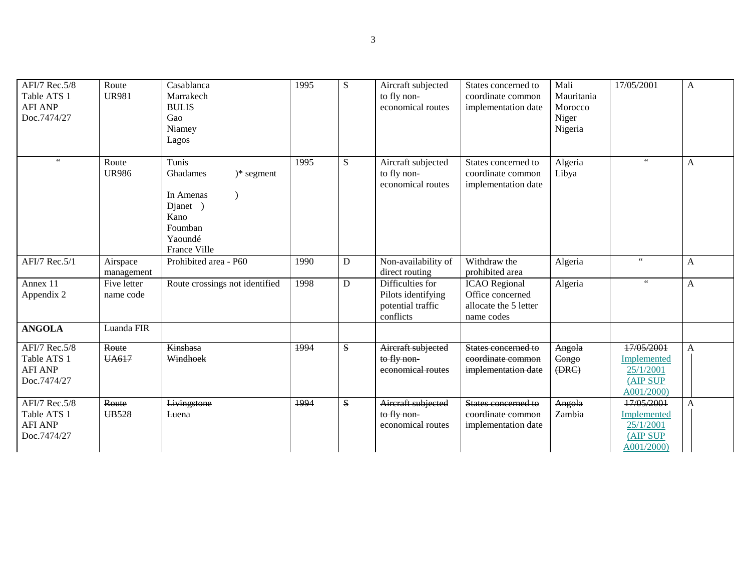| AFI/7 Rec.5/8<br>Table ATS 1<br><b>AFI ANP</b><br>Doc.7474/27 | Route<br><b>UR981</b>    | Casablanca<br>Marrakech<br><b>BULIS</b><br>Gao<br>Niamey<br>Lagos                                               | 1995 | S           | Aircraft subjected<br>to fly non-<br>economical routes                   | States concerned to<br>coordinate common<br>implementation date                 | Mali<br>Mauritania<br>Morocco<br>Niger<br>Nigeria | 17/05/2001                                                       | $\mathbf{A}$   |
|---------------------------------------------------------------|--------------------------|-----------------------------------------------------------------------------------------------------------------|------|-------------|--------------------------------------------------------------------------|---------------------------------------------------------------------------------|---------------------------------------------------|------------------------------------------------------------------|----------------|
| $\zeta$ $\zeta$                                               | Route<br><b>UR986</b>    | Tunis<br>Ghadames<br>$)*$ segment<br>In Amenas<br>Djanet )<br>Kano<br>Foumban<br>Yaoundé<br><b>France Ville</b> | 1995 | S           | Aircraft subjected<br>to fly non-<br>economical routes                   | States concerned to<br>coordinate common<br>implementation date                 | Algeria<br>Libya                                  | $66$                                                             | A              |
| AFI/7 Rec.5/1                                                 | Airspace<br>management   | Prohibited area - P60                                                                                           | 1990 | $\mathbf D$ | Non-availability of<br>direct routing                                    | Withdraw the<br>prohibited area                                                 | Algeria                                           | $\zeta\,\zeta$                                                   | A              |
| Annex 11<br>Appendix 2                                        | Five letter<br>name code | Route crossings not identified                                                                                  | 1998 | $\mathbf D$ | Difficulties for<br>Pilots identifying<br>potential traffic<br>conflicts | <b>ICAO</b> Regional<br>Office concerned<br>allocate the 5 letter<br>name codes | Algeria                                           | $\epsilon$ $\epsilon$                                            | $\overline{A}$ |
| <b>ANGOLA</b>                                                 | Luanda FIR               |                                                                                                                 |      |             |                                                                          |                                                                                 |                                                   |                                                                  |                |
| AFI/7 Rec.5/8<br>Table ATS 1<br><b>AFI ANP</b><br>Doc.7474/27 | Route<br><b>UA617</b>    | <b>Kinshasa</b><br>Windhoek                                                                                     | 1994 | ${\bf S}$   | Aircraft subjected<br>to fly non-<br>economical routes                   | States concerned to<br>coordinate common<br>implementation date                 | Angola<br>Congo<br>(BRC)                          | 17/05/2001<br>Implemented<br>25/1/2001<br>(AIP SUP<br>A001/2000) | A              |
| AFI/7 Rec.5/8<br>Table ATS 1<br><b>AFI ANP</b><br>Doc.7474/27 | Route<br><b>UB528</b>    | Livingstone<br>Luena                                                                                            | 1994 | S           | Aircraft subjected<br>to fly non-<br>economical routes                   | States concerned to<br>coordinate common<br>implementation date                 | Angola<br>Zambia                                  | 17/05/2001<br>Implemented<br>25/1/2001<br>(AIP SUP<br>A001/2000) | $\overline{A}$ |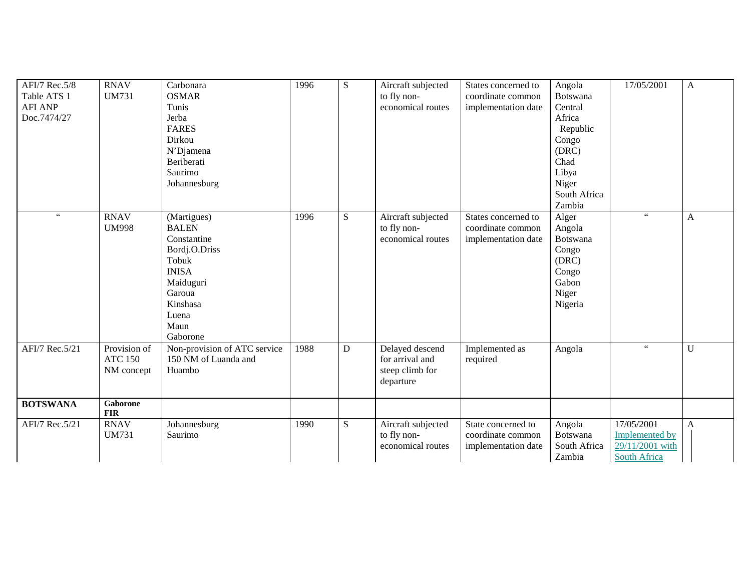| AFI/7 Rec.5/8<br>Table ATS 1<br><b>AFI ANP</b><br>Doc.7474/27 | <b>RNAV</b><br><b>UM731</b>                  | Carbonara<br><b>OSMAR</b><br>Tunis<br>Jerba<br><b>FARES</b><br>Dirkou<br>N'Djamena<br>Beriberati<br>Saurimo<br>Johannesburg                          | 1996 | ${\bf S}$   | Aircraft subjected<br>to fly non-<br>economical routes             | States concerned to<br>coordinate common<br>implementation date | Angola<br><b>Botswana</b><br>Central<br>Africa<br>Republic<br>Congo<br>(DRC)<br>Chad<br>Libya<br>Niger<br>South Africa<br>Zambia | 17/05/2001                                                             | $\mathbf{A}$ |
|---------------------------------------------------------------|----------------------------------------------|------------------------------------------------------------------------------------------------------------------------------------------------------|------|-------------|--------------------------------------------------------------------|-----------------------------------------------------------------|----------------------------------------------------------------------------------------------------------------------------------|------------------------------------------------------------------------|--------------|
| $\epsilon\,\epsilon$                                          | <b>RNAV</b><br><b>UM998</b>                  | (Martigues)<br><b>BALEN</b><br>Constantine<br>Bordj.O.Driss<br>Tobuk<br><b>INISA</b><br>Maiduguri<br>Garoua<br>Kinshasa<br>Luena<br>Maun<br>Gaborone | 1996 | ${\bf S}$   | Aircraft subjected<br>to fly non-<br>economical routes             | States concerned to<br>coordinate common<br>implementation date | Alger<br>Angola<br><b>Botswana</b><br>Congo<br>(DRC)<br>Congo<br>Gabon<br>Niger<br>Nigeria                                       | $\zeta\,\zeta$                                                         | $\mathbf{A}$ |
| AFI/7 Rec.5/21                                                | Provision of<br><b>ATC 150</b><br>NM concept | Non-provision of ATC service<br>150 NM of Luanda and<br>Huambo                                                                                       | 1988 | $\mathbf D$ | Delayed descend<br>for arrival and<br>steep climb for<br>departure | Implemented as<br>required                                      | Angola                                                                                                                           | $\zeta$ $\zeta$                                                        | U            |
| <b>BOTSWANA</b>                                               | Gaborone<br><b>FIR</b>                       |                                                                                                                                                      |      |             |                                                                    |                                                                 |                                                                                                                                  |                                                                        |              |
| AFI/7 Rec.5/21                                                | <b>RNAV</b><br><b>UM731</b>                  | Johannesburg<br>Saurimo                                                                                                                              | 1990 | S           | Aircraft subjected<br>to fly non-<br>economical routes             | State concerned to<br>coordinate common<br>implementation date  | Angola<br>Botswana<br>South Africa<br>Zambia                                                                                     | 17/05/2001<br><b>Implemented by</b><br>29/11/2001 with<br>South Africa | A            |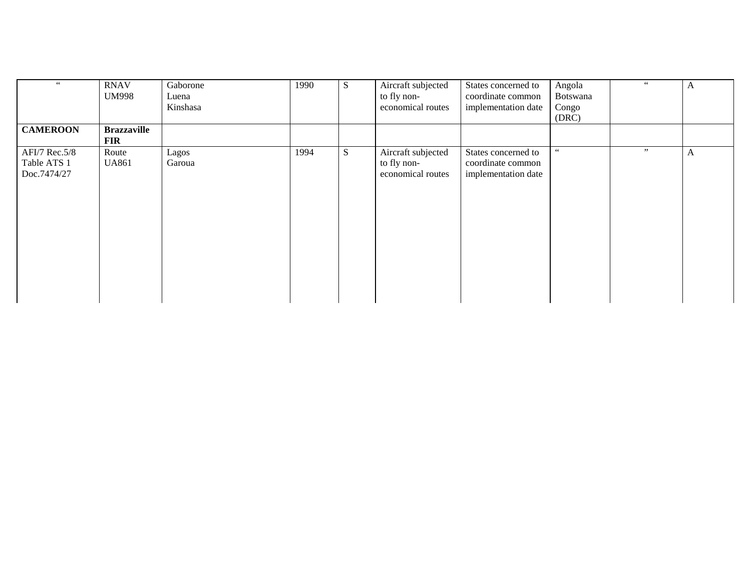| $66\,$                                      | <b>RNAV</b><br><b>UM998</b>      | Gaborone<br>Luena<br>Kinshasa | 1990 | S | Aircraft subjected<br>to fly non-<br>economical routes | States concerned to<br>coordinate common<br>implementation date | Angola<br>Botswana<br>Congo<br>(DRC) | 66 | A |
|---------------------------------------------|----------------------------------|-------------------------------|------|---|--------------------------------------------------------|-----------------------------------------------------------------|--------------------------------------|----|---|
| <b>CAMEROON</b>                             | <b>Brazzaville</b><br><b>FIR</b> |                               |      |   |                                                        |                                                                 |                                      |    |   |
| AFI/7 Rec.5/8<br>Table ATS 1<br>Doc.7474/27 | Route<br><b>UA861</b>            | Lagos<br>Garoua               | 1994 | S | Aircraft subjected<br>to fly non-<br>economical routes | States concerned to<br>coordinate common<br>implementation date | 66                                   | ,, | A |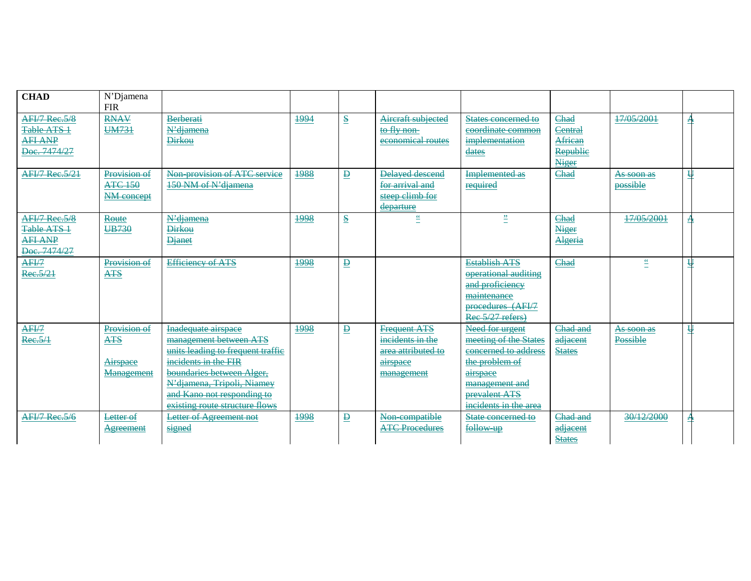| <b>CHAD</b>           | N'Djamena        |                                   |      |                                      |                                 |                       |                |                      |                         |  |
|-----------------------|------------------|-----------------------------------|------|--------------------------------------|---------------------------------|-----------------------|----------------|----------------------|-------------------------|--|
|                       | <b>FIR</b>       |                                   |      |                                      |                                 |                       |                |                      |                         |  |
| <b>AFI/7 Rec.5/8</b>  | <b>RNAV</b>      | Berberati                         | 1994 | $\mathbf{s}$                         | Aircraft subjected              | States concerned to   | Chad           | 17/05/2001           | $\mathbf{A}$            |  |
| Table ATS 1           | <b>UM731</b>     | N'diamena                         |      |                                      | to fly non-                     | coordinate common     | <b>Central</b> |                      |                         |  |
| <b>AFI ANP</b>        |                  | <b>Dirkou</b>                     |      |                                      | economical routes               | implementation        | African        |                      |                         |  |
| Doc. 7474/27          |                  |                                   |      |                                      |                                 | dates                 | Republic       |                      |                         |  |
|                       |                  |                                   |      |                                      |                                 |                       | Niger          |                      |                         |  |
| <b>AFI/7 Rec.5/21</b> | Provision of     | Non provision of ATC service      | 1988 | $\overline{P}$                       | Delayed descend                 | <b>Implemented as</b> | Chad           | As soon as           | $\overline{\mathsf{H}}$ |  |
|                       | <b>ATC 150</b>   | 150 NM of N'djamena               |      |                                      | for arrival and                 | required              |                | possible             |                         |  |
|                       | NM concept       |                                   |      |                                      | steep climb for                 |                       |                |                      |                         |  |
|                       |                  |                                   |      |                                      | departure                       |                       |                |                      |                         |  |
| <b>AFI/7 Rec.5/8</b>  | Route            | N'diamena                         | 1998 | $\underline{\underline{\mathbf{S}}}$ | $\stackrel{\leftrightarrow}{=}$ | $\stackrel{12}{=}$    | Chad           | 17/05/2001           | $\mathbf{A}$            |  |
| Table ATS 1           | UB730            | <b>Dirkou</b>                     |      |                                      |                                 |                       | Niger          |                      |                         |  |
| <b>AFI ANP</b>        |                  | <b>Djanet</b>                     |      |                                      |                                 |                       | Algeria        |                      |                         |  |
| Doc. 7474/27          |                  |                                   |      |                                      |                                 |                       |                |                      |                         |  |
| AFI/7                 | Provision of     | <b>Efficiency of ATS</b>          | 1998 | $\overline{\mathbf{B}}$              |                                 | <b>Establish ATS</b>  | Chad           | $\tilde{\mathbf{e}}$ | $\overline{\mathsf{H}}$ |  |
| Rec.5/21              | $ATS$            |                                   |      |                                      |                                 | operational auditing  |                |                      |                         |  |
|                       |                  |                                   |      |                                      |                                 | and proficiency       |                |                      |                         |  |
|                       |                  |                                   |      |                                      |                                 | maintenance           |                |                      |                         |  |
|                       |                  |                                   |      |                                      |                                 | procedures (AFI/7     |                |                      |                         |  |
|                       |                  |                                   |      |                                      |                                 | Rec 5/27 refers)      |                |                      |                         |  |
| AFI/7                 | Provision of     | Inadequate airspace               | 1998 | $\overline{\mathbf{P}}$              | <b>Frequent ATS</b>             | Need for urgent       | Chad and       | As soon as           | $\overline{\mathbf{H}}$ |  |
| Ree.5/1               | <b>ATS</b>       | management between ATS            |      |                                      | incidents in the                | meeting of the States | adjacent       | Possible             |                         |  |
|                       |                  | units leading to frequent traffic |      |                                      | area attributed to              | concerned to address  | <b>States</b>  |                      |                         |  |
|                       | Airspace         | incidents in the FIR              |      |                                      | airspace                        | the problem of        |                |                      |                         |  |
|                       | Management       | boundaries between Alger,         |      |                                      | management                      | airspace              |                |                      |                         |  |
|                       |                  | N'djamena, Tripoli, Niamey        |      |                                      |                                 | management and        |                |                      |                         |  |
|                       |                  | and Kano not responding to        |      |                                      |                                 | prevalent ATS         |                |                      |                         |  |
|                       |                  | existing route structure flows    |      |                                      |                                 | incidents in the area |                |                      |                         |  |
| <b>AFI/7 Rec.5/6</b>  | Letter of        | <b>Letter of Agreement not</b>    | 1998 | $\overline{P}$                       | Non compatible                  | State concerned to    | Chad and       | 30/12/2000           | $\mathbf{A}$            |  |
|                       | <b>Agreement</b> | signed                            |      |                                      | <b>ATC Procedures</b>           | follow up             | adjacent       |                      |                         |  |
|                       |                  |                                   |      |                                      |                                 |                       | <b>States</b>  |                      |                         |  |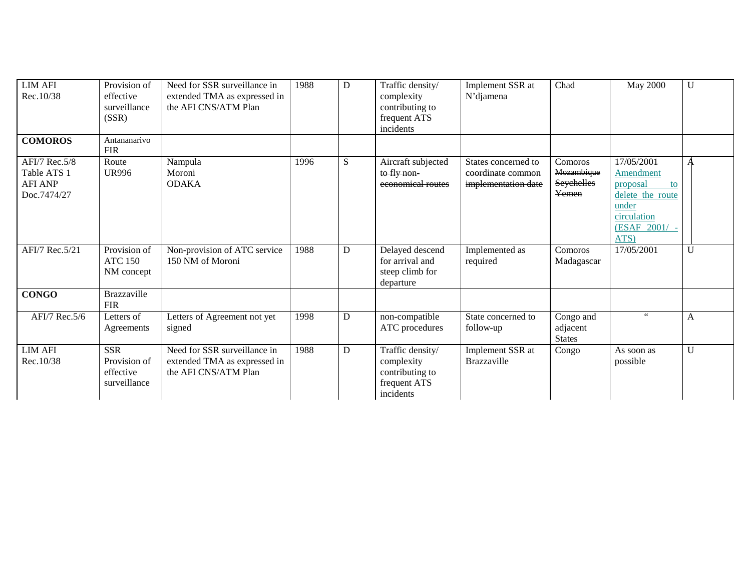| <b>LIM AFI</b><br>Rec.10/38                                   | Provision of<br>effective<br>surveillance<br>(SSR)      | Need for SSR surveillance in<br>extended TMA as expressed in<br>the AFI CNS/ATM Plan | 1988 | D | Traffic density/<br>complexity<br>contributing to<br>frequent ATS<br>incidents | Implement SSR at<br>N'djamena                                   | Chad                                         | <b>May 2000</b>                                                                                                | $\mathbf{U}$ |
|---------------------------------------------------------------|---------------------------------------------------------|--------------------------------------------------------------------------------------|------|---|--------------------------------------------------------------------------------|-----------------------------------------------------------------|----------------------------------------------|----------------------------------------------------------------------------------------------------------------|--------------|
| <b>COMOROS</b>                                                | Antananarivo<br><b>FIR</b>                              |                                                                                      |      |   |                                                                                |                                                                 |                                              |                                                                                                                |              |
| AFI/7 Rec.5/8<br>Table ATS 1<br><b>AFI ANP</b><br>Doc.7474/27 | Route<br><b>UR996</b>                                   | Nampula<br>Moroni<br><b>ODAKA</b>                                                    | 1996 | S | Aircraft subjected<br>to fly non-<br>economical routes                         | States concerned to<br>coordinate common<br>implementation date | Comoros<br>Mozambique<br>Seychelles<br>Yemen | 17/05/2001<br>Amendment<br>proposal<br>to<br>delete the route<br>under<br>circulation<br>(ESAF 2001/ -<br>ATS) |              |
| AFI/7 Rec.5/21                                                | Provision of<br><b>ATC 150</b><br>NM concept            | Non-provision of ATC service<br>150 NM of Moroni                                     | 1988 | D | Delayed descend<br>for arrival and<br>steep climb for<br>departure             | Implemented as<br>required                                      | Comoros<br>Madagascar                        | 17/05/2001                                                                                                     | $\mathbf{U}$ |
| <b>CONGO</b>                                                  | <b>Brazzaville</b><br><b>FIR</b>                        |                                                                                      |      |   |                                                                                |                                                                 |                                              |                                                                                                                |              |
| AFI/7 Rec.5/6                                                 | Letters of<br>Agreements                                | Letters of Agreement not yet<br>signed                                               | 1998 | D | non-compatible<br>ATC procedures                                               | State concerned to<br>follow-up                                 | Congo and<br>adjacent<br><b>States</b>       | $\epsilon$ $\epsilon$                                                                                          | A            |
| $LIM$ $A\overline{FI}$<br>Rec.10/38                           | <b>SSR</b><br>Provision of<br>effective<br>surveillance | Need for SSR surveillance in<br>extended TMA as expressed in<br>the AFI CNS/ATM Plan | 1988 | D | Traffic density/<br>complexity<br>contributing to<br>frequent ATS<br>incidents | Implement SSR at<br><b>Brazzaville</b>                          | Congo                                        | As soon as<br>possible                                                                                         | U            |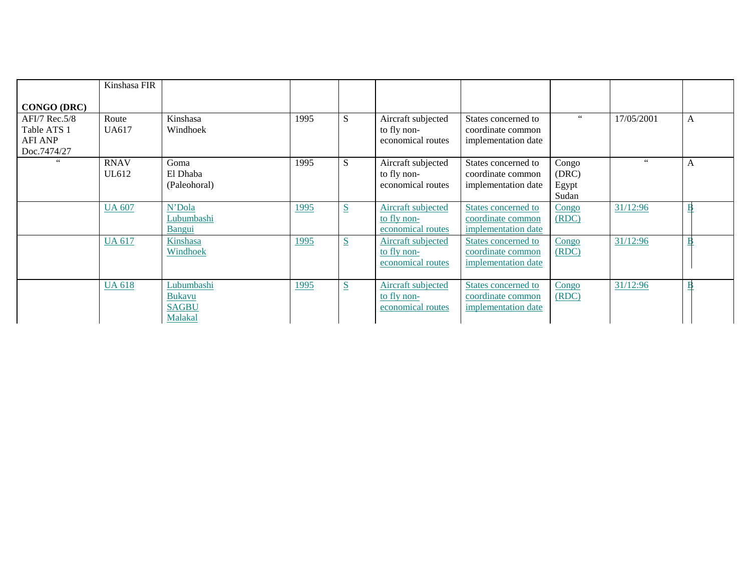|                                                               | Kinshasa FIR                |                                                        |      |   |                                                               |                                                                 |                                  |                      |              |
|---------------------------------------------------------------|-----------------------------|--------------------------------------------------------|------|---|---------------------------------------------------------------|-----------------------------------------------------------------|----------------------------------|----------------------|--------------|
| <b>CONGO (DRC)</b>                                            |                             |                                                        |      |   |                                                               |                                                                 |                                  |                      |              |
| AFI/7 Rec.5/8<br>Table ATS 1<br><b>AFI ANP</b><br>Doc.7474/27 | Route<br><b>UA617</b>       | Kinshasa<br>Windhoek                                   | 1995 | S | Aircraft subjected<br>to fly non-<br>economical routes        | States concerned to<br>coordinate common<br>implementation date | 66                               | 17/05/2001           | $\mathbf{A}$ |
| 66                                                            | <b>RNAV</b><br><b>UL612</b> | Goma<br>El Dhaba<br>(Paleohoral)                       | 1995 | S | Aircraft subjected<br>to fly non-<br>economical routes        | States concerned to<br>coordinate common<br>implementation date | Congo<br>(DRC)<br>Egypt<br>Sudan | $\epsilon\,\epsilon$ | A            |
|                                                               | <b>UA 607</b>               | N'Dola<br>Lubumbashi<br><b>Bangui</b>                  | 1995 | S | Aircraft subjected<br>to fly non-<br>economical routes        | States concerned to<br>coordinate common<br>implementation date | Congo<br>(RDC)                   | 31/12:96             |              |
|                                                               | <b>UA 617</b>               | Kinshasa<br>Windhoek                                   | 1995 | S | Aircraft subjected<br>to fly non-<br>economical routes        | States concerned to<br>coordinate common<br>implementation date | Congo<br>(RDC)                   | 31/12:96             |              |
|                                                               | <b>UA 618</b>               | Lubumbashi<br><b>Bukavu</b><br><b>SAGBU</b><br>Malakal | 1995 | S | <b>Aircraft subjected</b><br>to fly non-<br>economical routes | States concerned to<br>coordinate common<br>implementation date | Congo<br>(RDC)                   | 31/12:96             |              |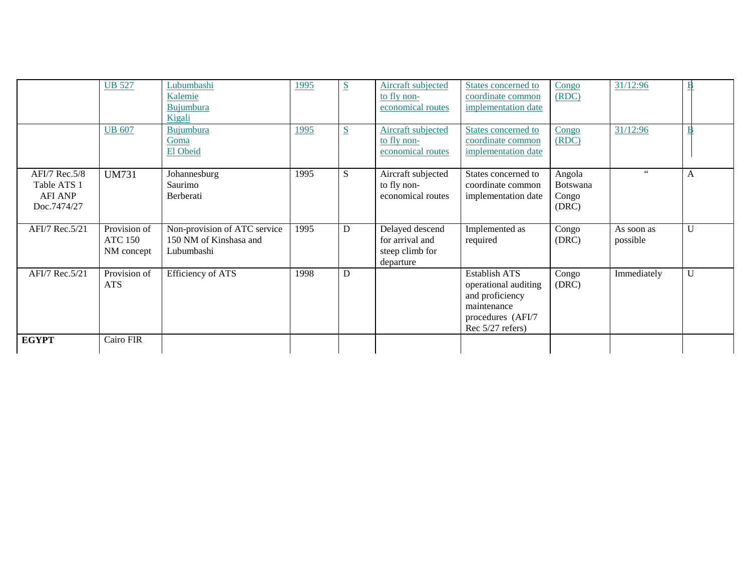|                                                               | <b>UB 527</b><br><b>UB 607</b>               | Lubumbashi<br>Kalemie<br><b>Bujumbura</b><br>Kigali<br>Bujumbura<br>Goma<br>El Obeid | 1995<br>1995 | S<br>$S_{\mathbf{r}}$ | <b>Aircraft</b> subjected<br>to fly non-<br>economical routes<br>Aircraft subjected<br>to fly non-<br>economical routes | States concerned to<br>coordinate common<br>implementation date<br>States concerned to<br>coordinate common<br>implementation date | Congo<br>(RDC)<br>Congo<br>(RDC)            | 31/12:96<br>31/12:96   | E            |
|---------------------------------------------------------------|----------------------------------------------|--------------------------------------------------------------------------------------|--------------|-----------------------|-------------------------------------------------------------------------------------------------------------------------|------------------------------------------------------------------------------------------------------------------------------------|---------------------------------------------|------------------------|--------------|
| AFI/7 Rec.5/8<br>Table ATS 1<br><b>AFI ANP</b><br>Doc.7474/27 | <b>UM731</b>                                 | Johannesburg<br>Saurimo<br>Berberati                                                 | 1995         | S                     | Aircraft subjected<br>to fly non-<br>economical routes                                                                  | States concerned to<br>coordinate common<br>implementation date                                                                    | Angola<br><b>Botswana</b><br>Congo<br>(DRC) | $66$                   | $\mathbf{A}$ |
| AFI/7 Rec.5/21                                                | Provision of<br><b>ATC 150</b><br>NM concept | Non-provision of ATC service<br>150 NM of Kinshasa and<br>Lubumbashi                 | 1995         | D                     | Delayed descend<br>for arrival and<br>steep climb for<br>departure                                                      | Implemented as<br>required                                                                                                         | Congo<br>(DRC)                              | As soon as<br>possible | $\mathbf{U}$ |
| AFI/7 Rec.5/21                                                | Provision of<br><b>ATS</b>                   | <b>Efficiency of ATS</b>                                                             | 1998         | D                     |                                                                                                                         | Establish ATS<br>operational auditing<br>and proficiency<br>maintenance<br>procedures (AFI/7<br>Rec $5/27$ refers)                 | Congo<br>(DRC)                              | Immediately            | U            |
| <b>EGYPT</b>                                                  | Cairo FIR                                    |                                                                                      |              |                       |                                                                                                                         |                                                                                                                                    |                                             |                        |              |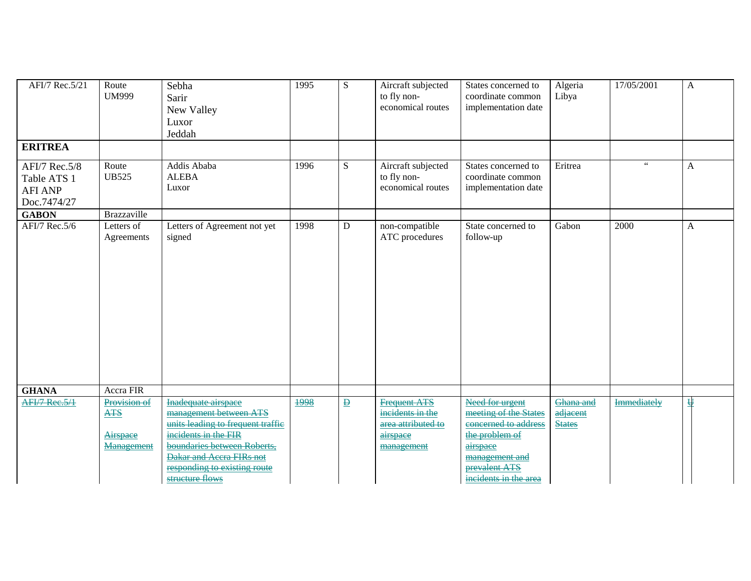| AFI/7 Rec.5/21<br><b>ERITREA</b>                              | Route<br><b>UM999</b>                | Sebha<br>Sarir<br>New Valley<br>Luxor<br>Jeddah                                                                                                                                                   | 1995 | ${\bf S}$               | Aircraft subjected<br>to fly non-<br>economical routes           | States concerned to<br>coordinate common<br>implementation date                                                                         | Algeria<br>Libya          | 17/05/2001           | A |
|---------------------------------------------------------------|--------------------------------------|---------------------------------------------------------------------------------------------------------------------------------------------------------------------------------------------------|------|-------------------------|------------------------------------------------------------------|-----------------------------------------------------------------------------------------------------------------------------------------|---------------------------|----------------------|---|
| AFI/7 Rec.5/8<br>Table ATS 1<br><b>AFI ANP</b><br>Doc.7474/27 | Route<br><b>UB525</b>                | Addis Ababa<br><b>ALEBA</b><br>Luxor                                                                                                                                                              | 1996 | ${\bf S}$               | Aircraft subjected<br>to fly non-<br>economical routes           | States concerned to<br>coordinate common<br>implementation date                                                                         | Eritrea                   | $\epsilon\,\epsilon$ | A |
| <b>GABON</b><br>AFI/7 Rec.5/6                                 | <b>Brazzaville</b><br>Letters of     | Letters of Agreement not yet                                                                                                                                                                      | 1998 | ${\bf D}$               | non-compatible                                                   | State concerned to                                                                                                                      | Gabon                     | 2000                 | A |
| <b>GHANA</b>                                                  | Agreements<br>Accra FIR              | signed                                                                                                                                                                                            |      |                         | ATC procedures                                                   | follow-up                                                                                                                               |                           |                      |   |
| AFI/7 Rec.5/1                                                 | Provision of                         | Inadequate airspace                                                                                                                                                                               | 1998 | $\overline{\mathbf{P}}$ | <b>Frequent ATS</b>                                              | Need for urgent                                                                                                                         | Ghana and                 | Immediately          | 판 |
|                                                               | <b>ATS</b><br>Airspace<br>Management | management between ATS<br>units leading to frequent traffic<br>incidents in the FIR<br>boundaries between Roberts,<br>Dakar and Accra FIRs not<br>responding to existing route<br>structure flows |      |                         | incidents in the<br>area attributed to<br>airspace<br>management | meeting of the States<br>concerned to address<br>the problem of<br>airspace<br>management and<br>prevalent ATS<br>incidents in the area | adjacent<br><b>States</b> |                      |   |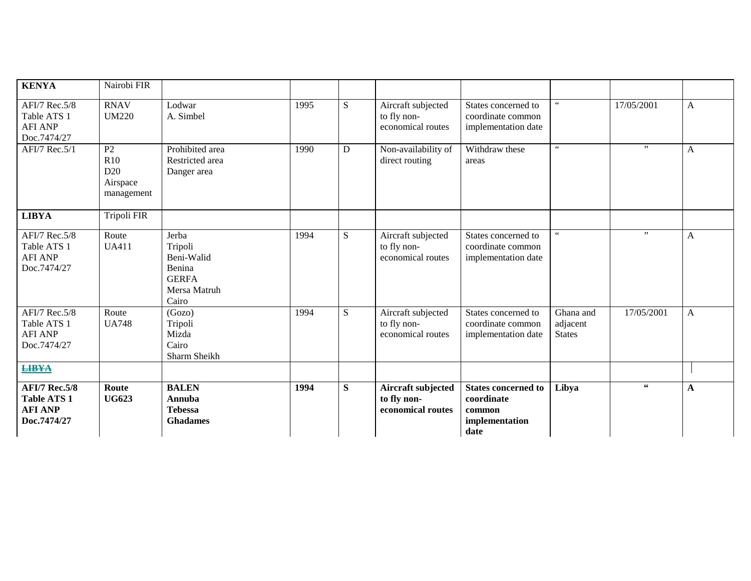| <b>KENYA</b>                                                                | Nairobi FIR                                             |                                                                                   |      |           |                                                        |                                                                              |                                        |                                                    |              |
|-----------------------------------------------------------------------------|---------------------------------------------------------|-----------------------------------------------------------------------------------|------|-----------|--------------------------------------------------------|------------------------------------------------------------------------------|----------------------------------------|----------------------------------------------------|--------------|
| AFI/7 Rec.5/8<br>Table ATS 1<br><b>AFI ANP</b><br>Doc.7474/27               | <b>RNAV</b><br><b>UM220</b>                             | Lodwar<br>A. Simbel                                                               | 1995 | S         | Aircraft subjected<br>to fly non-<br>economical routes | States concerned to<br>coordinate common<br>implementation date              | $66$                                   | 17/05/2001                                         | A            |
| AFI/7 Rec.5/1                                                               | $\overline{P2}$<br>R10<br>D20<br>Airspace<br>management | Prohibited area<br>Restricted area<br>Danger area                                 | 1990 | ${\bf D}$ | Non-availability of<br>direct routing                  | Withdraw these<br>areas                                                      | $\zeta\,\zeta$                         | , ,                                                | $\mathbf{A}$ |
| <b>LIBYA</b>                                                                | Tripoli FIR                                             |                                                                                   |      |           |                                                        |                                                                              |                                        |                                                    |              |
| AFI/7 Rec.5/8<br>Table ATS 1<br><b>AFI ANP</b><br>Doc.7474/27               | Route<br><b>UA411</b>                                   | Jerba<br>Tripoli<br>Beni-Walid<br>Benina<br><b>GERFA</b><br>Mersa Matruh<br>Cairo | 1994 | S         | Aircraft subjected<br>to fly non-<br>economical routes | States concerned to<br>coordinate common<br>implementation date              | $66$                                   | , ,                                                | $\mathbf{A}$ |
| AFI/7 Rec.5/8<br>Table ATS 1<br><b>AFI ANP</b><br>Doc.7474/27               | Route<br><b>UA748</b>                                   | $\overline{(\text{Gozo})}$<br>Tripoli<br>Mizda<br>Cairo<br>Sharm Sheikh           | 1994 | ${\bf S}$ | Aircraft subjected<br>to fly non-<br>economical routes | States concerned to<br>coordinate common<br>implementation date              | Ghana and<br>adjacent<br><b>States</b> | 17/05/2001                                         | A            |
| <b>LIBYA</b>                                                                |                                                         |                                                                                   |      |           |                                                        |                                                                              |                                        |                                                    |              |
| <b>AFI/7 Rec.5/8</b><br><b>Table ATS 1</b><br><b>AFI ANP</b><br>Doc.7474/27 | Route<br><b>UG623</b>                                   | <b>BALEN</b><br>Annuba<br><b>Tebessa</b><br><b>Ghadames</b>                       | 1994 | S         | Aircraft subjected<br>to fly non-<br>economical routes | <b>States concerned to</b><br>coordinate<br>common<br>implementation<br>date | Libya                                  | $\textcolor{red}{\bullet}\textcolor{red}{\bullet}$ | $\mathbf{A}$ |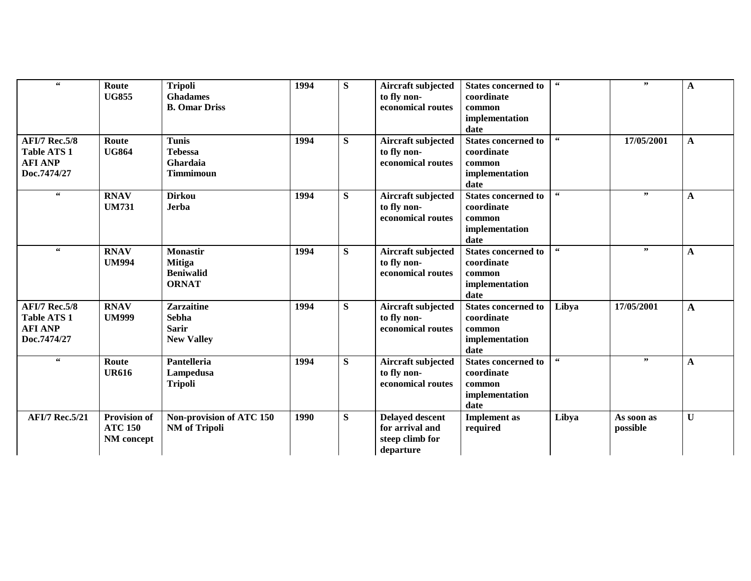| $\epsilon\epsilon$                                                          | Route<br><b>UG855</b>                               | <b>Tripoli</b><br><b>Ghadames</b><br><b>B. Omar Driss</b>              | 1994 | S | Aircraft subjected<br>to fly non-<br>economical routes                    | <b>States concerned to</b><br>coordinate<br>common<br>implementation<br>date | $\,66$                   | ,,                     | A            |
|-----------------------------------------------------------------------------|-----------------------------------------------------|------------------------------------------------------------------------|------|---|---------------------------------------------------------------------------|------------------------------------------------------------------------------|--------------------------|------------------------|--------------|
| <b>AFI/7 Rec.5/8</b><br>Table ATS 1<br><b>AFI ANP</b><br>Doc.7474/27        | Route<br><b>UG864</b>                               | <b>Tunis</b><br><b>Tebessa</b><br>Ghardaia<br><b>Timmimoun</b>         | 1994 | S | Aircraft subjected<br>to fly non-<br>economical routes                    | <b>States concerned to</b><br>coordinate<br>common<br>implementation<br>date | $\textsf{G}\,\textsf{G}$ | 17/05/2001             | A            |
| $\textcolor{red}{\bullet}\textcolor{red}{\bullet}$                          | <b>RNAV</b><br><b>UM731</b>                         | <b>Dirkou</b><br><b>Jerba</b>                                          | 1994 | S | Aircraft subjected<br>to fly non-<br>economical routes                    | <b>States concerned to</b><br>coordinate<br>common<br>implementation<br>date | 66                       | , ,                    | $\mathbf{A}$ |
| $\textcolor{red}{\bullet}\textcolor{red}{\bullet}$                          | <b>RNAV</b><br><b>UM994</b>                         | <b>Monastir</b><br><b>Mitiga</b><br><b>Beniwalid</b><br><b>ORNAT</b>   | 1994 | S | Aircraft subjected<br>to fly non-<br>economical routes                    | <b>States concerned to</b><br>coordinate<br>common<br>implementation<br>date | $\epsilon\epsilon$       | , ,                    | A            |
| <b>AFI/7 Rec.5/8</b><br><b>Table ATS 1</b><br><b>AFI ANP</b><br>Doc.7474/27 | <b>RNAV</b><br><b>UM999</b>                         | <b>Zarzaitine</b><br><b>Sebha</b><br><b>Sarir</b><br><b>New Valley</b> | 1994 | S | Aircraft subjected<br>to fly non-<br>economical routes                    | <b>States concerned to</b><br>coordinate<br>common<br>implementation<br>date | Libya                    | 17/05/2001             | A            |
| 66                                                                          | Route<br><b>UR616</b>                               | Pantelleria<br>Lampedusa<br><b>Tripoli</b>                             | 1994 | S | Aircraft subjected<br>to fly non-<br>economical routes                    | <b>States concerned to</b><br>coordinate<br>common<br>implementation<br>date | $\textbf{66}$            | ,,                     | $\mathbf{A}$ |
| <b>AFI/7 Rec.5/21</b>                                                       | <b>Provision of</b><br><b>ATC 150</b><br>NM concept | Non-provision of ATC 150<br><b>NM</b> of Tripoli                       | 1990 | S | <b>Delayed descent</b><br>for arrival and<br>steep climb for<br>departure | <b>Implement</b> as<br>required                                              | Libya                    | As soon as<br>possible | $\mathbf{U}$ |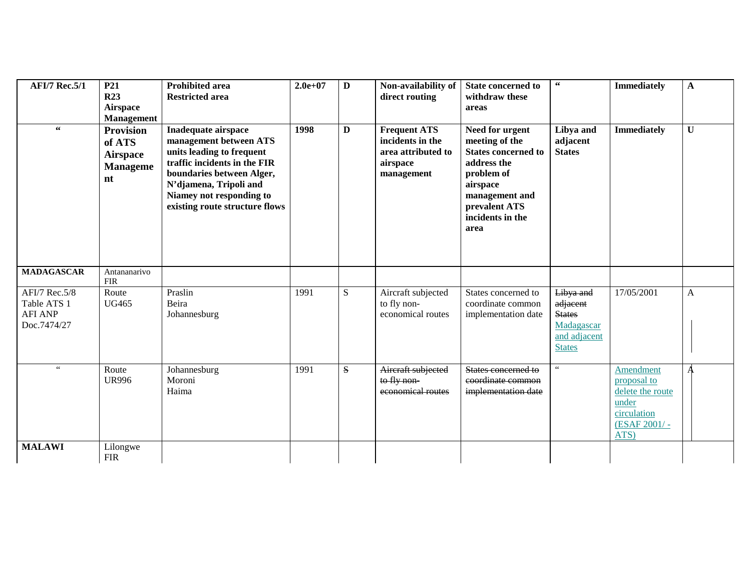| <b>AFI/7 Rec.5/1</b>                                          | P <sub>21</sub><br><b>R23</b><br><b>Airspace</b><br><b>Management</b>  | <b>Prohibited area</b><br><b>Restricted area</b>                                                                                                                                                                                       | $2.0e+07$ | $\mathbf{D}$ | Non-availability of<br>direct routing                                                   | <b>State concerned to</b><br>withdraw these<br>areas                                                                                                                    | $\epsilon\epsilon$                                                                    | <b>Immediately</b>                                                                           | $\mathbf{A}$ |
|---------------------------------------------------------------|------------------------------------------------------------------------|----------------------------------------------------------------------------------------------------------------------------------------------------------------------------------------------------------------------------------------|-----------|--------------|-----------------------------------------------------------------------------------------|-------------------------------------------------------------------------------------------------------------------------------------------------------------------------|---------------------------------------------------------------------------------------|----------------------------------------------------------------------------------------------|--------------|
| $\,66$                                                        | <b>Provision</b><br>of ATS<br><b>Airspace</b><br><b>Manageme</b><br>nt | <b>Inadequate airspace</b><br>management between ATS<br>units leading to frequent<br>traffic incidents in the FIR<br>boundaries between Alger,<br>N'djamena, Tripoli and<br>Niamey not responding to<br>existing route structure flows | 1998      | D            | <b>Frequent ATS</b><br>incidents in the<br>area attributed to<br>airspace<br>management | Need for urgent<br>meeting of the<br><b>States concerned to</b><br>address the<br>problem of<br>airspace<br>management and<br>prevalent ATS<br>incidents in the<br>area | Libya and<br>adjacent<br><b>States</b>                                                | <b>Immediately</b>                                                                           | $\mathbf{U}$ |
| <b>MADAGASCAR</b>                                             | Antananarivo<br>${\rm FIR}$                                            |                                                                                                                                                                                                                                        |           |              |                                                                                         |                                                                                                                                                                         |                                                                                       |                                                                                              |              |
| AFI/7 Rec.5/8<br>Table ATS 1<br><b>AFI ANP</b><br>Doc.7474/27 | Route<br><b>UG465</b>                                                  | Praslin<br>Beira<br>Johannesburg                                                                                                                                                                                                       | 1991      | S            | Aircraft subjected<br>to fly non-<br>economical routes                                  | States concerned to<br>coordinate common<br>implementation date                                                                                                         | Libya and<br>adjacent<br><b>States</b><br>Madagascar<br>and adjacent<br><b>States</b> | 17/05/2001                                                                                   | $\mathbf{A}$ |
| $\zeta\,\zeta$                                                | Route<br><b>UR996</b>                                                  | Johannesburg<br>Moroni<br>Haima                                                                                                                                                                                                        | 1991      | S            | Aircraft subjected<br>to fly non-<br>economical routes                                  | States concerned to<br>coordinate common<br>implementation date                                                                                                         | $\epsilon$ $\epsilon$                                                                 | Amendment<br>proposal to<br>delete the route<br>under<br>circulation<br>(ESAF 2001/-<br>ATS) |              |
| <b>MALAWI</b>                                                 | Lilongwe<br><b>FIR</b>                                                 |                                                                                                                                                                                                                                        |           |              |                                                                                         |                                                                                                                                                                         |                                                                                       |                                                                                              |              |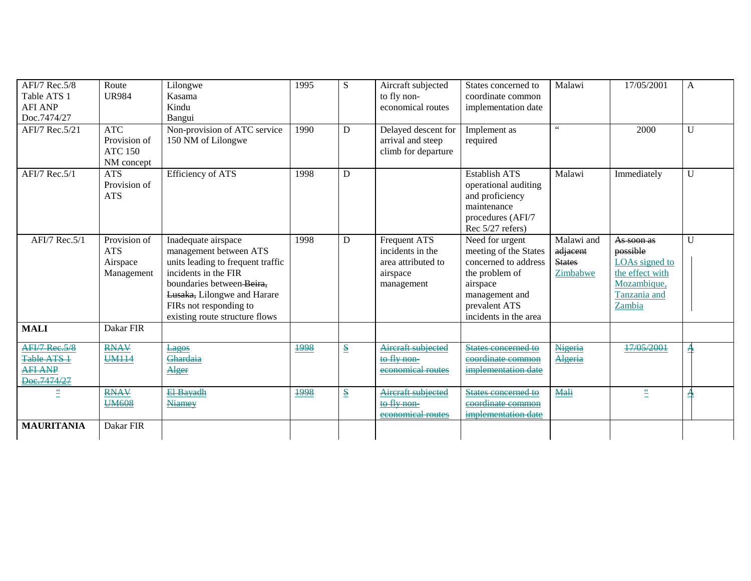| AFI/7 Rec. 5/8<br>Table ATS 1<br><b>AFI ANP</b><br>Doc.7474/27<br>AFI/7 Rec.5/21 | Route<br><b>UR984</b><br><b>ATC</b>                  | Lilongwe<br>Kasama<br>Kindu<br>Bangui<br>Non-provision of ATC service                                                                                                                                                              | 1995<br>1990 | S<br>D                               | Aircraft subjected<br>to fly non-<br>economical routes<br>Delayed descent for           | States concerned to<br>coordinate common<br>implementation date<br>Implement as                                                                            | Malawi<br>$\epsilon\,\epsilon$                      | 17/05/2001<br>2000                                                                                   | A<br>U       |
|----------------------------------------------------------------------------------|------------------------------------------------------|------------------------------------------------------------------------------------------------------------------------------------------------------------------------------------------------------------------------------------|--------------|--------------------------------------|-----------------------------------------------------------------------------------------|------------------------------------------------------------------------------------------------------------------------------------------------------------|-----------------------------------------------------|------------------------------------------------------------------------------------------------------|--------------|
|                                                                                  | Provision of<br><b>ATC 150</b><br>NM concept         | 150 NM of Lilongwe                                                                                                                                                                                                                 |              |                                      | arrival and steep<br>climb for departure                                                | required                                                                                                                                                   |                                                     |                                                                                                      |              |
| AFI/7 Rec. 5/1                                                                   | <b>ATS</b><br>Provision of<br><b>ATS</b>             | <b>Efficiency of ATS</b>                                                                                                                                                                                                           | 1998         | D                                    |                                                                                         | <b>Establish ATS</b><br>operational auditing<br>and proficiency<br>maintenance<br>procedures (AFI/7<br>Rec $5/27$ refers)                                  | Malawi                                              | Immediately                                                                                          | U            |
| AFI/7 Rec.5/1                                                                    | Provision of<br><b>ATS</b><br>Airspace<br>Management | Inadequate airspace<br>management between ATS<br>units leading to frequent traffic<br>incidents in the FIR<br>boundaries between-Beira,<br>Lusaka, Lilongwe and Harare<br>FIRs not responding to<br>existing route structure flows | 1998         | D                                    | <b>Frequent ATS</b><br>incidents in the<br>area attributed to<br>airspace<br>management | Need for urgent<br>meeting of the States<br>concerned to address<br>the problem of<br>airspace<br>management and<br>prevalent ATS<br>incidents in the area | Malawi and<br>adjacent<br><b>States</b><br>Zimbabwe | As soon as<br>possible<br>LOAs signed to<br>the effect with<br>Mozambique,<br>Tanzania and<br>Zambia | $\mathbf{U}$ |
| <b>MALI</b>                                                                      | Dakar FIR                                            |                                                                                                                                                                                                                                    |              |                                      |                                                                                         |                                                                                                                                                            |                                                     |                                                                                                      |              |
| AFI/7 Rec.5/8<br>Table ATS 1<br><b>AFI ANP</b><br>Doc.7474/27                    | <b>RNAV</b><br><b>UM114</b>                          | Lagos<br>Ghardaia<br>Alger                                                                                                                                                                                                         | 1998         | $\underline{\underline{\mathbf{S}}}$ | Aircraft subjected<br>to fly non-<br>economical routes                                  | States concerned to<br>coordinate common<br>implementation date                                                                                            | Nigeria<br>Algeria                                  | 17/05/2001                                                                                           | ᅔ            |
| <u>"</u>                                                                         | <b>RNAV</b><br><b>UM608</b>                          | El-Bayadh<br><b>Niamey</b>                                                                                                                                                                                                         | 1998         | $\underline{\underline{\mathbf{S}}}$ | Aircraft subjected<br>to fly non-<br>economical routes                                  | States concerned to<br>coordinate common<br>implementation date                                                                                            | Mali                                                | $\stackrel{\epsilon}{=}$                                                                             | 井            |
| <b>MAURITANIA</b>                                                                | Dakar FIR                                            |                                                                                                                                                                                                                                    |              |                                      |                                                                                         |                                                                                                                                                            |                                                     |                                                                                                      |              |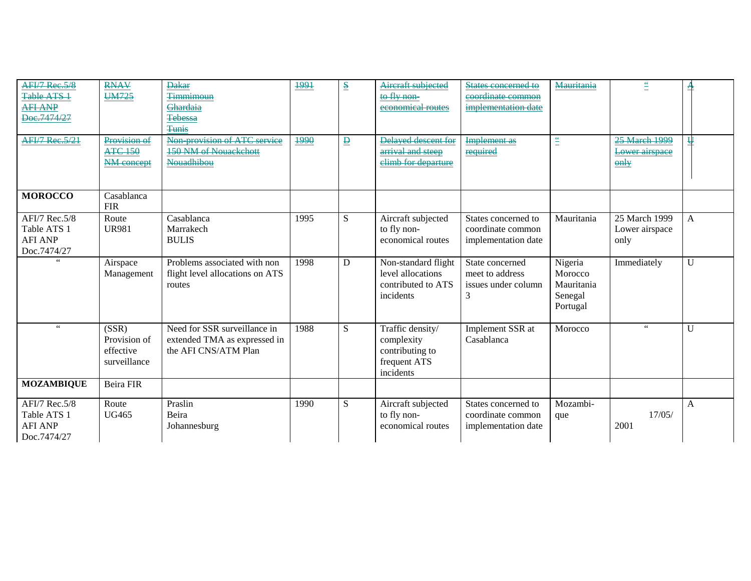| <b>AFI/7 Rec.5/8</b>  | <b>RNAV</b>      | <b>Dakar</b>                    | 1991 | $\underline{\mathbf{S}}$ | Aircraft subjected  | States concerned to | <b>Mauritania</b>                              | $\stackrel{cc}{=}$ | n |
|-----------------------|------------------|---------------------------------|------|--------------------------|---------------------|---------------------|------------------------------------------------|--------------------|---|
| Table ATS 1           | <b>UM725</b>     | <b>Timmimoun</b>                |      |                          | to fly non-         | coordinate common   |                                                |                    |   |
| <b>AFI ANP</b>        |                  | Ghardaia                        |      |                          | economical routes   | implementation date |                                                |                    |   |
| Doc.7474/27           |                  | <b>Tebessa</b>                  |      |                          |                     |                     |                                                |                    |   |
|                       |                  | Tunis                           |      |                          |                     |                     |                                                |                    |   |
| <b>AFI/7 Rec.5/21</b> | Provision of     | Non provision of ATC service    | 1990 | $\overline{\mathbf{D}}$  | Delayed descent for | <b>Implement</b> as | $\stackrel{\scriptscriptstyle \mathsf{cc}}{=}$ | 25 March 1999      | ₩ |
|                       | <b>ATC 150</b>   | <b>150 NM of Nouackchott</b>    |      |                          | arrival and steep   | required            |                                                | Lower airspace     |   |
|                       | NM concept       | Nouadhibou                      |      |                          | elimb for departure |                     |                                                | $\theta$ nly       |   |
|                       |                  |                                 |      |                          |                     |                     |                                                |                    |   |
|                       |                  |                                 |      |                          |                     |                     |                                                |                    |   |
| <b>MOROCCO</b>        | Casablanca       |                                 |      |                          |                     |                     |                                                |                    |   |
|                       | <b>FIR</b>       |                                 |      |                          |                     |                     |                                                |                    |   |
| AFI/7 Rec.5/8         | Route            | Casablanca                      | 1995 | S                        | Aircraft subjected  | States concerned to | Mauritania                                     | 25 March 1999      | A |
| Table ATS 1           | <b>UR981</b>     | Marrakech                       |      |                          | to fly non-         | coordinate common   |                                                | Lower airspace     |   |
| <b>AFI ANP</b>        |                  | <b>BULIS</b>                    |      |                          | economical routes   | implementation date |                                                | only               |   |
| Doc.7474/27           |                  |                                 |      |                          |                     |                     |                                                |                    |   |
|                       | Airspace         | Problems associated with non    | 1998 | D                        | Non-standard flight | State concerned     | Nigeria                                        | Immediately        | U |
|                       | Management       | flight level allocations on ATS |      |                          | level allocations   | meet to address     | Morocco                                        |                    |   |
|                       |                  | routes                          |      |                          | contributed to ATS  | issues under column | Mauritania                                     |                    |   |
|                       |                  |                                 |      |                          | incidents           | 3                   | Senegal                                        |                    |   |
|                       |                  |                                 |      |                          |                     |                     | Portugal                                       |                    |   |
|                       |                  |                                 |      |                          |                     |                     |                                                |                    |   |
| 66                    | (SSR)            | Need for SSR surveillance in    | 1988 | S                        | Traffic density/    | Implement SSR at    | Morocco                                        | $\,$ 6 $\,$        | U |
|                       | Provision of     | extended TMA as expressed in    |      |                          | complexity          | Casablanca          |                                                |                    |   |
|                       | effective        | the AFI CNS/ATM Plan            |      |                          | contributing to     |                     |                                                |                    |   |
|                       | surveillance     |                                 |      |                          | frequent ATS        |                     |                                                |                    |   |
|                       |                  |                                 |      |                          | incidents           |                     |                                                |                    |   |
| <b>MOZAMBIQUE</b>     | <b>Beira FIR</b> |                                 |      |                          |                     |                     |                                                |                    |   |
| AFI/7 Rec.5/8         | Route            | Praslin                         | 1990 | S                        | Aircraft subjected  | States concerned to | Mozambi-                                       |                    | A |
| Table ATS 1           | <b>UG465</b>     | Beira                           |      |                          | to fly non-         | coordinate common   | que                                            | 17/05/             |   |
| <b>AFI ANP</b>        |                  | Johannesburg                    |      |                          | economical routes   | implementation date |                                                | 2001               |   |
| Doc.7474/27           |                  |                                 |      |                          |                     |                     |                                                |                    |   |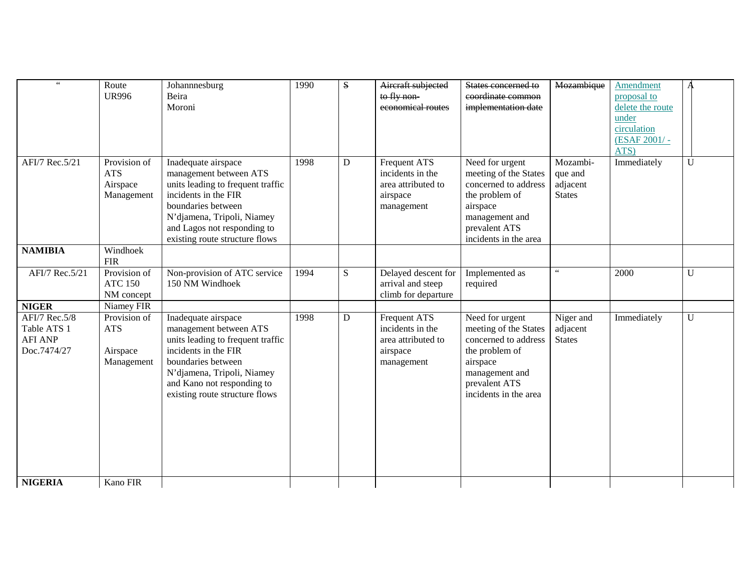| $\,$ 6 $\,$                                                          | Route<br><b>UR996</b>                                | Johannnesburg<br>Beira<br>Moroni                                                                                                                                                                                                | 1990 | ${\bf S}$   | Aircraft subjected<br>to fly non-<br>economical routes                                  | States concerned to<br>coordinate common<br>implementation date                                                                                            | Mozambique                                       | Amendment<br>proposal to<br>delete the route<br>under<br>circulation<br>(ESAF 2001/-<br>ATS) |             |
|----------------------------------------------------------------------|------------------------------------------------------|---------------------------------------------------------------------------------------------------------------------------------------------------------------------------------------------------------------------------------|------|-------------|-----------------------------------------------------------------------------------------|------------------------------------------------------------------------------------------------------------------------------------------------------------|--------------------------------------------------|----------------------------------------------------------------------------------------------|-------------|
| AFI/7 Rec.5/21                                                       | Provision of<br><b>ATS</b><br>Airspace<br>Management | Inadequate airspace<br>management between ATS<br>units leading to frequent traffic<br>incidents in the FIR<br>boundaries between<br>N'djamena, Tripoli, Niamey<br>and Lagos not responding to<br>existing route structure flows | 1998 | D           | Frequent ATS<br>incidents in the<br>area attributed to<br>airspace<br>management        | Need for urgent<br>meeting of the States<br>concerned to address<br>the problem of<br>airspace<br>management and<br>prevalent ATS<br>incidents in the area | Mozambi-<br>que and<br>adjacent<br><b>States</b> | Immediately                                                                                  | U           |
| <b>NAMIBIA</b>                                                       | Windhoek<br><b>FIR</b>                               |                                                                                                                                                                                                                                 |      |             |                                                                                         |                                                                                                                                                            |                                                  |                                                                                              |             |
| AFI/7 Rec.5/21                                                       | Provision of<br><b>ATC 150</b><br>NM concept         | Non-provision of ATC service<br>150 NM Windhoek                                                                                                                                                                                 | 1994 | S           | Delayed descent for<br>arrival and steep<br>climb for departure                         | Implemented as<br>required                                                                                                                                 | $\epsilon\,\epsilon$                             | 2000                                                                                         | U           |
| <b>NIGER</b>                                                         | Niamey FIR                                           |                                                                                                                                                                                                                                 |      |             |                                                                                         |                                                                                                                                                            |                                                  |                                                                                              |             |
| <b>AFI/7 Rec.5/8</b><br>Table ATS 1<br><b>AFI ANP</b><br>Doc.7474/27 | Provision of<br><b>ATS</b><br>Airspace<br>Management | Inadequate airspace<br>management between ATS<br>units leading to frequent traffic<br>incidents in the FIR<br>boundaries between<br>N'djamena, Tripoli, Niamey<br>and Kano not responding to<br>existing route structure flows  | 1998 | $\mathbf D$ | <b>Frequent ATS</b><br>incidents in the<br>area attributed to<br>airspace<br>management | Need for urgent<br>meeting of the States<br>concerned to address<br>the problem of<br>airspace<br>management and<br>prevalent ATS<br>incidents in the area | Niger and<br>adjacent<br><b>States</b>           | Immediately                                                                                  | $\mathbf U$ |
| <b>NIGERIA</b>                                                       | Kano FIR                                             |                                                                                                                                                                                                                                 |      |             |                                                                                         |                                                                                                                                                            |                                                  |                                                                                              |             |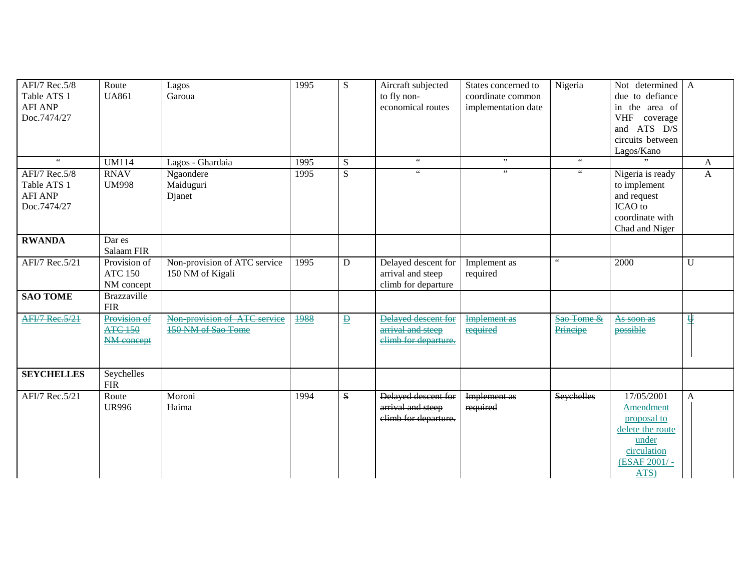| AFI/7 Rec.5/8<br>Table ATS 1<br><b>AFI ANP</b><br>Doc.7474/27 | Route<br><b>UA861</b>                        | Lagos<br>Garoua                                    | 1995 | S                        | Aircraft subjected<br>to fly non-<br>economical routes           | States concerned to<br>coordinate common<br>implementation date | Nigeria                | Not determined A<br>due to defiance<br>in the area of<br>VHF coverage<br>and ATS D/S<br>circuits between<br>Lagos/Kano |              |
|---------------------------------------------------------------|----------------------------------------------|----------------------------------------------------|------|--------------------------|------------------------------------------------------------------|-----------------------------------------------------------------|------------------------|------------------------------------------------------------------------------------------------------------------------|--------------|
| $\epsilon\,\epsilon$                                          | <b>UM114</b>                                 | Lagos - Ghardaia                                   | 1995 | ${\bf S}$                | $\epsilon\,\epsilon$                                             | , ,                                                             | $\epsilon\,\epsilon$   |                                                                                                                        | A            |
| AFI/7 Rec.5/8<br>Table ATS 1<br><b>AFI ANP</b><br>Doc.7474/27 | <b>RNAV</b><br><b>UM998</b>                  | Ngaondere<br>Maiduguri<br>Djanet                   | 1995 | $\overline{S}$           | $\zeta\,\zeta$                                                   | , ,                                                             | $\zeta\,\zeta$         | Nigeria is ready<br>to implement<br>and request<br>ICAO to<br>coordinate with<br>Chad and Niger                        | $\mathbf{A}$ |
| <b>RWANDA</b>                                                 | Dar es<br>Salaam FIR                         |                                                    |      |                          |                                                                  |                                                                 |                        |                                                                                                                        |              |
| AFI/7 Rec.5/21                                                | Provision of<br><b>ATC 150</b><br>NM concept | Non-provision of ATC service<br>150 NM of Kigali   | 1995 | ${\bf D}$                | Delayed descent for<br>arrival and steep<br>climb for departure  | Implement as<br>required                                        | $\epsilon\,\epsilon$   | 2000                                                                                                                   | $\mathbf{U}$ |
| <b>SAO TOME</b>                                               | Brazzaville<br><b>FIR</b>                    |                                                    |      |                          |                                                                  |                                                                 |                        |                                                                                                                        |              |
| <b>AFI/7 Rec.5/21</b>                                         | Provision of<br><b>ATC 150</b><br>NM concept | Non provision of ATC service<br>150 NM of Sao Tome | 1988 | $\underline{\mathbf{p}}$ | Delayed descent for<br>arrival and steep<br>elimb for departure. | <b>Implement as</b><br>required                                 | Sao Tome &<br>Principe | As soon as<br>possible                                                                                                 | 푠            |
| <b>SEYCHELLES</b>                                             | Seychelles<br><b>FIR</b>                     |                                                    |      |                          |                                                                  |                                                                 |                        |                                                                                                                        |              |
| AFI/7 Rec.5/21                                                | Route<br><b>UR996</b>                        | Moroni<br>Haima                                    | 1994 | S                        | Delayed descent for<br>arrival and steep<br>elimb for departure. | Implement as<br>required                                        | Seychelles             | 17/05/2001<br>Amendment<br>proposal to<br>delete the route<br>under<br>circulation<br>(ESAF 2001/-<br>ATS)             | $\mathbf{A}$ |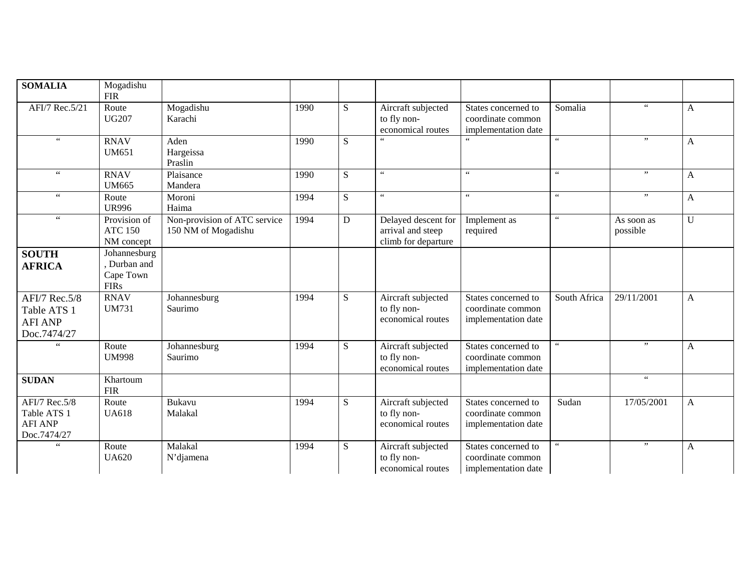| <b>SOMALIA</b>                                                | Mogadishu<br><b>FIR</b>                                |                                                     |      |             |                                                                 |                                                                 |                      |                        |              |
|---------------------------------------------------------------|--------------------------------------------------------|-----------------------------------------------------|------|-------------|-----------------------------------------------------------------|-----------------------------------------------------------------|----------------------|------------------------|--------------|
| AFI/7 Rec.5/21                                                | Route<br><b>UG207</b>                                  | Mogadishu<br>Karachi                                | 1990 | S           | Aircraft subjected<br>to fly non-<br>economical routes          | States concerned to<br>coordinate common<br>implementation date | Somalia              | $\,$ 6 $\,$            | A            |
| $\,$ 6 $\,$                                                   | <b>RNAV</b><br><b>UM651</b>                            | Aden<br>Hargeissa<br>Praslin                        | 1990 | S           | $\overline{\mathcal{L}}$                                        |                                                                 | $\zeta$ $\zeta$      | ,,                     | $\mathbf{A}$ |
| $\zeta\,\zeta$                                                | <b>RNAV</b><br>UM665                                   | Plaisance<br>Mandera                                | 1990 | S           | $\epsilon\,\epsilon$                                            | 66                                                              | $\epsilon\,\epsilon$ | ,,                     | $\mathbf{A}$ |
| $\zeta$ $\zeta$                                               | Route<br><b>UR996</b>                                  | Moroni<br>Haima                                     | 1994 | S           | $\epsilon$ $\epsilon$                                           | $\zeta$ $\zeta$                                                 | $\epsilon\,\epsilon$ | , ,                    | A            |
|                                                               | Provision of<br><b>ATC 150</b><br>NM concept           | Non-provision of ATC service<br>150 NM of Mogadishu | 1994 | $\mathbf D$ | Delayed descent for<br>arrival and steep<br>climb for departure | Implement as<br>required                                        | $\zeta\,\zeta$       | As soon as<br>possible | $\mathbf U$  |
| <b>SOUTH</b><br><b>AFRICA</b>                                 | Johannesburg<br>Durban and<br>Cape Town<br><b>FIRs</b> |                                                     |      |             |                                                                 |                                                                 |                      |                        |              |
| AFI/7 Rec.5/8<br>Table ATS 1<br><b>AFI ANP</b><br>Doc.7474/27 | <b>RNAV</b><br><b>UM731</b>                            | Johannesburg<br>Saurimo                             | 1994 | S           | Aircraft subjected<br>to fly non-<br>economical routes          | States concerned to<br>coordinate common<br>implementation date | South Africa         | 29/11/2001             | $\mathbf{A}$ |
| $\zeta$ $\zeta$                                               | Route<br><b>UM998</b>                                  | Johannesburg<br>Saurimo                             | 1994 | S           | Aircraft subjected<br>to fly non-<br>economical routes          | States concerned to<br>coordinate common<br>implementation date | $\epsilon\,\epsilon$ | , ,                    | A            |
| <b>SUDAN</b>                                                  | Khartoum<br><b>FIR</b>                                 |                                                     |      |             |                                                                 |                                                                 |                      | $\zeta$ $\zeta$        |              |
| AFI/7 Rec.5/8<br>Table ATS 1<br><b>AFI ANP</b><br>Doc.7474/27 | Route<br><b>UA618</b>                                  | <b>Bukavu</b><br>Malakal                            | 1994 | S           | Aircraft subjected<br>to fly non-<br>economical routes          | States concerned to<br>coordinate common<br>implementation date | Sudan                | 17/05/2001             | A            |
| $\zeta$ $\zeta$                                               | Route<br><b>UA620</b>                                  | Malakal<br>N'djamena                                | 1994 | S           | Aircraft subjected<br>to fly non-<br>economical routes          | States concerned to<br>coordinate common<br>implementation date | $\epsilon\,\epsilon$ | , ,                    | $\mathbf{A}$ |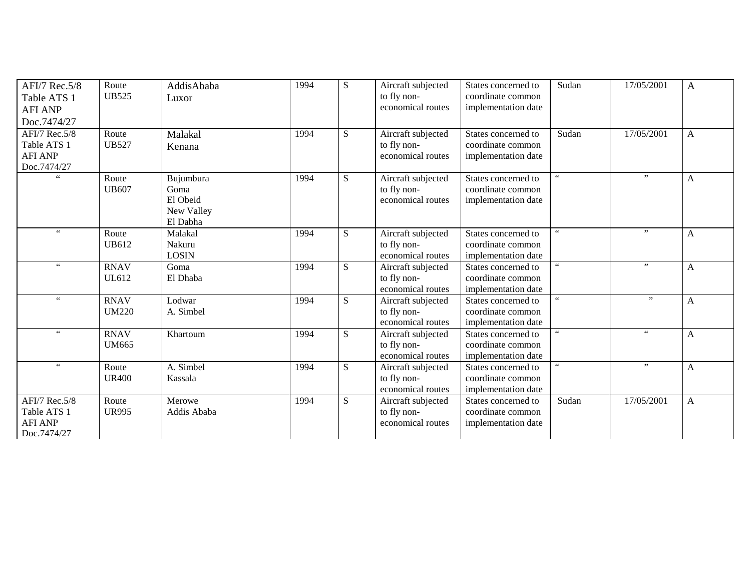| AFI/7 Rec.5/8        | Route        | AddisAbaba   | 1994 | S  | Aircraft subjected | States concerned to | Sudan           | 17/05/2001      | A            |
|----------------------|--------------|--------------|------|----|--------------------|---------------------|-----------------|-----------------|--------------|
| Table ATS 1          | <b>UB525</b> | Luxor        |      |    | to fly non-        | coordinate common   |                 |                 |              |
| <b>AFI ANP</b>       |              |              |      |    | economical routes  | implementation date |                 |                 |              |
| Doc.7474/27          |              |              |      |    |                    |                     |                 |                 |              |
| AFI/7 Rec.5/8        | Route        | Malakal      | 1994 | S  | Aircraft subjected | States concerned to | Sudan           | 17/05/2001      | $\mathbf{A}$ |
| Table ATS 1          | <b>UB527</b> | Kenana       |      |    | to fly non-        | coordinate common   |                 |                 |              |
| <b>AFI ANP</b>       |              |              |      |    | economical routes  | implementation date |                 |                 |              |
| Doc.7474/27          |              |              |      |    |                    |                     |                 |                 |              |
| 66                   | Route        | Bujumbura    | 1994 | S  | Aircraft subjected | States concerned to | $\zeta\,\zeta$  | ,,              | A            |
|                      | <b>UB607</b> | Goma         |      |    | to fly non-        | coordinate common   |                 |                 |              |
|                      |              | El Obeid     |      |    | economical routes  | implementation date |                 |                 |              |
|                      |              | New Valley   |      |    |                    |                     |                 |                 |              |
|                      |              | El Dabha     |      |    |                    |                     |                 |                 |              |
| 66                   | Route        | Malakal      | 1994 | S  | Aircraft subjected | States concerned to | $\leq$ $\leq$   | , ,             | A            |
|                      | <b>UB612</b> | Nakuru       |      |    | to fly non-        | coordinate common   |                 |                 |              |
|                      |              | <b>LOSIN</b> |      |    | economical routes  | implementation date |                 |                 |              |
| $\,$ 6 $\,$          | <b>RNAV</b>  | Goma         | 1994 | S. | Aircraft subjected | States concerned to | $66$            | , ,             | A            |
|                      | <b>UL612</b> | El Dhaba     |      |    | to fly non-        | coordinate common   |                 |                 |              |
|                      |              |              |      |    | economical routes  | implementation date |                 |                 |              |
| $66\,$               | <b>RNAV</b>  | Lodwar       | 1994 | S  | Aircraft subjected | States concerned to | $\zeta$ $\zeta$ | ,,              | A            |
|                      | <b>UM220</b> | A. Simbel    |      |    | to fly non-        | coordinate common   |                 |                 |              |
|                      |              |              |      |    | economical routes  | implementation date |                 |                 |              |
| $\epsilon\,\epsilon$ | <b>RNAV</b>  | Khartoum     | 1994 | S  | Aircraft subjected | States concerned to |                 | $\zeta$ $\zeta$ | $\mathbf{A}$ |
|                      | <b>UM665</b> |              |      |    | to fly non-        | coordinate common   |                 |                 |              |
|                      |              |              |      |    | economical routes  | implementation date |                 |                 |              |
| $\zeta$ $\zeta$      | Route        | A. Simbel    | 1994 | S  | Aircraft subjected | States concerned to | $\leq$ $\leq$   | , ,             | A            |
|                      | <b>UR400</b> | Kassala      |      |    | to fly non-        | coordinate common   |                 |                 |              |
|                      |              |              |      |    | economical routes  | implementation date |                 |                 |              |
| AFI/7 Rec.5/8        | Route        | Merowe       | 1994 | S  | Aircraft subjected | States concerned to | Sudan           | 17/05/2001      | A            |
| Table ATS 1          | <b>UR995</b> | Addis Ababa  |      |    | to fly non-        | coordinate common   |                 |                 |              |
| <b>AFI ANP</b>       |              |              |      |    | economical routes  | implementation date |                 |                 |              |
| Doc.7474/27          |              |              |      |    |                    |                     |                 |                 |              |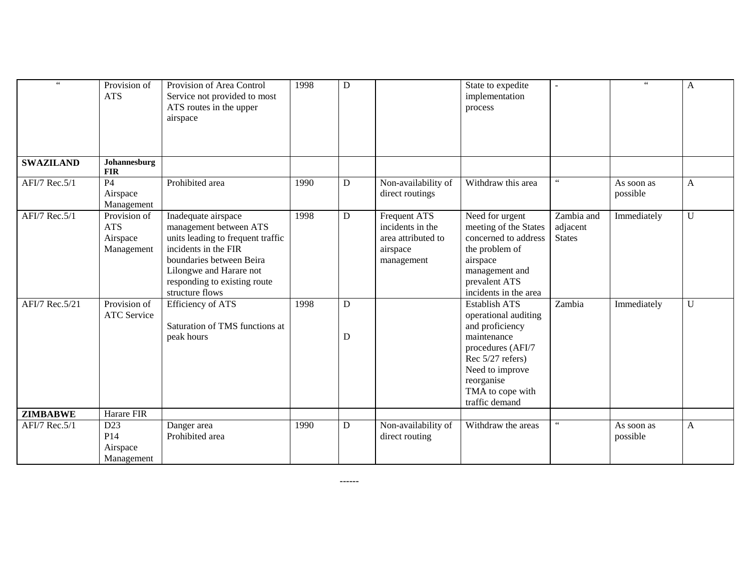| $66$             | Provision of<br><b>ATS</b>                           | Provision of Area Control<br>Service not provided to most<br>ATS routes in the upper<br>airspace                                                                                                                     | 1998 | ${\bf D}$      |                                                                                  | State to expedite<br>implementation<br>process                                                                                                                                                 | ۰                                       | $\zeta\,\zeta$         | $\mathbf{A}$ |
|------------------|------------------------------------------------------|----------------------------------------------------------------------------------------------------------------------------------------------------------------------------------------------------------------------|------|----------------|----------------------------------------------------------------------------------|------------------------------------------------------------------------------------------------------------------------------------------------------------------------------------------------|-----------------------------------------|------------------------|--------------|
| <b>SWAZILAND</b> | Johannesburg<br><b>FIR</b>                           |                                                                                                                                                                                                                      |      |                |                                                                                  |                                                                                                                                                                                                |                                         |                        |              |
| AFI/7 Rec.5/1    | <b>P4</b><br>Airspace<br>Management                  | Prohibited area                                                                                                                                                                                                      | 1990 | D              | Non-availability of<br>direct routings                                           | Withdraw this area                                                                                                                                                                             | 66                                      | As soon as<br>possible | A            |
| AFI/7 Rec.5/1    | Provision of<br><b>ATS</b><br>Airspace<br>Management | Inadequate airspace<br>management between ATS<br>units leading to frequent traffic<br>incidents in the FIR<br>boundaries between Beira<br>Lilongwe and Harare not<br>responding to existing route<br>structure flows | 1998 | ${\bf D}$      | Frequent ATS<br>incidents in the<br>area attributed to<br>airspace<br>management | Need for urgent<br>meeting of the States<br>concerned to address<br>the problem of<br>airspace<br>management and<br>prevalent ATS<br>incidents in the area                                     | Zambia and<br>adjacent<br><b>States</b> | Immediately            | U            |
| AFI/7 Rec.5/21   | Provision of<br>ATC Service                          | <b>Efficiency of ATS</b><br>Saturation of TMS functions at<br>peak hours                                                                                                                                             | 1998 | ${\bf D}$<br>D |                                                                                  | <b>Establish ATS</b><br>operational auditing<br>and proficiency<br>maintenance<br>procedures (AFI/7<br>Rec 5/27 refers)<br>Need to improve<br>reorganise<br>TMA to cope with<br>traffic demand | Zambia                                  | Immediately            | $\mathbf U$  |
| <b>ZIMBABWE</b>  | Harare FIR                                           |                                                                                                                                                                                                                      |      |                |                                                                                  |                                                                                                                                                                                                |                                         |                        |              |
| AFI/7 Rec.5/1    | D23<br>P <sub>14</sub><br>Airspace<br>Management     | Danger area<br>Prohibited area                                                                                                                                                                                       | 1990 | D              | Non-availability of<br>direct routing                                            | Withdraw the areas                                                                                                                                                                             | 66                                      | As soon as<br>possible | A            |

**------**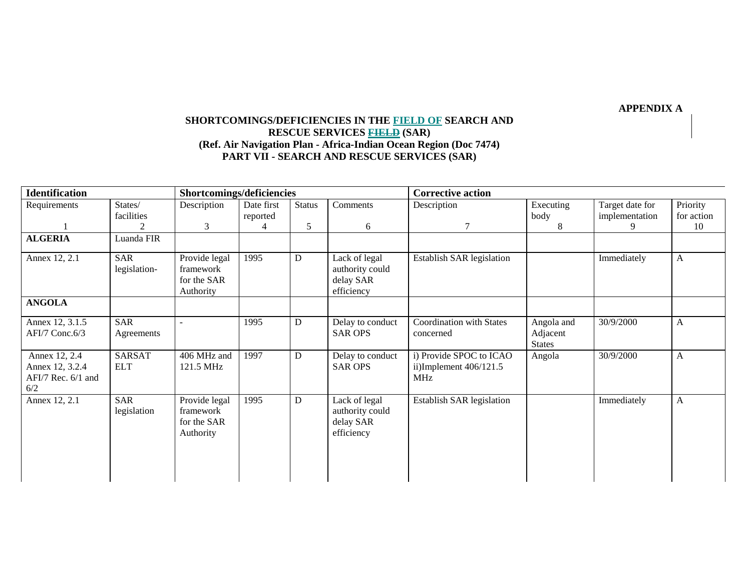**APPENDIX A** 

# **SHORTCOMINGS/DEFICIENCIES IN THE FIELD OF SEARCH AND RESCUE SERVICES FIELD (SAR) (Ref. Air Navigation Plan - Africa-Indian Ocean Region (Doc 7474) PART VII - SEARCH AND RESCUE SERVICES (SAR)**

| <b>Identification</b>                                         | Shortcomings/deficiencies   |                                                        |                        |           | <b>Corrective action</b>                                    |                                                            |                                         |                                   |                        |
|---------------------------------------------------------------|-----------------------------|--------------------------------------------------------|------------------------|-----------|-------------------------------------------------------------|------------------------------------------------------------|-----------------------------------------|-----------------------------------|------------------------|
| Requirements                                                  | States/<br>facilities       | Description                                            | Date first<br>reported | Status    | Comments                                                    | Description                                                | Executing<br>body                       | Target date for<br>implementation | Priority<br>for action |
|                                                               | 2                           | 3                                                      | 4                      | 5         | 6                                                           |                                                            | 8                                       | 9                                 | 10                     |
| <b>ALGERIA</b>                                                | Luanda FIR                  |                                                        |                        |           |                                                             |                                                            |                                         |                                   |                        |
| Annex 12, 2.1                                                 | <b>SAR</b><br>legislation-  | Provide legal<br>framework<br>for the SAR<br>Authority | 1995                   | D         | Lack of legal<br>authority could<br>delay SAR<br>efficiency | Establish SAR legislation                                  |                                         | Immediately                       | $\mathbf{A}$           |
| <b>ANGOLA</b>                                                 |                             |                                                        |                        |           |                                                             |                                                            |                                         |                                   |                        |
| Annex 12, 3.1.5<br>$AFI/7$ Conc.6/3                           | <b>SAR</b><br>Agreements    |                                                        | 1995                   | D         | Delay to conduct<br><b>SAR OPS</b>                          | <b>Coordination with States</b><br>concerned               | Angola and<br>Adjacent<br><b>States</b> | 30/9/2000                         | A                      |
| Annex 12, 2.4<br>Annex 12, 3.2.4<br>AFI/7 Rec. 6/1 and<br>6/2 | <b>SARSAT</b><br><b>ELT</b> | 406 MHz and<br>121.5 MHz                               | 1997                   | D         | Delay to conduct<br><b>SAR OPS</b>                          | i) Provide SPOC to ICAO<br>ii)Implement $406/121.5$<br>MHz | Angola                                  | 30/9/2000                         | $\mathbf{A}$           |
| Annex 12, 2.1                                                 | <b>SAR</b><br>legislation   | Provide legal<br>framework<br>for the SAR<br>Authority | 1995                   | ${\bf D}$ | Lack of legal<br>authority could<br>delay SAR<br>efficiency | Establish SAR legislation                                  |                                         | Immediately                       | $\mathbf{A}$           |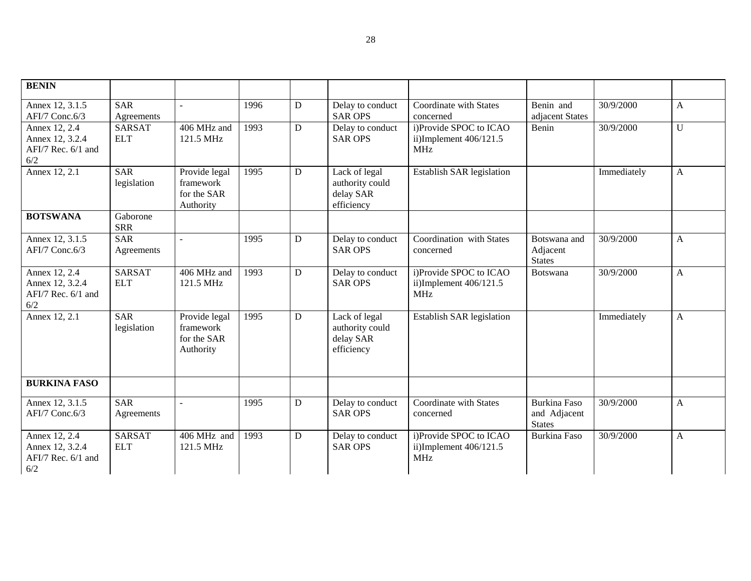| <b>BENIN</b>                                                  |                             |                                                        |      |   |                                                             |                                                                  |                                                      |             |              |
|---------------------------------------------------------------|-----------------------------|--------------------------------------------------------|------|---|-------------------------------------------------------------|------------------------------------------------------------------|------------------------------------------------------|-------------|--------------|
| Annex 12, 3.1.5<br>AFI/7 Conc.6/3                             | <b>SAR</b><br>Agreements    |                                                        | 1996 | D | Delay to conduct<br><b>SAR OPS</b>                          | Coordinate with States<br>concerned                              | Benin and<br>adjacent States                         | 30/9/2000   | A            |
| Annex 12, 2.4<br>Annex 12, 3.2.4<br>AFI/7 Rec. 6/1 and<br>6/2 | <b>SARSAT</b><br><b>ELT</b> | 406 MHz and<br>121.5 MHz                               | 1993 | D | Delay to conduct<br><b>SAR OPS</b>                          | i)Provide SPOC to ICAO<br>ii)Implement $406/121.5$<br><b>MHz</b> | Benin                                                | 30/9/2000   | U            |
| Annex 12, 2.1                                                 | <b>SAR</b><br>legislation   | Provide legal<br>framework<br>for the SAR<br>Authority | 1995 | D | Lack of legal<br>authority could<br>delay SAR<br>efficiency | Establish SAR legislation                                        |                                                      | Immediately | A            |
| <b>BOTSWANA</b>                                               | Gaborone<br><b>SRR</b>      |                                                        |      |   |                                                             |                                                                  |                                                      |             |              |
| Annex 12, 3.1.5<br>AFI/7 Conc.6/3                             | <b>SAR</b><br>Agreements    | $\overline{a}$                                         | 1995 | D | Delay to conduct<br><b>SAR OPS</b>                          | Coordination with States<br>concerned                            | Botswana and<br>Adjacent<br><b>States</b>            | 30/9/2000   | $\mathbf{A}$ |
| Annex 12, 2.4<br>Annex 12, 3.2.4<br>AFI/7 Rec. 6/1 and<br>6/2 | <b>SARSAT</b><br><b>ELT</b> | 406 MHz and<br>121.5 MHz                               | 1993 | D | Delay to conduct<br><b>SAR OPS</b>                          | i)Provide SPOC to ICAO<br>ii)Implement $406/121.5$<br><b>MHz</b> | Botswana                                             | 30/9/2000   | A            |
| Annex 12, 2.1                                                 | <b>SAR</b><br>legislation   | Provide legal<br>framework<br>for the SAR<br>Authority | 1995 | D | Lack of legal<br>authority could<br>delay SAR<br>efficiency | Establish SAR legislation                                        |                                                      | Immediately | A            |
| <b>BURKINA FASO</b>                                           |                             |                                                        |      |   |                                                             |                                                                  |                                                      |             |              |
| Annex 12, 3.1.5<br>AFI/7 Conc.6/3                             | <b>SAR</b><br>Agreements    | $\mathbf{r}$                                           | 1995 | D | Delay to conduct<br><b>SAR OPS</b>                          | Coordinate with States<br>concerned                              | <b>Burkina Faso</b><br>and Adjacent<br><b>States</b> | 30/9/2000   | A            |
| Annex 12, 2.4<br>Annex 12, 3.2.4<br>AFI/7 Rec. 6/1 and<br>6/2 | <b>SARSAT</b><br><b>ELT</b> | 406 MHz and<br>121.5 MHz                               | 1993 | D | Delay to conduct<br><b>SAR OPS</b>                          | i)Provide SPOC to ICAO<br>ii)Implement $406/121.5$<br><b>MHz</b> | <b>Burkina Faso</b>                                  | 30/9/2000   | A            |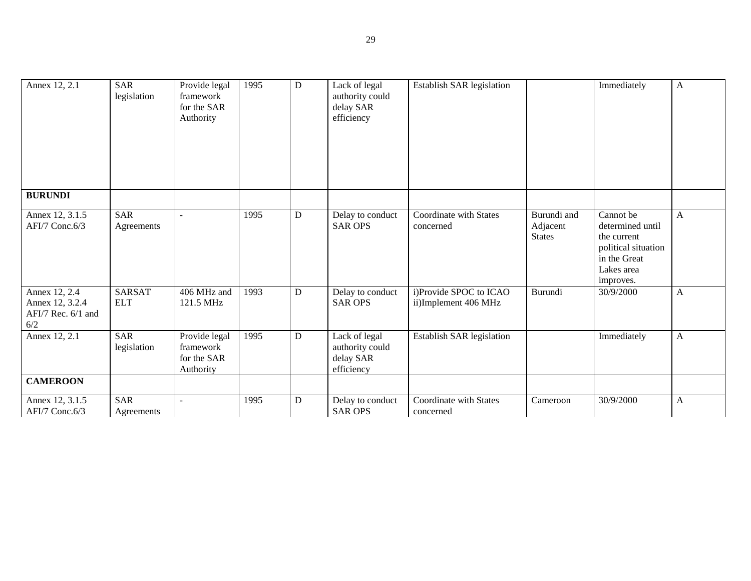| Annex 12, 2.1                                                   | <b>SAR</b><br>legislation   | Provide legal<br>framework<br>for the SAR<br>Authority | 1995 | $\mathbf D$ | Lack of legal<br>authority could<br>delay SAR<br>efficiency | Establish SAR legislation                      |                                          | Immediately                                                                                                    | $\mathbf{A}$ |
|-----------------------------------------------------------------|-----------------------------|--------------------------------------------------------|------|-------------|-------------------------------------------------------------|------------------------------------------------|------------------------------------------|----------------------------------------------------------------------------------------------------------------|--------------|
| <b>BURUNDI</b>                                                  |                             |                                                        |      |             |                                                             |                                                |                                          |                                                                                                                |              |
| Annex 12, 3.1.5<br>AFI/7 Conc.6/3                               | <b>SAR</b><br>Agreements    | $\overline{a}$                                         | 1995 | D           | Delay to conduct<br><b>SAR OPS</b>                          | Coordinate with States<br>concerned            | Burundi and<br>Adjacent<br><b>States</b> | Cannot be<br>determined until<br>the current<br>political situation<br>in the Great<br>Lakes area<br>improves. | A            |
| Annex 12, 2.4<br>Annex 12, 3.2.4<br>AFI/7 Rec. 6/1 and<br>$6/2$ | <b>SARSAT</b><br><b>ELT</b> | 406 MHz and<br>121.5 MHz                               | 1993 | D           | Delay to conduct<br><b>SAR OPS</b>                          | i)Provide SPOC to ICAO<br>ii)Implement 406 MHz | Burundi                                  | 30/9/2000                                                                                                      | A            |
| Annex 12, 2.1                                                   | <b>SAR</b><br>legislation   | Provide legal<br>framework<br>for the SAR<br>Authority | 1995 | D           | Lack of legal<br>authority could<br>delay SAR<br>efficiency | Establish SAR legislation                      |                                          | Immediately                                                                                                    | A            |
| <b>CAMEROON</b>                                                 |                             |                                                        |      |             |                                                             |                                                |                                          |                                                                                                                |              |
| Annex 12, 3.1.5<br>AFI/7 Conc.6/3                               | <b>SAR</b><br>Agreements    | $\overline{a}$                                         | 1995 | D           | Delay to conduct<br><b>SAR OPS</b>                          | Coordinate with States<br>concerned            | Cameroon                                 | 30/9/2000                                                                                                      | A            |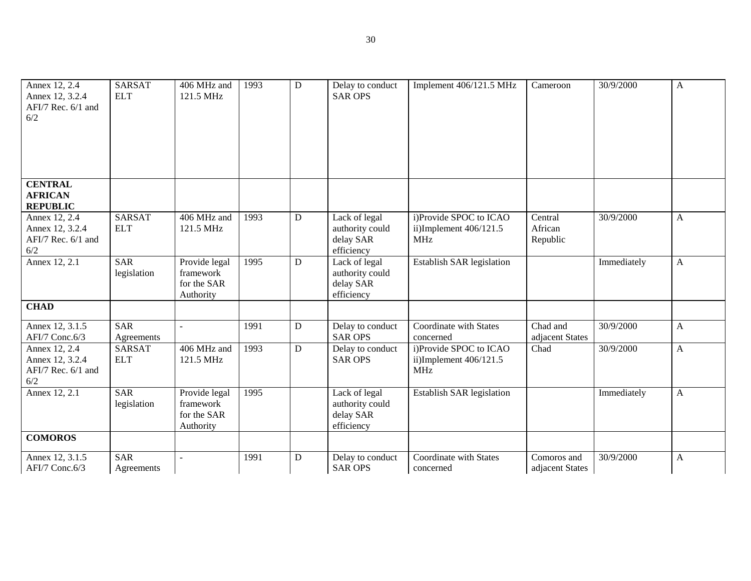| Annex 12, 2.4<br>Annex 12, 3.2.4<br>AFI/7 Rec. 6/1 and<br>6/2 | <b>SARSAT</b><br><b>ELT</b> | 406 MHz and<br>121.5 MHz                               | 1993 | ${\bf D}$ | Delay to conduct<br><b>SAR OPS</b>                          | Implement 406/121.5 MHz                                          | Cameroon                       | 30/9/2000   | $\mathbf{A}$ |
|---------------------------------------------------------------|-----------------------------|--------------------------------------------------------|------|-----------|-------------------------------------------------------------|------------------------------------------------------------------|--------------------------------|-------------|--------------|
| <b>CENTRAL</b><br><b>AFRICAN</b><br><b>REPUBLIC</b>           |                             |                                                        |      |           |                                                             |                                                                  |                                |             |              |
| Annex 12, 2.4<br>Annex 12, 3.2.4<br>AFI/7 Rec. 6/1 and<br>6/2 | <b>SARSAT</b><br><b>ELT</b> | 406 MHz and<br>121.5 MHz                               | 1993 | ${\bf D}$ | Lack of legal<br>authority could<br>delay SAR<br>efficiency | i)Provide SPOC to ICAO<br>ii)Implement $406/121.5$<br><b>MHz</b> | Central<br>African<br>Republic | 30/9/2000   | $\mathbf{A}$ |
| Annex 12, 2.1                                                 | <b>SAR</b><br>legislation   | Provide legal<br>framework<br>for the SAR<br>Authority | 1995 | D         | Lack of legal<br>authority could<br>delay SAR<br>efficiency | Establish SAR legislation                                        |                                | Immediately | A            |
| <b>CHAD</b>                                                   |                             |                                                        |      |           |                                                             |                                                                  |                                |             |              |
| Annex 12, 3.1.5<br>AFI/7 Conc.6/3                             | <b>SAR</b><br>Agreements    | $\sim$                                                 | 1991 | ${\bf D}$ | Delay to conduct<br><b>SAR OPS</b>                          | Coordinate with States<br>concerned                              | Chad and<br>adjacent States    | 30/9/2000   | $\mathbf{A}$ |
| Annex 12, 2.4<br>Annex 12, 3.2.4<br>AFI/7 Rec. 6/1 and<br>6/2 | <b>SARSAT</b><br><b>ELT</b> | 406 MHz and<br>121.5 MHz                               | 1993 | D         | Delay to conduct<br><b>SAR OPS</b>                          | i)Provide SPOC to ICAO<br>ii)Implement 406/121.5<br><b>MHz</b>   | Chad                           | 30/9/2000   | $\mathbf{A}$ |
| Annex 12, 2.1                                                 | <b>SAR</b><br>legislation   | Provide legal<br>framework<br>for the SAR<br>Authority | 1995 |           | Lack of legal<br>authority could<br>delay SAR<br>efficiency | <b>Establish SAR legislation</b>                                 |                                | Immediately | $\mathbf{A}$ |
| <b>COMOROS</b>                                                |                             |                                                        |      |           |                                                             |                                                                  |                                |             |              |
| Annex 12, 3.1.5<br>AFI/7 Conc.6/3                             | <b>SAR</b><br>Agreements    |                                                        | 1991 | D         | Delay to conduct<br><b>SAR OPS</b>                          | Coordinate with States<br>concerned                              | Comoros and<br>adjacent States | 30/9/2000   | A            |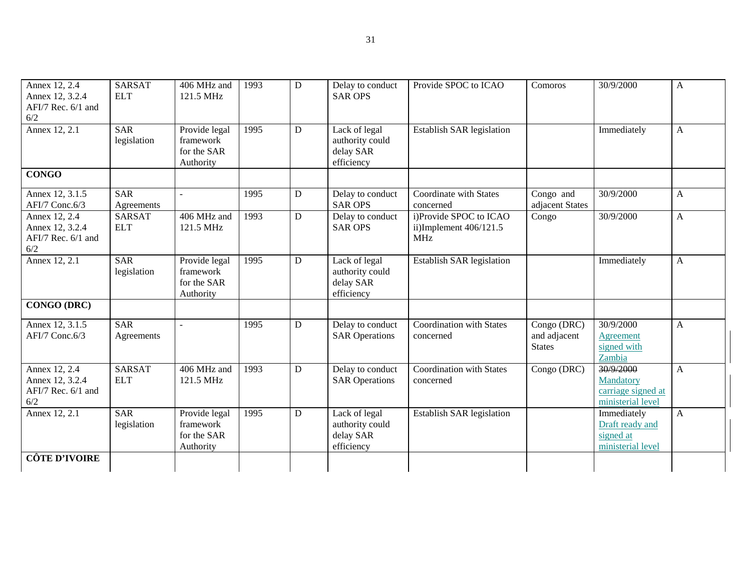| Annex 12, 2.4<br>Annex 12, 3.2.4<br>AFI/7 Rec. 6/1 and<br>6/2 | <b>SARSAT</b><br><b>ELT</b> | 406 MHz and<br>121.5 MHz                               | 1993 | D            | Delay to conduct<br><b>SAR OPS</b>                          | Provide SPOC to ICAO                                             | Comoros                                      | 30/9/2000                                                         | A            |
|---------------------------------------------------------------|-----------------------------|--------------------------------------------------------|------|--------------|-------------------------------------------------------------|------------------------------------------------------------------|----------------------------------------------|-------------------------------------------------------------------|--------------|
| Annex 12, 2.1                                                 | <b>SAR</b><br>legislation   | Provide legal<br>framework<br>for the SAR<br>Authority | 1995 | D            | Lack of legal<br>authority could<br>delay SAR<br>efficiency | Establish SAR legislation                                        |                                              | Immediately                                                       | $\mathbf{A}$ |
| <b>CONGO</b>                                                  |                             |                                                        |      |              |                                                             |                                                                  |                                              |                                                                   |              |
| Annex 12, 3.1.5<br>AFI/7 Conc.6/3                             | <b>SAR</b><br>Agreements    |                                                        | 1995 | D            | Delay to conduct<br><b>SAR OPS</b>                          | Coordinate with States<br>concerned                              | Congo and<br>adjacent States                 | 30/9/2000                                                         | A            |
| Annex 12, 2.4<br>Annex 12, 3.2.4<br>AFI/7 Rec. 6/1 and<br>6/2 | <b>SARSAT</b><br><b>ELT</b> | 406 MHz and<br>121.5 MHz                               | 1993 | D            | Delay to conduct<br><b>SAR OPS</b>                          | i)Provide SPOC to ICAO<br>ii)Implement $406/121.5$<br><b>MHz</b> | Congo                                        | 30/9/2000                                                         | $\mathbf{A}$ |
| Annex 12, 2.1                                                 | <b>SAR</b><br>legislation   | Provide legal<br>framework<br>for the SAR<br>Authority | 1995 | $\mathbf{D}$ | Lack of legal<br>authority could<br>delay SAR<br>efficiency | Establish SAR legislation                                        |                                              | Immediately                                                       | $\mathbf{A}$ |
| <b>CONGO (DRC)</b>                                            |                             |                                                        |      |              |                                                             |                                                                  |                                              |                                                                   |              |
| Annex 12, 3.1.5<br>AFI/7 Conc.6/3                             | <b>SAR</b><br>Agreements    |                                                        | 1995 | $\mathbf{D}$ | Delay to conduct<br><b>SAR Operations</b>                   | Coordination with States<br>concerned                            | Congo (DRC)<br>and adjacent<br><b>States</b> | 30/9/2000<br><b>Agreement</b><br>signed with<br>Zambia            | A            |
| Annex 12, 2.4<br>Annex 12, 3.2.4<br>AFI/7 Rec. 6/1 and<br>6/2 | <b>SARSAT</b><br><b>ELT</b> | 406 MHz and<br>121.5 MHz                               | 1993 | D            | Delay to conduct<br><b>SAR Operations</b>                   | Coordination with States<br>concerned                            | Congo (DRC)                                  | 30/9/2000<br>Mandatory<br>carriage signed at<br>ministerial level | $\mathbf{A}$ |
| Annex 12, 2.1                                                 | <b>SAR</b><br>legislation   | Provide legal<br>framework<br>for the SAR<br>Authority | 1995 | D            | Lack of legal<br>authority could<br>delay SAR<br>efficiency | Establish SAR legislation                                        |                                              | Immediately<br>Draft ready and<br>signed at<br>ministerial level  | $\mathbf{A}$ |
| <b>CÔTE D'IVOIRE</b>                                          |                             |                                                        |      |              |                                                             |                                                                  |                                              |                                                                   |              |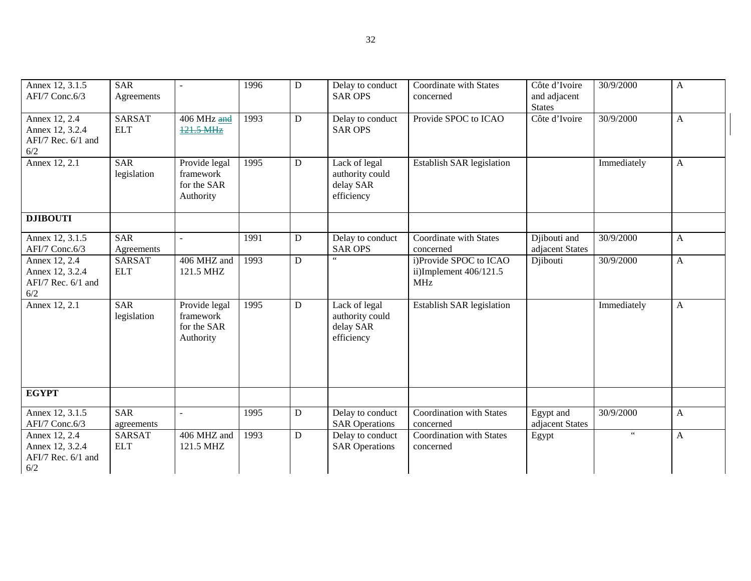| Annex 12, 3.1.5<br>AFI/7 Conc.6/3                               | <b>SAR</b><br>Agreements    | $\sim$                                                 | 1996 | D           | Delay to conduct<br><b>SAR OPS</b>                          | Coordinate with States<br>concerned                              | Côte d'Ivoire<br>and adjacent<br><b>States</b> | 30/9/2000             | $\mathbf{A}$ |
|-----------------------------------------------------------------|-----------------------------|--------------------------------------------------------|------|-------------|-------------------------------------------------------------|------------------------------------------------------------------|------------------------------------------------|-----------------------|--------------|
| Annex 12, 2.4<br>Annex 12, 3.2.4<br>AFI/7 Rec. 6/1 and<br>6/2   | <b>SARSAT</b><br><b>ELT</b> | 406 MHz and<br>121.5 MHz                               | 1993 | D           | Delay to conduct<br><b>SAR OPS</b>                          | Provide SPOC to ICAO                                             | Côte d'Ivoire                                  | 30/9/2000             | $\mathbf{A}$ |
| Annex 12, 2.1                                                   | <b>SAR</b><br>legislation   | Provide legal<br>framework<br>for the SAR<br>Authority | 1995 | $\mathbf D$ | Lack of legal<br>authority could<br>delay SAR<br>efficiency | <b>Establish SAR legislation</b>                                 |                                                | Immediately           | $\mathbf{A}$ |
| <b>DJIBOUTI</b>                                                 |                             |                                                        |      |             |                                                             |                                                                  |                                                |                       |              |
| Annex 12, 3.1.5<br>AFI/7 Conc.6/3                               | <b>SAR</b><br>Agreements    | $\omega$                                               | 1991 | D           | Delay to conduct<br><b>SAR OPS</b>                          | Coordinate with States<br>concerned                              | Djibouti and<br>adjacent States                | 30/9/2000             | $\mathbf{A}$ |
| Annex 12, 2.4<br>Annex 12, 3.2.4<br>AFI/7 Rec. 6/1 and<br>$6/2$ | <b>SARSAT</b><br><b>ELT</b> | 406 MHZ and<br>121.5 MHZ                               | 1993 | D           | $\zeta$ $\zeta$                                             | i)Provide SPOC to ICAO<br>ii)Implement $406/121.5$<br><b>MHz</b> | Djibouti                                       | $\frac{1}{30}/9/2000$ | $\mathbf{A}$ |
| Annex 12, 2.1                                                   | <b>SAR</b><br>legislation   | Provide legal<br>framework<br>for the SAR<br>Authority | 1995 | $\mathbf D$ | Lack of legal<br>authority could<br>delay SAR<br>efficiency | Establish SAR legislation                                        |                                                | Immediately           | $\mathbf{A}$ |
| <b>EGYPT</b>                                                    |                             |                                                        |      |             |                                                             |                                                                  |                                                |                       |              |
| Annex 12, 3.1.5<br>AFI/7 Conc.6/3                               | <b>SAR</b><br>agreements    | $\mathbf{r}$                                           | 1995 | D           | Delay to conduct<br><b>SAR Operations</b>                   | Coordination with States<br>concerned                            | Egypt and<br>adjacent States                   | 30/9/2000             | $\mathbf{A}$ |
| Annex 12, 2.4<br>Annex 12, 3.2.4<br>AFI/7 Rec. 6/1 and<br>6/2   | <b>SARSAT</b><br><b>ELT</b> | 406 MHZ and<br>121.5 MHZ                               | 1993 | $\mathbf D$ | Delay to conduct<br><b>SAR Operations</b>                   | Coordination with States<br>concerned                            | Egypt                                          | $\epsilon$ $\epsilon$ | $\mathbf{A}$ |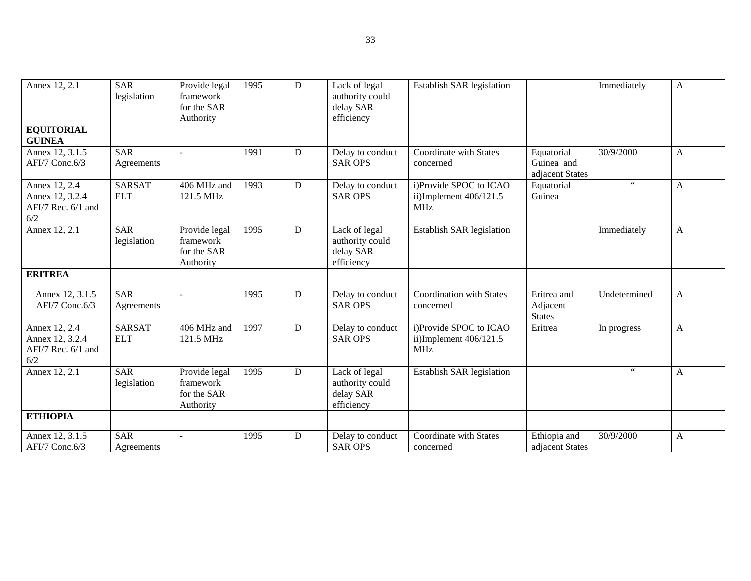| Annex 12, 2.1                                                 | <b>SAR</b><br>legislation   | Provide legal<br>framework<br>for the SAR<br>Authority | 1995 | D | Lack of legal<br>authority could<br>delay SAR<br>efficiency | Establish SAR legislation                                        |                                             | Immediately          | $\mathbf{A}$ |
|---------------------------------------------------------------|-----------------------------|--------------------------------------------------------|------|---|-------------------------------------------------------------|------------------------------------------------------------------|---------------------------------------------|----------------------|--------------|
| <b>EQUITORIAL</b><br><b>GUINEA</b>                            |                             |                                                        |      |   |                                                             |                                                                  |                                             |                      |              |
| Annex 12, 3.1.5<br>AFI/7 Conc.6/3                             | <b>SAR</b><br>Agreements    |                                                        | 1991 | D | Delay to conduct<br><b>SAR OPS</b>                          | Coordinate with States<br>concerned                              | Equatorial<br>Guinea and<br>adjacent States | 30/9/2000            | A            |
| Annex 12, 2.4<br>Annex 12, 3.2.4<br>AFI/7 Rec. 6/1 and<br>6/2 | <b>SARSAT</b><br><b>ELT</b> | 406 MHz and<br>121.5 MHz                               | 1993 | D | Delay to conduct<br><b>SAR OPS</b>                          | i)Provide SPOC to ICAO<br>ii)Implement 406/121.5<br><b>MHz</b>   | Equatorial<br>Guinea                        | $\epsilon\epsilon$   | A            |
| Annex 12, 2.1                                                 | <b>SAR</b><br>legislation   | Provide legal<br>framework<br>for the SAR<br>Authority | 1995 | D | Lack of legal<br>authority could<br>delay SAR<br>efficiency | Establish SAR legislation                                        |                                             | Immediately          | A            |
| <b>ERITREA</b>                                                |                             |                                                        |      |   |                                                             |                                                                  |                                             |                      |              |
| Annex 12, 3.1.5<br>AFI/7 Conc.6/3                             | <b>SAR</b><br>Agreements    |                                                        | 1995 | D | Delay to conduct<br><b>SAR OPS</b>                          | <b>Coordination with States</b><br>concerned                     | Eritrea and<br>Adjacent<br><b>States</b>    | Undetermined         | A            |
| Annex 12, 2.4<br>Annex 12, 3.2.4<br>AFI/7 Rec. 6/1 and<br>6/2 | <b>SARSAT</b><br><b>ELT</b> | $\overline{406}$ MHz and<br>121.5 MHz                  | 1997 | D | Delay to conduct<br><b>SAR OPS</b>                          | i)Provide SPOC to ICAO<br>ii)Implement $406/121.5$<br><b>MHz</b> | Eritrea                                     | In progress          | A            |
| Annex 12, 2.1                                                 | <b>SAR</b><br>legislation   | Provide legal<br>framework<br>for the SAR<br>Authority | 1995 | D | Lack of legal<br>authority could<br>delay SAR<br>efficiency | Establish SAR legislation                                        |                                             | $\epsilon\,\epsilon$ | A            |
| <b>ETHIOPIA</b>                                               |                             |                                                        |      |   |                                                             |                                                                  |                                             |                      |              |
| Annex 12, 3.1.5<br>AFI/7 Conc.6/3                             | <b>SAR</b><br>Agreements    |                                                        | 1995 | D | Delay to conduct<br><b>SAR OPS</b>                          | Coordinate with States<br>concerned                              | Ethiopia and<br>adjacent States             | 30/9/2000            | A            |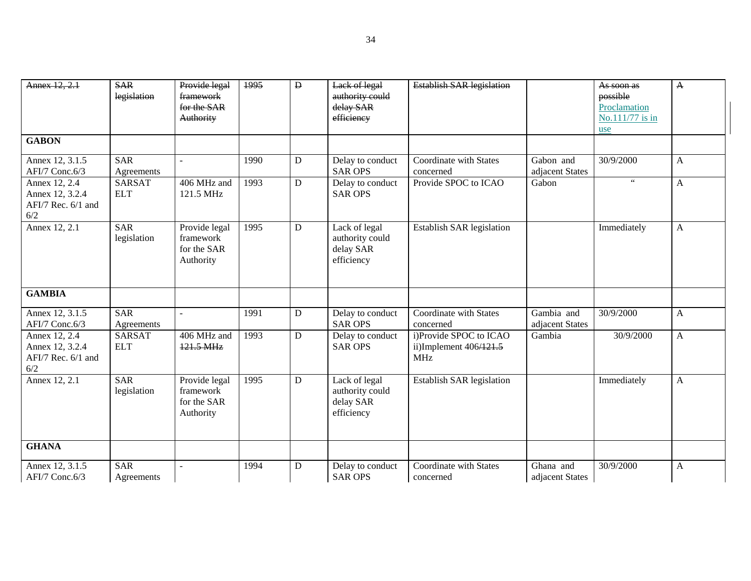| Annex 12, 2.1                                                 | <b>SAR</b><br>legislation   | Provide legal<br>framework<br>for the SAR<br>Authority | 1995 | $\mathbf{D}$ | Lack of legal<br>authority could<br>delay SAR<br>efficiency | <b>Establish SAR legislation</b>                                 |                               | As soon as<br>possible<br>Proclamation<br>No.111/77 is in | $\mathbf{A}$ |
|---------------------------------------------------------------|-----------------------------|--------------------------------------------------------|------|--------------|-------------------------------------------------------------|------------------------------------------------------------------|-------------------------------|-----------------------------------------------------------|--------------|
| <b>GABON</b>                                                  |                             |                                                        |      |              |                                                             |                                                                  |                               | use                                                       |              |
| Annex 12, 3.1.5<br>AFI/7 Conc.6/3                             | <b>SAR</b><br>Agreements    |                                                        | 1990 | $\mathbf D$  | Delay to conduct<br><b>SAR OPS</b>                          | Coordinate with States<br>concerned                              | Gabon and<br>adjacent States  | 30/9/2000                                                 | $\mathbf{A}$ |
| Annex 12, 2.4<br>Annex 12, 3.2.4<br>AFI/7 Rec. 6/1 and<br>6/2 | <b>SARSAT</b><br><b>ELT</b> | 406 MHz and<br>121.5 MHz                               | 1993 | $\mathbf D$  | Delay to conduct<br><b>SAR OPS</b>                          | Provide SPOC to ICAO                                             | Gabon                         | $66\,$                                                    | $\mathbf{A}$ |
| Annex 12, 2.1                                                 | <b>SAR</b><br>legislation   | Provide legal<br>framework<br>for the SAR<br>Authority | 1995 | D            | Lack of legal<br>authority could<br>delay SAR<br>efficiency | Establish SAR legislation                                        |                               | Immediately                                               | A            |
| <b>GAMBIA</b>                                                 |                             |                                                        |      |              |                                                             |                                                                  |                               |                                                           |              |
| Annex 12, 3.1.5<br>AFI/7 Conc.6/3                             | <b>SAR</b><br>Agreements    | $\overline{a}$                                         | 1991 | D            | Delay to conduct<br><b>SAR OPS</b>                          | Coordinate with States<br>concerned                              | Gambia and<br>adjacent States | 30/9/2000                                                 | $\mathbf{A}$ |
| Annex 12, 2.4<br>Annex 12, 3.2.4<br>AFI/7 Rec. 6/1 and<br>6/2 | <b>SARSAT</b><br><b>ELT</b> | 406 MHz and<br>121.5 MHz                               | 1993 | D            | Delay to conduct<br><b>SAR OPS</b>                          | i)Provide SPOC to ICAO<br>ii)Implement $406/121.5$<br><b>MHz</b> | Gambia                        | 30/9/2000                                                 | $\mathbf{A}$ |
| Annex 12, 2.1                                                 | <b>SAR</b><br>legislation   | Provide legal<br>framework<br>for the SAR<br>Authority | 1995 | $\mathbf D$  | Lack of legal<br>authority could<br>delay SAR<br>efficiency | Establish SAR legislation                                        |                               | Immediately                                               | $\mathbf{A}$ |
| <b>GHANA</b>                                                  |                             |                                                        |      |              |                                                             |                                                                  |                               |                                                           |              |
| Annex 12, 3.1.5<br>AFI/7 Conc.6/3                             | <b>SAR</b><br>Agreements    | $\overline{a}$                                         | 1994 | $\mathbf D$  | Delay to conduct<br><b>SAR OPS</b>                          | Coordinate with States<br>concerned                              | Ghana and<br>adjacent States  | $\frac{1}{30}/9/2000$                                     | A            |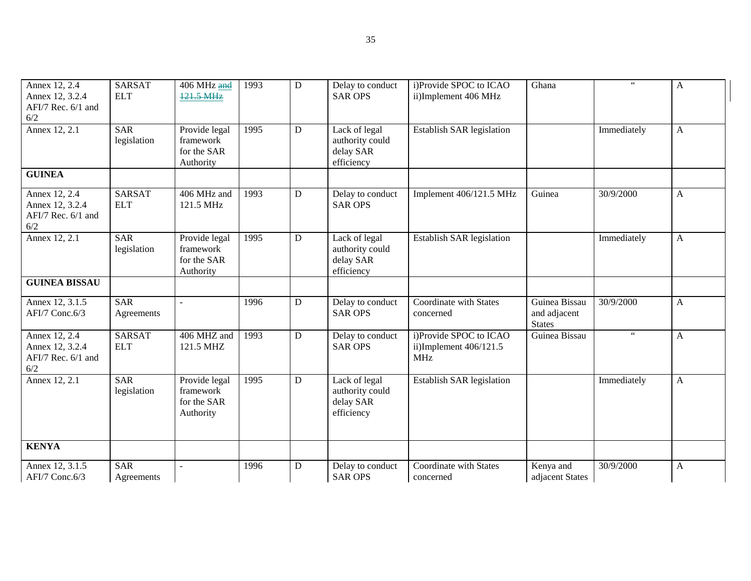| Annex 12, 2.4<br>Annex 12, 3.2.4<br>AFI/7 Rec. 6/1 and<br>6/2 | <b>SARSAT</b><br><b>ELT</b> | 406 MHz and<br>121.5 MHz                               | 1993 | D         | Delay to conduct<br><b>SAR OPS</b>                          | i)Provide SPOC to ICAO<br>ii)Implement 406 MHz                 | Ghana                                          | $66\,$               | A            |
|---------------------------------------------------------------|-----------------------------|--------------------------------------------------------|------|-----------|-------------------------------------------------------------|----------------------------------------------------------------|------------------------------------------------|----------------------|--------------|
| Annex 12, 2.1                                                 | <b>SAR</b><br>legislation   | Provide legal<br>framework<br>for the SAR<br>Authority | 1995 | D         | Lack of legal<br>authority could<br>delay SAR<br>efficiency | Establish SAR legislation                                      |                                                | Immediately          | A            |
| <b>GUINEA</b>                                                 |                             |                                                        |      |           |                                                             |                                                                |                                                |                      |              |
| Annex 12, 2.4<br>Annex 12, 3.2.4<br>AFI/7 Rec. 6/1 and<br>6/2 | <b>SARSAT</b><br><b>ELT</b> | 406 MHz and<br>121.5 MHz                               | 1993 | ${\bf D}$ | Delay to conduct<br><b>SAR OPS</b>                          | Implement 406/121.5 MHz                                        | Guinea                                         | 30/9/2000            | A            |
| Annex 12, 2.1                                                 | <b>SAR</b><br>legislation   | Provide legal<br>framework<br>for the SAR<br>Authority | 1995 | D         | Lack of legal<br>authority could<br>delay SAR<br>efficiency | Establish SAR legislation                                      |                                                | Immediately          | A            |
| <b>GUINEA BISSAU</b>                                          |                             |                                                        |      |           |                                                             |                                                                |                                                |                      |              |
| Annex 12, 3.1.5<br>AFI/7 Conc.6/3                             | <b>SAR</b><br>Agreements    | $\sim$                                                 | 1996 | ${\bf D}$ | Delay to conduct<br><b>SAR OPS</b>                          | Coordinate with States<br>concerned                            | Guinea Bissau<br>and adjacent<br><b>States</b> | 30/9/2000            | A            |
| Annex 12, 2.4<br>Annex 12, 3.2.4<br>AFI/7 Rec. 6/1 and<br>6/2 | <b>SARSAT</b><br><b>ELT</b> | 406 MHZ and<br>121.5 MHZ                               | 1993 | D         | Delay to conduct<br><b>SAR OPS</b>                          | i)Provide SPOC to ICAO<br>ii)Implement 406/121.5<br><b>MHz</b> | Guinea Bissau                                  | $\epsilon\,\epsilon$ | A            |
| Annex 12, 2.1                                                 | <b>SAR</b><br>legislation   | Provide legal<br>framework<br>for the SAR<br>Authority | 1995 | D         | Lack of legal<br>authority could<br>delay SAR<br>efficiency | <b>Establish SAR legislation</b>                               |                                                | Immediately          | $\mathbf{A}$ |
| <b>KENYA</b>                                                  |                             |                                                        |      |           |                                                             |                                                                |                                                |                      |              |
| Annex 12, 3.1.5<br>AFI/7 Conc.6/3                             | <b>SAR</b><br>Agreements    | $\sim$                                                 | 1996 | D         | Delay to conduct<br><b>SAR OPS</b>                          | Coordinate with States<br>concerned                            | Kenya and<br>adjacent States                   | 30/9/2000            | A            |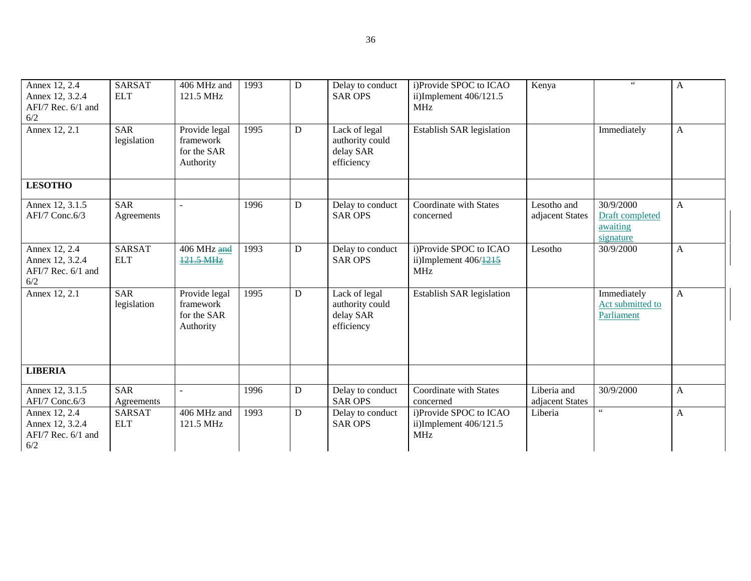| Annex 12, 2.4<br>Annex 12, 3.2.4<br>AFI/7 Rec. 6/1 and<br>6/2 | <b>SARSAT</b><br><b>ELT</b> | 406 MHz and<br>121.5 MHz                               | 1993 | D         | Delay to conduct<br><b>SAR OPS</b>                          | i)Provide SPOC to ICAO<br>ii)Implement $406/121.5$<br><b>MHz</b>            | Kenya                          | $66$                                                  | $\mathbf{A}$ |
|---------------------------------------------------------------|-----------------------------|--------------------------------------------------------|------|-----------|-------------------------------------------------------------|-----------------------------------------------------------------------------|--------------------------------|-------------------------------------------------------|--------------|
| Annex 12, 2.1                                                 | <b>SAR</b><br>legislation   | Provide legal<br>framework<br>for the SAR<br>Authority | 1995 | D         | Lack of legal<br>authority could<br>delay SAR<br>efficiency | Establish SAR legislation                                                   |                                | Immediately                                           | $\mathbf{A}$ |
| <b>LESOTHO</b>                                                |                             |                                                        |      |           |                                                             |                                                                             |                                |                                                       |              |
| Annex 12, 3.1.5<br>AFI/7 Conc.6/3                             | <b>SAR</b><br>Agreements    | $\sim$                                                 | 1996 | D         | Delay to conduct<br><b>SAR OPS</b>                          | Coordinate with States<br>concerned                                         | Lesotho and<br>adjacent States | 30/9/2000<br>Draft completed<br>awaiting<br>signature | $\mathbf{A}$ |
| Annex 12, 2.4<br>Annex 12, 3.2.4<br>AFI/7 Rec. 6/1 and<br>6/2 | <b>SARSAT</b><br><b>ELT</b> | 406 MHz and<br>121.5 MHz                               | 1993 | ${\bf D}$ | Delay to conduct<br><b>SAR OPS</b>                          | i)Provide SPOC to ICAO<br>ii)Implement $406/\underline{1215}$<br><b>MHz</b> | Lesotho                        | 30/9/2000                                             | $\mathbf{A}$ |
| Annex 12, 2.1                                                 | <b>SAR</b><br>legislation   | Provide legal<br>framework<br>for the SAR<br>Authority | 1995 | ${\bf D}$ | Lack of legal<br>authority could<br>delay SAR<br>efficiency | <b>Establish SAR legislation</b>                                            |                                | Immediately<br>Act submitted to<br>Parliament         | $\mathbf{A}$ |
| <b>LIBERIA</b>                                                |                             |                                                        |      |           |                                                             |                                                                             |                                |                                                       |              |
| Annex 12, 3.1.5<br>AFI/7 Conc.6/3                             | <b>SAR</b><br>Agreements    | $\overline{\phantom{a}}$                               | 1996 | ${\bf D}$ | Delay to conduct<br><b>SAR OPS</b>                          | Coordinate with States<br>concerned                                         | Liberia and<br>adjacent States | 30/9/2000                                             | A            |
| Annex 12, 2.4<br>Annex 12, 3.2.4<br>AFI/7 Rec. 6/1 and<br>6/2 | <b>SARSAT</b><br><b>ELT</b> | 406 MHz and<br>121.5 MHz                               | 1993 | D         | Delay to conduct<br><b>SAR OPS</b>                          | i)Provide SPOC to ICAO<br>ii)Implement $406/121.5$<br><b>MHz</b>            | Liberia                        | $\boldsymbol{\zeta} \, \boldsymbol{\zeta}$            | A            |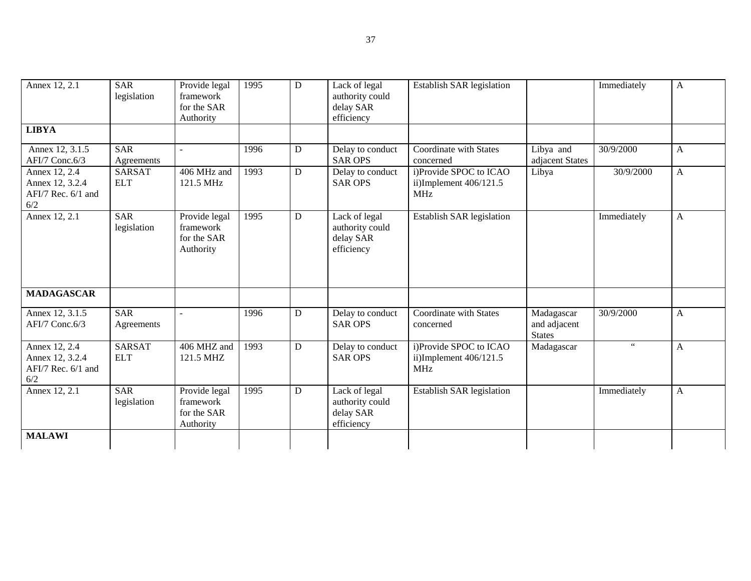| Annex 12, 2.1                                                 | <b>SAR</b><br>legislation   | Provide legal<br>framework<br>for the SAR<br>Authority | 1995 | D            | Lack of legal<br>authority could<br>delay SAR<br>efficiency | Establish SAR legislation                                        |                                             | Immediately | A            |
|---------------------------------------------------------------|-----------------------------|--------------------------------------------------------|------|--------------|-------------------------------------------------------------|------------------------------------------------------------------|---------------------------------------------|-------------|--------------|
| <b>LIBYA</b>                                                  |                             |                                                        |      |              |                                                             |                                                                  |                                             |             |              |
| Annex 12, 3.1.5<br>AFI/7 Conc.6/3                             | <b>SAR</b><br>Agreements    | $\sim$                                                 | 1996 | D            | Delay to conduct<br><b>SAR OPS</b>                          | Coordinate with States<br>concerned                              | Libya and<br>adjacent States                | 30/9/2000   | $\mathbf{A}$ |
| Annex 12, 2.4<br>Annex 12, 3.2.4<br>AFI/7 Rec. 6/1 and<br>6/2 | <b>SARSAT</b><br><b>ELT</b> | 406 MHz and<br>121.5 MHz                               | 1993 | D            | Delay to conduct<br><b>SAR OPS</b>                          | i)Provide SPOC to ICAO<br>ii)Implement $406/121.5$<br><b>MHz</b> | Libya                                       | 30/9/2000   | $\mathbf{A}$ |
| Annex 12, 2.1                                                 | <b>SAR</b><br>legislation   | Provide legal<br>framework<br>for the SAR<br>Authority | 1995 | $\mathbf{D}$ | Lack of legal<br>authority could<br>delay SAR<br>efficiency | Establish SAR legislation                                        |                                             | Immediately | A            |
| <b>MADAGASCAR</b>                                             |                             |                                                        |      |              |                                                             |                                                                  |                                             |             |              |
| Annex 12, 3.1.5<br>AFI/7 Conc.6/3                             | <b>SAR</b><br>Agreements    |                                                        | 1996 | D            | Delay to conduct<br><b>SAR OPS</b>                          | Coordinate with States<br>concerned                              | Madagascar<br>and adjacent<br><b>States</b> | 30/9/2000   | $\mathbf{A}$ |
| Annex 12, 2.4<br>Annex 12, 3.2.4<br>AFI/7 Rec. 6/1 and<br>6/2 | <b>SARSAT</b><br><b>ELT</b> | 406 MHZ and<br>121.5 MHZ                               | 1993 | D            | Delay to conduct<br><b>SAR OPS</b>                          | i)Provide SPOC to ICAO<br>ii)Implement $406/121.5$<br><b>MHz</b> | Madagascar                                  | $\,$ 6 $\,$ | $\mathbf{A}$ |
| Annex 12, 2.1                                                 | SAR<br>legislation          | Provide legal<br>framework<br>for the SAR<br>Authority | 1995 | D            | Lack of legal<br>authority could<br>delay SAR<br>efficiency | Establish SAR legislation                                        |                                             | Immediately | A            |
| <b>MALAWI</b>                                                 |                             |                                                        |      |              |                                                             |                                                                  |                                             |             |              |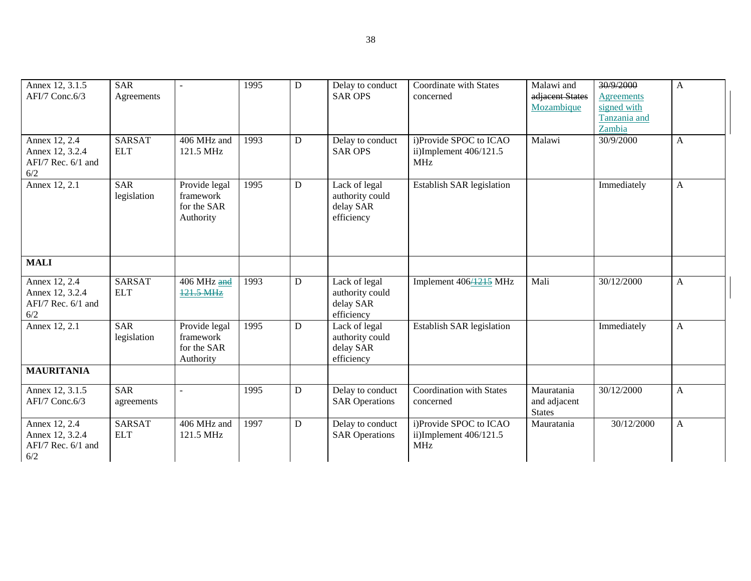| Annex 12, 3.1.5    | <b>SAR</b>    |               | 1995 | $\mathbf D$ | Delay to conduct      | Coordinate with States           | Malawi and      | 30/9/2000         | A |
|--------------------|---------------|---------------|------|-------------|-----------------------|----------------------------------|-----------------|-------------------|---|
| AFI/7 Conc.6/3     | Agreements    |               |      |             | <b>SAR OPS</b>        | concerned                        | adjacent States | <b>Agreements</b> |   |
|                    |               |               |      |             |                       |                                  | Mozambique      | signed with       |   |
|                    |               |               |      |             |                       |                                  |                 | Tanzania and      |   |
|                    |               |               |      |             |                       |                                  |                 | Zambia            |   |
| Annex 12, 2.4      | <b>SARSAT</b> | 406 MHz and   | 1993 | D           | Delay to conduct      | i)Provide SPOC to ICAO           | Malawi          | 30/9/2000         | A |
|                    |               |               |      |             |                       |                                  |                 |                   |   |
| Annex 12, 3.2.4    | <b>ELT</b>    | 121.5 MHz     |      |             | <b>SAR OPS</b>        | ii)Implement $406/121.5$         |                 |                   |   |
| AFI/7 Rec. 6/1 and |               |               |      |             |                       | <b>MHz</b>                       |                 |                   |   |
| 6/2                |               |               |      |             |                       |                                  |                 |                   |   |
| Annex 12, 2.1      | <b>SAR</b>    | Provide legal | 1995 | D           | Lack of legal         | Establish SAR legislation        |                 | Immediately       | A |
|                    | legislation   | framework     |      |             | authority could       |                                  |                 |                   |   |
|                    |               | for the SAR   |      |             | delay SAR             |                                  |                 |                   |   |
|                    |               | Authority     |      |             | efficiency            |                                  |                 |                   |   |
|                    |               |               |      |             |                       |                                  |                 |                   |   |
|                    |               |               |      |             |                       |                                  |                 |                   |   |
|                    |               |               |      |             |                       |                                  |                 |                   |   |
|                    |               |               |      |             |                       |                                  |                 |                   |   |
| <b>MALI</b>        |               |               |      |             |                       |                                  |                 |                   |   |
|                    |               |               |      |             |                       |                                  |                 |                   |   |
| Annex 12, 2.4      | <b>SARSAT</b> | 406 MHz and   | 1993 | D           | Lack of legal         | Implement 406/1215 MHz           | Mali            | 30/12/2000        | A |
| Annex 12, 3.2.4    | <b>ELT</b>    | 121.5 MHz     |      |             | authority could       |                                  |                 |                   |   |
| AFI/7 Rec. 6/1 and |               |               |      |             | delay SAR             |                                  |                 |                   |   |
| 6/2                |               |               |      |             | efficiency            |                                  |                 |                   |   |
| Annex 12, 2.1      | <b>SAR</b>    | Provide legal | 1995 | D           | Lack of legal         | <b>Establish SAR legislation</b> |                 | Immediately       | A |
|                    |               | framework     |      |             |                       |                                  |                 |                   |   |
|                    | legislation   |               |      |             | authority could       |                                  |                 |                   |   |
|                    |               | for the SAR   |      |             | delay SAR             |                                  |                 |                   |   |
|                    |               | Authority     |      |             | efficiency            |                                  |                 |                   |   |
| <b>MAURITANIA</b>  |               |               |      |             |                       |                                  |                 |                   |   |
|                    |               |               |      |             |                       |                                  |                 |                   |   |
| Annex 12, 3.1.5    | <b>SAR</b>    |               | 1995 | ${\bf D}$   | Delay to conduct      | <b>Coordination</b> with States  | Mauratania      | 30/12/2000        | A |
| AFI/7 Conc.6/3     | agreements    |               |      |             | <b>SAR Operations</b> | concerned                        | and adjacent    |                   |   |
|                    |               |               |      |             |                       |                                  | <b>States</b>   |                   |   |
| Annex 12, 2.4      | <b>SARSAT</b> | 406 MHz and   | 1997 | D           | Delay to conduct      | i)Provide SPOC to ICAO           | Mauratania      | 30/12/2000        | A |
| Annex 12, 3.2.4    | <b>ELT</b>    | 121.5 MHz     |      |             | <b>SAR Operations</b> | ii)Implement 406/121.5           |                 |                   |   |
| AFI/7 Rec. 6/1 and |               |               |      |             |                       | <b>MHz</b>                       |                 |                   |   |
|                    |               |               |      |             |                       |                                  |                 |                   |   |
| 6/2                |               |               |      |             |                       |                                  |                 |                   |   |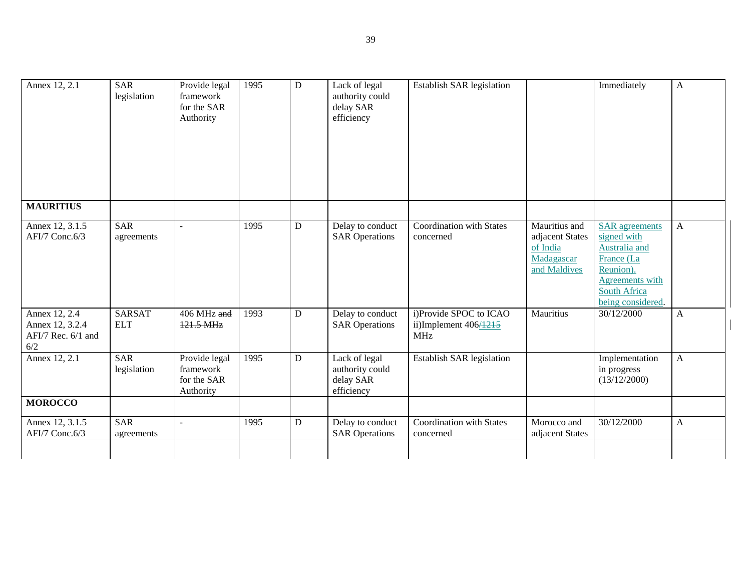| Annex 12, 2.1                                                 | <b>SAR</b><br>legislation   | Provide legal<br>framework<br>for the SAR<br>Authority | 1995 | $\overline{D}$ | Lack of legal<br>authority could<br>delay SAR<br>efficiency | Establish SAR legislation                                                 |                                                                            | Immediately                                                                                                                                     | $\mathbf{A}$ |
|---------------------------------------------------------------|-----------------------------|--------------------------------------------------------|------|----------------|-------------------------------------------------------------|---------------------------------------------------------------------------|----------------------------------------------------------------------------|-------------------------------------------------------------------------------------------------------------------------------------------------|--------------|
| <b>MAURITIUS</b>                                              |                             |                                                        |      |                |                                                             |                                                                           |                                                                            |                                                                                                                                                 |              |
| Annex 12, 3.1.5<br>AFI/7 Conc.6/3                             | <b>SAR</b><br>agreements    |                                                        | 1995 | ${\bf D}$      | Delay to conduct<br><b>SAR Operations</b>                   | Coordination with States<br>concerned                                     | Mauritius and<br>adjacent States<br>of India<br>Madagascar<br>and Maldives | <b>SAR</b> agreements<br>signed with<br>Australia and<br>France (La<br>Reunion).<br>Agreements with<br><b>South Africa</b><br>being considered. | $\mathbf{A}$ |
| Annex 12, 2.4<br>Annex 12, 3.2.4<br>AFI/7 Rec. 6/1 and<br>6/2 | <b>SARSAT</b><br><b>ELT</b> | 406 MHz and<br>$121.5 \text{ MHz}$                     | 1993 | D              | Delay to conduct<br><b>SAR Operations</b>                   | i)Provide SPOC to ICAO<br>ii)Implement $406\overline{4215}$<br><b>MHz</b> | Mauritius                                                                  | 30/12/2000                                                                                                                                      | A            |
| Annex 12, 2.1                                                 | <b>SAR</b><br>legislation   | Provide legal<br>framework<br>for the SAR<br>Authority | 1995 | ${\bf D}$      | Lack of legal<br>authority could<br>delay SAR<br>efficiency | Establish SAR legislation                                                 |                                                                            | Implementation<br>in progress<br>(13/12/2000)                                                                                                   | $\mathbf{A}$ |
| <b>MOROCCO</b>                                                |                             |                                                        |      |                |                                                             |                                                                           |                                                                            |                                                                                                                                                 |              |
| Annex 12, 3.1.5<br>AFI/7 Conc.6/3                             | <b>SAR</b><br>agreements    | $\sim$                                                 | 1995 | ${\bf D}$      | Delay to conduct<br><b>SAR Operations</b>                   | Coordination with States<br>concerned                                     | Morocco and<br>adjacent States                                             | 30/12/2000                                                                                                                                      | $\mathbf{A}$ |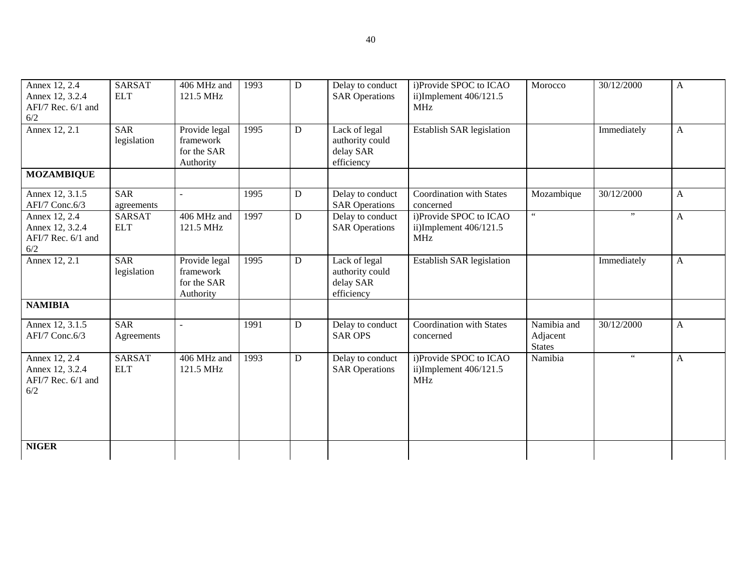| Annex 12, 2.4<br>Annex 12, 3.2.4<br>AFI/7 Rec. 6/1 and<br>6/2 | <b>SARSAT</b><br><b>ELT</b> | 406 MHz and<br>121.5 MHz                               | 1993 | D              | Delay to conduct<br><b>SAR Operations</b>                   | i)Provide SPOC to ICAO<br>ii)Implement $406/121.5$<br><b>MHz</b> | Morocco                                  | 30/12/2000           | $\mathbf{A}$ |
|---------------------------------------------------------------|-----------------------------|--------------------------------------------------------|------|----------------|-------------------------------------------------------------|------------------------------------------------------------------|------------------------------------------|----------------------|--------------|
| Annex 12, 2.1                                                 | <b>SAR</b><br>legislation   | Provide legal<br>framework<br>for the SAR<br>Authority | 1995 | D              | Lack of legal<br>authority could<br>delay SAR<br>efficiency | Establish SAR legislation                                        |                                          | Immediately          | $\mathbf{A}$ |
| <b>MOZAMBIQUE</b>                                             |                             |                                                        |      |                |                                                             |                                                                  |                                          |                      |              |
| Annex 12, 3.1.5<br>AFI/7 Conc.6/3                             | <b>SAR</b><br>agreements    |                                                        | 1995 | ${\bf D}$      | Delay to conduct<br><b>SAR Operations</b>                   | <b>Coordination with States</b><br>concerned                     | Mozambique                               | 30/12/2000           | $\mathbf{A}$ |
| Annex 12, 2.4<br>Annex 12, 3.2.4<br>AFI/7 Rec. 6/1 and<br>6/2 | <b>SARSAT</b><br><b>ELT</b> | 406 MHz and<br>121.5 MHz                               | 1997 | $\overline{D}$ | Delay to conduct<br><b>SAR Operations</b>                   | i)Provide SPOC to ICAO<br>ii)Implement 406/121.5<br><b>MHz</b>   | $\zeta\,\zeta$                           | , ,                  | $\mathbf{A}$ |
| Annex 12, 2.1                                                 | <b>SAR</b><br>legislation   | Provide legal<br>framework<br>for the SAR<br>Authority | 1995 | ${\bf D}$      | Lack of legal<br>authority could<br>delay SAR<br>efficiency | Establish SAR legislation                                        |                                          | Immediately          | $\mathbf{A}$ |
| <b>NAMIBIA</b>                                                |                             |                                                        |      |                |                                                             |                                                                  |                                          |                      |              |
| Annex 12, 3.1.5<br>AFI/7 Conc.6/3                             | <b>SAR</b><br>Agreements    |                                                        | 1991 | ${\bf D}$      | Delay to conduct<br><b>SAR OPS</b>                          | Coordination with States<br>concerned                            | Namibia and<br>Adjacent<br><b>States</b> | 30/12/2000           | $\mathbf{A}$ |
| Annex 12, 2.4<br>Annex 12, 3.2.4<br>AFI/7 Rec. 6/1 and<br>6/2 | <b>SARSAT</b><br><b>ELT</b> | 406 MHz and<br>121.5 MHz                               | 1993 | D              | Delay to conduct<br><b>SAR Operations</b>                   | i)Provide SPOC to ICAO<br>ii)Implement $406/121.5$<br><b>MHz</b> | Namibia                                  | $\epsilon\,\epsilon$ | $\mathbf{A}$ |
| <b>NIGER</b>                                                  |                             |                                                        |      |                |                                                             |                                                                  |                                          |                      |              |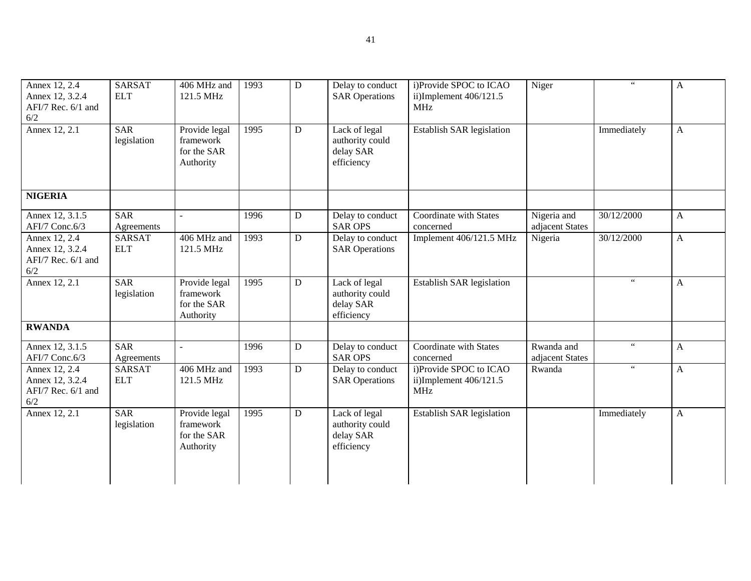| Annex 12, 2.4<br>Annex 12, 3.2.4<br>AFI/7 Rec. 6/1 and<br>6/2 | <b>SARSAT</b><br><b>ELT</b> | 406 MHz and<br>121.5 MHz                               | 1993 | D         | Delay to conduct<br><b>SAR Operations</b>                   | i)Provide SPOC to ICAO<br>ii)Implement 406/121.5<br><b>MHz</b> | Niger                          | $\epsilon\,\epsilon$  | $\mathbf{A}$          |
|---------------------------------------------------------------|-----------------------------|--------------------------------------------------------|------|-----------|-------------------------------------------------------------|----------------------------------------------------------------|--------------------------------|-----------------------|-----------------------|
| Annex 12, 2.1                                                 | <b>SAR</b><br>legislation   | Provide legal<br>framework<br>for the SAR<br>Authority | 1995 | ${\bf D}$ | Lack of legal<br>authority could<br>delay SAR<br>efficiency | Establish SAR legislation                                      |                                | Immediately           | $\mathbf{A}$          |
| <b>NIGERIA</b>                                                |                             |                                                        |      |           |                                                             |                                                                |                                |                       |                       |
| Annex 12, 3.1.5<br>AFI/7 Conc.6/3                             | <b>SAR</b><br>Agreements    |                                                        | 1996 | ${\bf D}$ | Delay to conduct<br><b>SAR OPS</b>                          | Coordinate with States<br>concerned                            | Nigeria and<br>adjacent States | 30/12/2000            | $\mathbf{A}$          |
| Annex 12, 2.4<br>Annex 12, 3.2.4<br>AFI/7 Rec. 6/1 and<br>6/2 | <b>SARSAT</b><br><b>ELT</b> | $\overline{406}$ MHz and<br>121.5 MHz                  | 1993 | ${\bf D}$ | Delay to conduct<br><b>SAR Operations</b>                   | Implement 406/121.5 MHz                                        | Nigeria                        | 30/12/2000            | $\mathbf{A}$          |
| Annex 12, 2.1                                                 | <b>SAR</b><br>legislation   | Provide legal<br>framework<br>for the SAR<br>Authority | 1995 | D         | Lack of legal<br>authority could<br>delay SAR<br>efficiency | <b>Establish SAR legislation</b>                               |                                | $\zeta$ $\zeta$       | $\mathbf{A}$          |
| <b>RWANDA</b>                                                 |                             |                                                        |      |           |                                                             |                                                                |                                |                       |                       |
| Annex 12, 3.1.5<br>AFI/7 Conc.6/3                             | <b>SAR</b><br>Agreements    | $\mathbf{r}$                                           | 1996 | ${\bf D}$ | Delay to conduct<br><b>SAR OPS</b>                          | Coordinate with States<br>concerned                            | Rwanda and<br>adjacent States  | $\epsilon\epsilon$    | $\mathbf{A}$          |
| Annex 12, 2.4<br>Annex 12, 3.2.4<br>AFI/7 Rec. 6/1 and<br>6/2 | <b>SARSAT</b><br><b>ELT</b> | 406 MHz and<br>121.5 MHz                               | 1993 | ${\bf D}$ | Delay to conduct<br><b>SAR Operations</b>                   | i)Provide SPOC to ICAO<br>ii)Implement 406/121.5<br><b>MHz</b> | Rwanda                         | $\epsilon$ $\epsilon$ | $\boldsymbol{\rm{A}}$ |
| Annex 12, 2.1                                                 | <b>SAR</b><br>legislation   | Provide legal<br>framework<br>for the SAR<br>Authority | 1995 | ${\bf D}$ | Lack of legal<br>authority could<br>delay SAR<br>efficiency | Establish SAR legislation                                      |                                | Immediately           | $\mathbf{A}$          |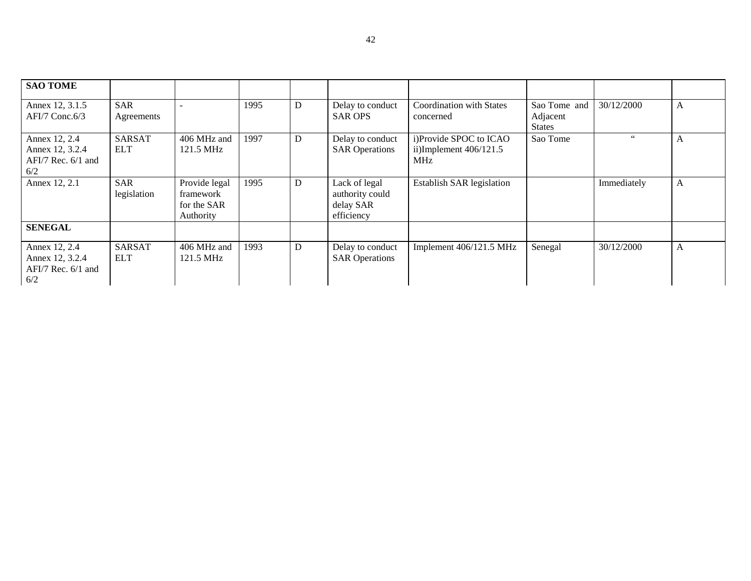| <b>SAO TOME</b>        |               |               |      |   |                       |                                  |               |             |   |
|------------------------|---------------|---------------|------|---|-----------------------|----------------------------------|---------------|-------------|---|
| Annex 12, 3.1.5        | <b>SAR</b>    |               | 1995 | D | Delay to conduct      | <b>Coordination with States</b>  | Sao Tome and  | 30/12/2000  | A |
| $AFI/7$ Conc. 6/3      | Agreements    |               |      |   | <b>SAR OPS</b>        | concerned                        | Adjacent      |             |   |
|                        |               |               |      |   |                       |                                  | <b>States</b> |             |   |
| Annex 12, 2.4          | <b>SARSAT</b> | 406 MHz and   | 1997 | D | Delay to conduct      | i)Provide SPOC to ICAO           | Sao Tome      | 66          | A |
| Annex 12, 3.2.4        | <b>ELT</b>    | 121.5 MHz     |      |   | <b>SAR Operations</b> | ii)Implement $406/121.5$         |               |             |   |
| $AFI/7$ Rec. $6/1$ and |               |               |      |   |                       | <b>MHz</b>                       |               |             |   |
| 6/2                    |               |               |      |   |                       |                                  |               |             |   |
| Annex 12, 2.1          | <b>SAR</b>    | Provide legal | 1995 | D | Lack of legal         | <b>Establish SAR legislation</b> |               | Immediately | A |
|                        | legislation   | framework     |      |   | authority could       |                                  |               |             |   |
|                        |               | for the SAR   |      |   | delay SAR             |                                  |               |             |   |
|                        |               | Authority     |      |   | efficiency            |                                  |               |             |   |
| <b>SENEGAL</b>         |               |               |      |   |                       |                                  |               |             |   |
| Annex 12, 2.4          | <b>SARSAT</b> | 406 MHz and   | 1993 | D | Delay to conduct      | Implement 406/121.5 MHz          | Senegal       | 30/12/2000  | A |
| Annex 12, 3.2.4        | <b>ELT</b>    | 121.5 MHz     |      |   | <b>SAR Operations</b> |                                  |               |             |   |
| $AFI/7$ Rec. $6/1$ and |               |               |      |   |                       |                                  |               |             |   |
| 6/2                    |               |               |      |   |                       |                                  |               |             |   |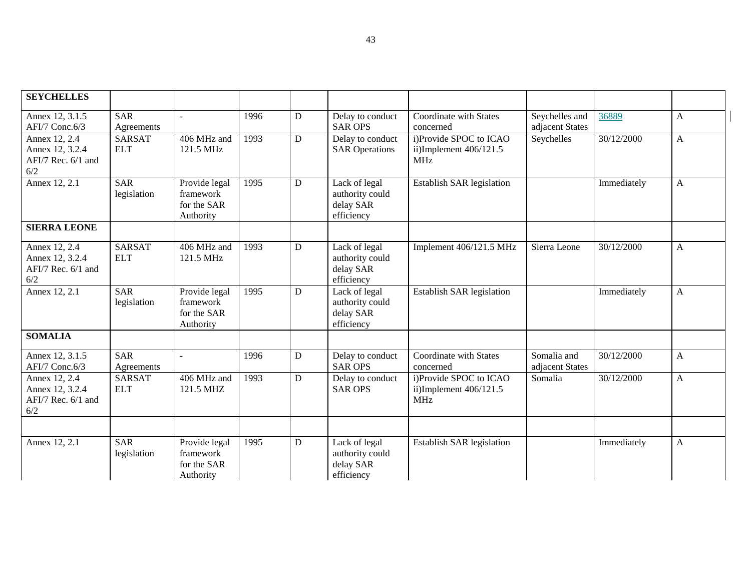| <b>SEYCHELLES</b>                                             |                             |                                                        |      |             |                                                             |                                                                  |                                   |                        |              |
|---------------------------------------------------------------|-----------------------------|--------------------------------------------------------|------|-------------|-------------------------------------------------------------|------------------------------------------------------------------|-----------------------------------|------------------------|--------------|
| Annex 12, 3.1.5<br>AFI/7 Conc.6/3                             | <b>SAR</b><br>Agreements    |                                                        | 1996 | D           | Delay to conduct<br><b>SAR OPS</b>                          | Coordinate with States<br>concerned                              | Seychelles and<br>adjacent States | 36889                  | $\mathbf{A}$ |
| Annex 12, 2.4<br>Annex 12, 3.2.4<br>AFI/7 Rec. 6/1 and<br>6/2 | <b>SARSAT</b><br><b>ELT</b> | 406 MHz and<br>121.5 MHz                               | 1993 | D           | Delay to conduct<br><b>SAR Operations</b>                   | i)Provide SPOC to ICAO<br>ii)Implement 406/121.5<br><b>MHz</b>   | Seychelles                        | $\frac{1}{30}/12/2000$ | $\mathbf{A}$ |
| Annex $\overline{12, 2.1}$                                    | <b>SAR</b><br>legislation   | Provide legal<br>framework<br>for the SAR<br>Authority | 1995 | D           | Lack of legal<br>authority could<br>delay SAR<br>efficiency | Establish SAR legislation                                        |                                   | Immediately            | $\mathbf{A}$ |
| <b>SIERRA LEONE</b>                                           |                             |                                                        |      |             |                                                             |                                                                  |                                   |                        |              |
| Annex 12, 2.4<br>Annex 12, 3.2.4<br>AFI/7 Rec. 6/1 and<br>6/2 | <b>SARSAT</b><br><b>ELT</b> | 406 MHz and<br>121.5 MHz                               | 1993 | $\mathbf D$ | Lack of legal<br>authority could<br>delay SAR<br>efficiency | Implement 406/121.5 MHz                                          | Sierra Leone                      | 30/12/2000             | $\mathbf{A}$ |
| Annex $12, 2.1$                                               | <b>SAR</b><br>legislation   | Provide legal<br>framework<br>for the SAR<br>Authority | 1995 | D           | Lack of legal<br>authority could<br>delay SAR<br>efficiency | Establish SAR legislation                                        |                                   | Immediately            | $\mathbf{A}$ |
| <b>SOMALIA</b>                                                |                             |                                                        |      |             |                                                             |                                                                  |                                   |                        |              |
| Annex 12, 3.1.5<br>AFI/7 Conc.6/3                             | <b>SAR</b><br>Agreements    | $\equiv$                                               | 1996 | D           | Delay to conduct<br><b>SAR OPS</b>                          | Coordinate with States<br>concerned                              | Somalia and<br>adjacent States    | 30/12/2000             | $\mathbf{A}$ |
| Annex 12, 2.4<br>Annex 12, 3.2.4<br>AFI/7 Rec. 6/1 and<br>6/2 | <b>SARSAT</b><br><b>ELT</b> | 406 MHz and<br>121.5 MHZ                               | 1993 | D           | Delay to conduct<br><b>SAR OPS</b>                          | i)Provide SPOC to ICAO<br>ii)Implement $406/121.5$<br><b>MHz</b> | Somalia                           | 30/12/2000             | $\mathbf{A}$ |
|                                                               |                             |                                                        |      |             |                                                             |                                                                  |                                   |                        |              |
| Annex 12, 2.1                                                 | <b>SAR</b><br>legislation   | Provide legal<br>framework<br>for the SAR<br>Authority | 1995 | D           | Lack of legal<br>authority could<br>delay SAR<br>efficiency | Establish SAR legislation                                        |                                   | Immediately            | $\mathbf{A}$ |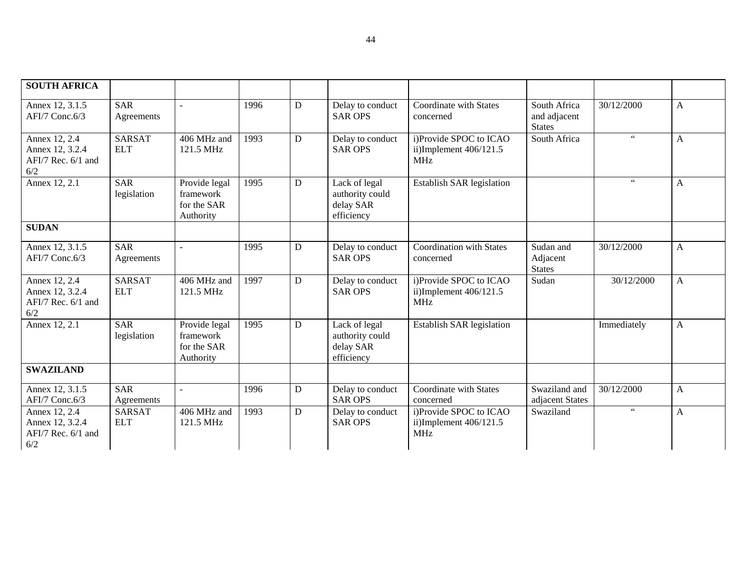| <b>SOUTH AFRICA</b>                                             |                             |                                                        |      |                |                                                             |                                                                |                                               |             |              |
|-----------------------------------------------------------------|-----------------------------|--------------------------------------------------------|------|----------------|-------------------------------------------------------------|----------------------------------------------------------------|-----------------------------------------------|-------------|--------------|
| Annex 12, 3.1.5<br>AFI/7 Conc.6/3                               | <b>SAR</b><br>Agreements    |                                                        | 1996 | D              | Delay to conduct<br><b>SAR OPS</b>                          | Coordinate with States<br>concerned                            | South Africa<br>and adjacent<br><b>States</b> | 30/12/2000  | A            |
| Annex 12, 2.4<br>Annex 12, 3.2.4<br>AFI/7 Rec. 6/1 and<br>6/2   | <b>SARSAT</b><br><b>ELT</b> | 406 MHz and<br>121.5 MHz                               | 1993 | D              | Delay to conduct<br><b>SAR OPS</b>                          | i)Provide SPOC to ICAO<br>ii)Implement 406/121.5<br>MHz        | South Africa                                  | 66          | $\mathbf{A}$ |
| Annex 12, 2.1                                                   | <b>SAR</b><br>legislation   | Provide legal<br>framework<br>for the SAR<br>Authority | 1995 | D              | Lack of legal<br>authority could<br>delay SAR<br>efficiency | <b>Establish SAR legislation</b>                               |                                               | 66          | A            |
| <b>SUDAN</b>                                                    |                             |                                                        |      |                |                                                             |                                                                |                                               |             |              |
| Annex 12, 3.1.5<br>AFI/7 Conc.6/3                               | SAR<br>Agreements           |                                                        | 1995 | $\overline{D}$ | Delay to conduct<br><b>SAR OPS</b>                          | <b>Coordination with States</b><br>concerned                   | Sudan and<br>Adjacent<br><b>States</b>        | 30/12/2000  | A            |
| Annex 12, 2.4<br>Annex 12, 3.2.4<br>AFI/7 Rec. 6/1 and<br>$6/2$ | <b>SARSAT</b><br><b>ELT</b> | 406 MHz and<br>121.5 MHz                               | 1997 | D              | Delay to conduct<br><b>SAR OPS</b>                          | i)Provide SPOC to ICAO<br>ii)Implement 406/121.5<br><b>MHz</b> | Sudan                                         | 30/12/2000  | A            |
| Annex $12, 2.1$                                                 | <b>SAR</b><br>legislation   | Provide legal<br>framework<br>for the SAR<br>Authority | 1995 | D              | Lack of legal<br>authority could<br>delay SAR<br>efficiency | Establish SAR legislation                                      |                                               | Immediately | A            |
| <b>SWAZILAND</b>                                                |                             |                                                        |      |                |                                                             |                                                                |                                               |             |              |
| Annex 12, 3.1.5<br>AFI/7 Conc.6/3                               | <b>SAR</b><br>Agreements    |                                                        | 1996 | $\mathbf D$    | Delay to conduct<br><b>SAR OPS</b>                          | Coordinate with States<br>concerned                            | Swaziland and<br>adjacent States              | 30/12/2000  | A            |
| Annex 12, 2.4<br>Annex 12, 3.2.4<br>AFI/7 Rec. 6/1 and<br>6/2   | <b>SARSAT</b><br><b>ELT</b> | 406 MHz and<br>121.5 MHz                               | 1993 | D              | Delay to conduct<br><b>SAR OPS</b>                          | i)Provide SPOC to ICAO<br>ii)Implement 406/121.5<br><b>MHz</b> | Swaziland                                     | $66\,$      | $\mathbf{A}$ |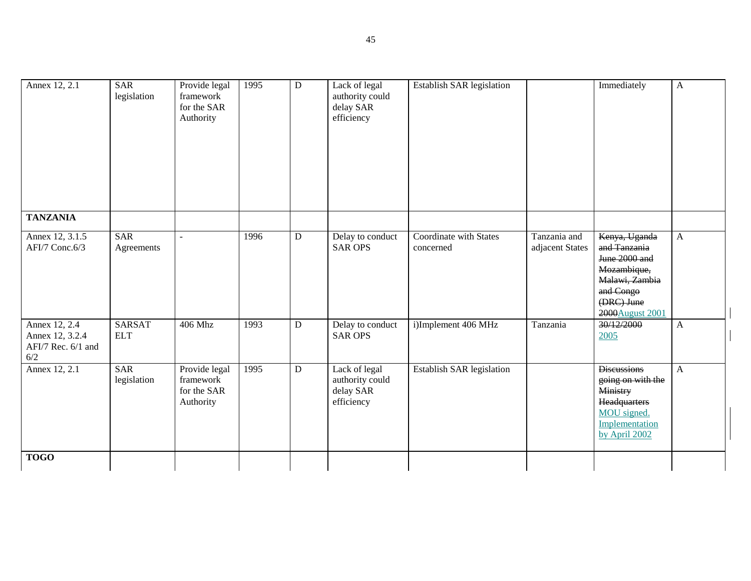| Annex 12, 2.1                                                 | <b>SAR</b><br>legislation   | Provide legal<br>framework<br>for the SAR<br>Authority | 1995 | $\mathbf D$    | Lack of legal<br>authority could<br>delay SAR<br>efficiency | Establish SAR legislation                  |                                 | Immediately                                                                                                                    | $\mathbf{A}$ |
|---------------------------------------------------------------|-----------------------------|--------------------------------------------------------|------|----------------|-------------------------------------------------------------|--------------------------------------------|---------------------------------|--------------------------------------------------------------------------------------------------------------------------------|--------------|
| <b>TANZANIA</b>                                               |                             |                                                        |      |                |                                                             |                                            |                                 |                                                                                                                                |              |
| Annex 12, 3.1.5<br>AFI/7 Conc.6/3                             | <b>SAR</b><br>Agreements    | $\sim$                                                 | 1996 | D              | Delay to conduct<br><b>SAR OPS</b>                          | <b>Coordinate with States</b><br>concerned | Tanzania and<br>adjacent States | Kenya, Uganda<br>and Tanzania<br>June 2000 and<br>Mozambique,<br>Malawi, Zambia<br>and Congo<br>(DRC) June<br>2000 August 2001 | $\mathbf{A}$ |
| Annex 12, 2.4<br>Annex 12, 3.2.4<br>AFI/7 Rec. 6/1 and<br>6/2 | <b>SARSAT</b><br><b>ELT</b> | 406 Mhz                                                | 1993 | $\overline{D}$ | Delay to conduct<br><b>SAR OPS</b>                          | i)Implement 406 MHz                        | Tanzania                        | 30/12/2000<br>2005                                                                                                             | $\mathbf{A}$ |
| Annex 12, 2.1                                                 | <b>SAR</b><br>legislation   | Provide legal<br>framework<br>for the SAR<br>Authority | 1995 | $\overline{D}$ | Lack of legal<br>authority could<br>delay SAR<br>efficiency | <b>Establish SAR legislation</b>           |                                 | <b>Discussions</b><br>going on with the<br>Ministry<br>Headquarters<br>MOU signed.<br>Implementation<br>by April 2002          | $\mathbf{A}$ |
| <b>TOGO</b>                                                   |                             |                                                        |      |                |                                                             |                                            |                                 |                                                                                                                                |              |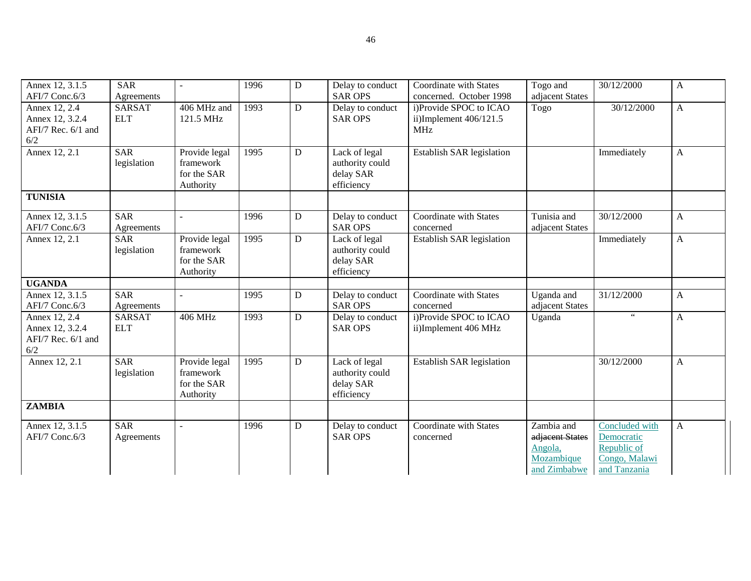| Annex 12, 3.1.5<br>AFI/7 Conc.6/3                               | <b>SAR</b><br>Agreements    | ÷.                                                     | 1996 | D | Delay to conduct<br><b>SAR OPS</b>                          | Coordinate with States<br>concerned. October 1998                | Togo and<br>adjacent States                                            | 30/12/2000                                                                   | A            |
|-----------------------------------------------------------------|-----------------------------|--------------------------------------------------------|------|---|-------------------------------------------------------------|------------------------------------------------------------------|------------------------------------------------------------------------|------------------------------------------------------------------------------|--------------|
| Annex 12, 2.4<br>Annex 12, 3.2.4<br>AFI/7 Rec. 6/1 and<br>6/2   | <b>SARSAT</b><br><b>ELT</b> | 406 MHz and<br>121.5 MHz                               | 1993 | D | Delay to conduct<br><b>SAR OPS</b>                          | i)Provide SPOC to ICAO<br>ii)Implement $406/121.5$<br><b>MHz</b> | Togo                                                                   | 30/12/2000                                                                   | $\mathbf{A}$ |
| Annex 12, 2.1                                                   | <b>SAR</b><br>legislation   | Provide legal<br>framework<br>for the SAR<br>Authority | 1995 | D | Lack of legal<br>authority could<br>delay SAR<br>efficiency | Establish SAR legislation                                        |                                                                        | Immediately                                                                  | A            |
| <b>TUNISIA</b>                                                  |                             |                                                        |      |   |                                                             |                                                                  |                                                                        |                                                                              |              |
| Annex 12, 3.1.5<br>AFI/7 Conc.6/3                               | <b>SAR</b><br>Agreements    | $\overline{a}$                                         | 1996 | D | Delay to conduct<br><b>SAR OPS</b>                          | Coordinate with States<br>concerned                              | Tunisia and<br>adjacent States                                         | 30/12/2000                                                                   | A            |
| Annex 12, 2.1                                                   | <b>SAR</b><br>legislation   | Provide legal<br>framework<br>for the SAR<br>Authority | 1995 | D | Lack of legal<br>authority could<br>delay SAR<br>efficiency | <b>Establish SAR legislation</b>                                 |                                                                        | Immediately                                                                  | $\mathbf{A}$ |
| <b>UGANDA</b>                                                   | <b>SAR</b>                  |                                                        | 1995 |   |                                                             |                                                                  |                                                                        | 31/12/2000                                                                   |              |
| Annex 12, 3.1.5<br>AFI/7 Conc.6/3                               | Agreements                  |                                                        |      | D | Delay to conduct<br><b>SAR OPS</b>                          | Coordinate with States<br>concerned                              | Uganda and<br>adjacent States                                          |                                                                              | A            |
| Annex 12, 2.4<br>Annex 12, 3.2.4<br>AFI/7 Rec. 6/1 and<br>$6/2$ | <b>SARSAT</b><br><b>ELT</b> | 406 MHz                                                | 1993 | D | Delay to conduct<br><b>SAR OPS</b>                          | i)Provide SPOC to ICAO<br>ii)Implement 406 MHz                   | Uganda                                                                 | $\zeta$ $\zeta$                                                              | $\mathbf{A}$ |
| Annex 12, 2.1                                                   | <b>SAR</b><br>legislation   | Provide legal<br>framework<br>for the SAR<br>Authority | 1995 | D | Lack of legal<br>authority could<br>delay SAR<br>efficiency | <b>Establish SAR legislation</b>                                 |                                                                        | 30/12/2000                                                                   | A            |
| <b>ZAMBIA</b>                                                   |                             |                                                        |      |   |                                                             |                                                                  |                                                                        |                                                                              |              |
| Annex 12, 3.1.5<br>AFI/7 Conc.6/3                               | <b>SAR</b><br>Agreements    |                                                        | 1996 | D | Delay to conduct<br><b>SAR OPS</b>                          | <b>Coordinate with States</b><br>concerned                       | Zambia and<br>adjacent States<br>Angola,<br>Mozambique<br>and Zimbabwe | Concluded with<br>Democratic<br>Republic of<br>Congo, Malawi<br>and Tanzania | A            |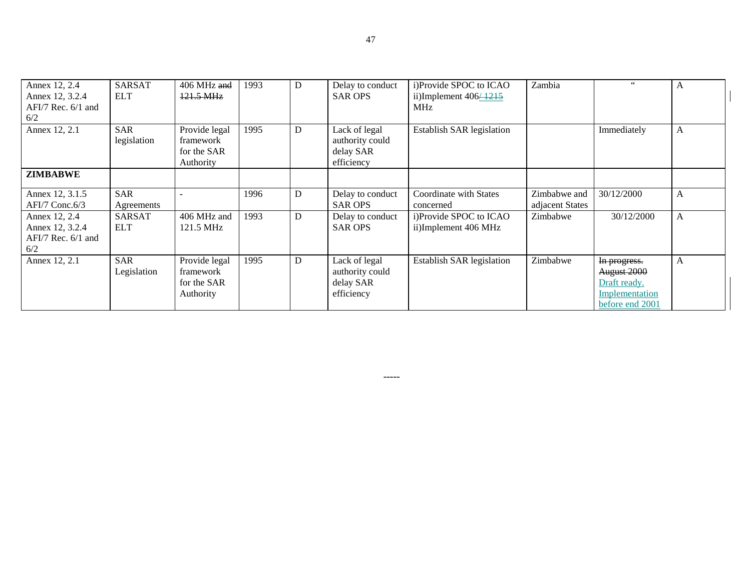| Annex 12, 2.4<br>Annex 12, 3.2.4<br>AFI/7 Rec. 6/1 and<br>6/2     | <b>SARSAT</b><br><b>ELT</b> | 406 MHz and<br>$121.5 \text{ MHz}$                     | 1993 | D | Delay to conduct<br><b>SAR OPS</b>                          | i)Provide SPOC to ICAO<br>ii)Implement $406\overline{+1215}$<br>MHz | Zambia                          | 66                                                                               | A            |
|-------------------------------------------------------------------|-----------------------------|--------------------------------------------------------|------|---|-------------------------------------------------------------|---------------------------------------------------------------------|---------------------------------|----------------------------------------------------------------------------------|--------------|
| Annex 12, 2.1                                                     | <b>SAR</b><br>legislation   | Provide legal<br>framework<br>for the SAR<br>Authority | 1995 | D | Lack of legal<br>authority could<br>delay SAR<br>efficiency | <b>Establish SAR legislation</b>                                    |                                 | Immediately                                                                      | A            |
| <b>ZIMBABWE</b>                                                   |                             |                                                        |      |   |                                                             |                                                                     |                                 |                                                                                  |              |
| Annex 12, 3.1.5<br>$AFI/7$ Conc.6/3                               | <b>SAR</b><br>Agreements    |                                                        | 1996 | D | Delay to conduct<br><b>SAR OPS</b>                          | Coordinate with States<br>concerned                                 | Zimbabwe and<br>adjacent States | 30/12/2000                                                                       | $\mathbf{A}$ |
| Annex 12, 2.4<br>Annex 12, 3.2.4<br>$AFI/7$ Rec. $6/1$ and<br>6/2 | <b>SARSAT</b><br><b>ELT</b> | 406 MHz and<br>121.5 MHz                               | 1993 | D | Delay to conduct<br><b>SAR OPS</b>                          | i)Provide SPOC to ICAO<br>ii)Implement 406 MHz                      | Zimbabwe                        | 30/12/2000                                                                       | A            |
| Annex 12, 2.1                                                     | <b>SAR</b><br>Legislation   | Provide legal<br>framework<br>for the SAR<br>Authority | 1995 | D | Lack of legal<br>authority could<br>delay SAR<br>efficiency | <b>Establish SAR legislation</b>                                    | Zimbabwe                        | In progress.<br>August 2000<br>Draft ready.<br>Implementation<br>before end 2001 | A            |

-----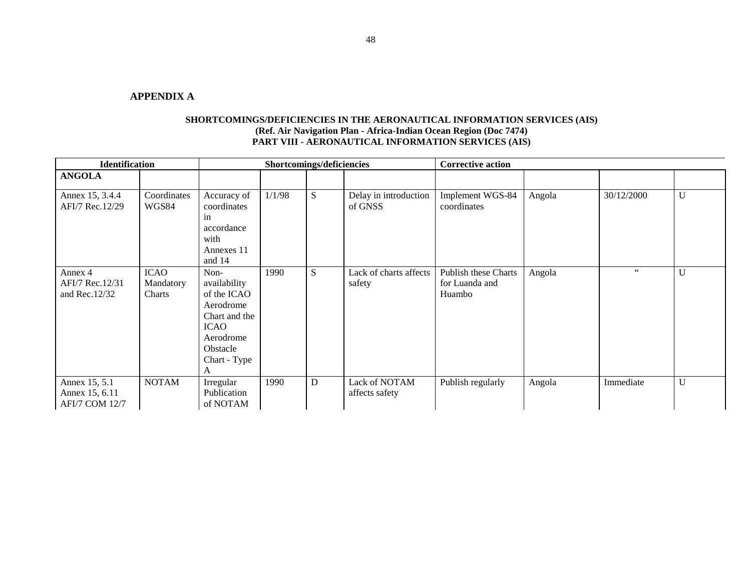#### **APPENDIX A**

| <b>Identification</b>                                    |                                    |                                                                                                                         | Shortcomings/deficiencies |   |                                  | <b>Corrective action</b>                                |        |            |   |
|----------------------------------------------------------|------------------------------------|-------------------------------------------------------------------------------------------------------------------------|---------------------------|---|----------------------------------|---------------------------------------------------------|--------|------------|---|
| <b>ANGOLA</b>                                            |                                    |                                                                                                                         |                           |   |                                  |                                                         |        |            |   |
| Annex 15, 3.4.4<br>AFI/7 Rec.12/29                       | Coordinates<br>WGS84               | Accuracy of<br>coordinates<br>in<br>accordance<br>with<br>Annexes 11<br>and 14                                          | 1/1/98                    | S | Delay in introduction<br>of GNSS | Implement WGS-84<br>coordinates                         | Angola | 30/12/2000 | U |
| Annex 4<br>AFI/7 Rec.12/31<br>and Rec. $12/32$           | <b>ICAO</b><br>Mandatory<br>Charts | Non-<br>availability<br>of the ICAO<br>Aerodrome<br>Chart and the<br>ICAO<br>Aerodrome<br>Obstacle<br>Chart - Type<br>A | 1990                      | S | Lack of charts affects<br>safety | <b>Publish these Charts</b><br>for Luanda and<br>Huambo | Angola | 66         | U |
| Annex 15, 5.1<br>Annex 15, 6.11<br><b>AFI/7 COM 12/7</b> | <b>NOTAM</b>                       | Irregular<br>Publication<br>of NOTAM                                                                                    | 1990                      | D | Lack of NOTAM<br>affects safety  | Publish regularly                                       | Angola | Immediate  | U |

### **SHORTCOMINGS/DEFICIENCIES IN THE AERONAUTICAL INFORMATION SERVICES (AIS) (Ref. Air Navigation Plan - Africa-Indian Ocean Region (Doc 7474) PART VIII - AERONAUTICAL INFORMATION SERVICES (AIS)**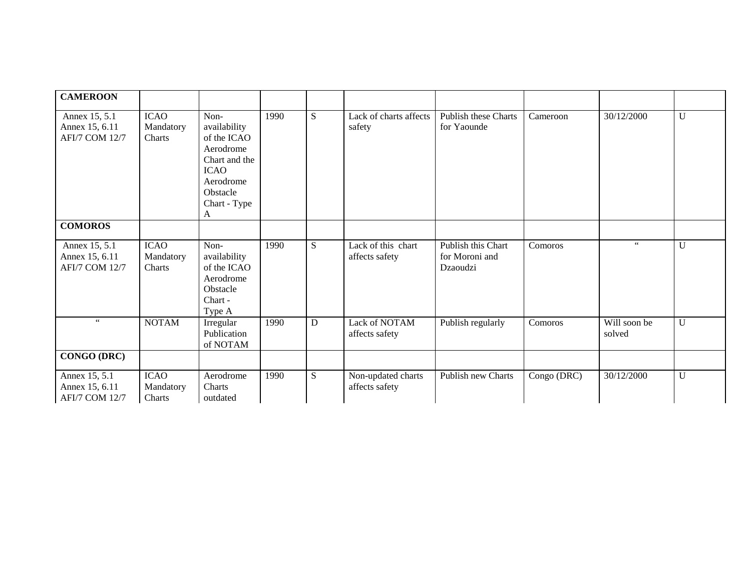| <b>CAMEROON</b>                                          |                                    |                                                                                                                                |      |           |                                      |                                                  |             |                        |             |
|----------------------------------------------------------|------------------------------------|--------------------------------------------------------------------------------------------------------------------------------|------|-----------|--------------------------------------|--------------------------------------------------|-------------|------------------------|-------------|
| Annex 15, 5.1<br>Annex 15, 6.11<br><b>AFI/7 COM 12/7</b> | <b>ICAO</b><br>Mandatory<br>Charts | Non-<br>availability<br>of the ICAO<br>Aerodrome<br>Chart and the<br><b>ICAO</b><br>Aerodrome<br>Obstacle<br>Chart - Type<br>A | 1990 | ${\bf S}$ | Lack of charts affects<br>safety     | Publish these Charts<br>for Yaounde              | Cameroon    | 30/12/2000             | $\mathbf U$ |
| <b>COMOROS</b>                                           |                                    |                                                                                                                                |      |           |                                      |                                                  |             |                        |             |
| Annex 15, 5.1<br>Annex 15, 6.11<br><b>AFI/7 COM 12/7</b> | <b>ICAO</b><br>Mandatory<br>Charts | Non-<br>availability<br>of the ICAO<br>Aerodrome<br>Obstacle<br>Chart -<br>Type A                                              | 1990 | ${\bf S}$ | Lack of this chart<br>affects safety | Publish this Chart<br>for Moroni and<br>Dzaoudzi | Comoros     | $66\,$                 | $\mathbf U$ |
| $\epsilon\,\epsilon$                                     | <b>NOTAM</b>                       | Irregular<br>Publication<br>of NOTAM                                                                                           | 1990 | D         | Lack of NOTAM<br>affects safety      | Publish regularly                                | Comoros     | Will soon be<br>solved | U           |
| CONGO (DRC)                                              |                                    |                                                                                                                                |      |           |                                      |                                                  |             |                        |             |
| Annex 15, 5.1<br>Annex 15, 6.11<br><b>AFI/7 COM 12/7</b> | <b>ICAO</b><br>Mandatory<br>Charts | Aerodrome<br>Charts<br>outdated                                                                                                | 1990 | S         | Non-updated charts<br>affects safety | Publish new Charts                               | Congo (DRC) | 30/12/2000             | U           |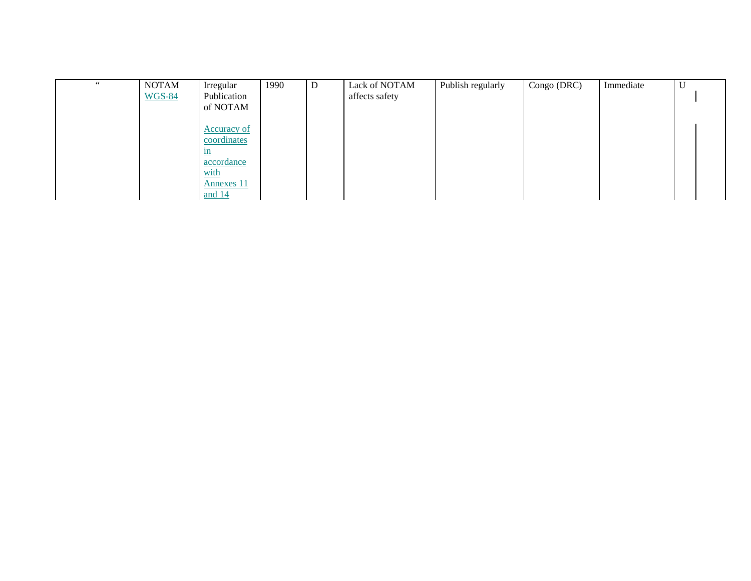| 66 | <b>NOTAM</b>  | Irregular         | 1990 | D | Lack of NOTAM  | Publish regularly | Congo (DRC) | Immediate | ◡ |  |
|----|---------------|-------------------|------|---|----------------|-------------------|-------------|-----------|---|--|
|    | <b>WGS-84</b> | Publication       |      |   | affects safety |                   |             |           |   |  |
|    |               | of NOTAM          |      |   |                |                   |             |           |   |  |
|    |               |                   |      |   |                |                   |             |           |   |  |
|    |               | Accuracy of       |      |   |                |                   |             |           |   |  |
|    |               | coordinates       |      |   |                |                   |             |           |   |  |
|    |               | 1n                |      |   |                |                   |             |           |   |  |
|    |               | accordance        |      |   |                |                   |             |           |   |  |
|    |               | with              |      |   |                |                   |             |           |   |  |
|    |               | <b>Annexes 11</b> |      |   |                |                   |             |           |   |  |
|    |               | and 14            |      |   |                |                   |             |           |   |  |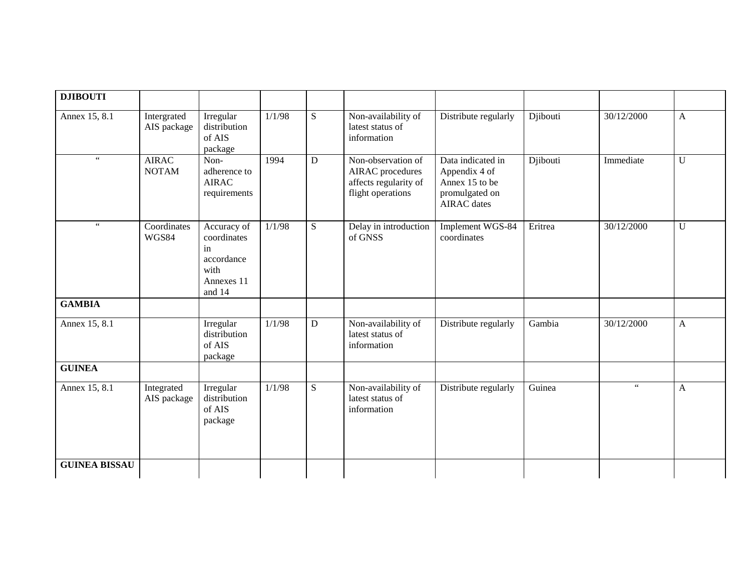| <b>DJIBOUTI</b>      |                              |                                                                                |        |             |                                                                                             |                                                                                              |          |                      |              |
|----------------------|------------------------------|--------------------------------------------------------------------------------|--------|-------------|---------------------------------------------------------------------------------------------|----------------------------------------------------------------------------------------------|----------|----------------------|--------------|
| Annex 15, 8.1        | Intergrated<br>AIS package   | Irregular<br>distribution<br>of AIS<br>package                                 | 1/1/98 | S           | Non-availability of<br>latest status of<br>information                                      | Distribute regularly                                                                         | Djibouti | 30/12/2000           | A            |
| $\epsilon\,\epsilon$ | <b>AIRAC</b><br><b>NOTAM</b> | Non-<br>adherence to<br><b>AIRAC</b><br>requirements                           | 1994   | $\mathbf D$ | Non-observation of<br><b>AIRAC</b> procedures<br>affects regularity of<br>flight operations | Data indicated in<br>Appendix 4 of<br>Annex 15 to be<br>promulgated on<br><b>AIRAC</b> dates | Djibouti | Immediate            | $\mathbf U$  |
| $\epsilon\,\epsilon$ | Coordinates<br>WGS84         | Accuracy of<br>coordinates<br>in<br>accordance<br>with<br>Annexes 11<br>and 14 | 1/1/98 | S           | Delay in introduction<br>of GNSS                                                            | Implement WGS-84<br>coordinates                                                              | Eritrea  | 30/12/2000           | $\mathbf U$  |
| <b>GAMBIA</b>        |                              |                                                                                |        |             |                                                                                             |                                                                                              |          |                      |              |
| Annex 15, 8.1        |                              | Irregular<br>distribution<br>of AIS<br>package                                 | 1/1/98 | ${\bf D}$   | Non-availability of<br>latest status of<br>information                                      | Distribute regularly                                                                         | Gambia   | 30/12/2000           | $\mathbf{A}$ |
| <b>GUINEA</b>        |                              |                                                                                |        |             |                                                                                             |                                                                                              |          |                      |              |
| Annex 15, 8.1        | Integrated<br>AIS package    | Irregular<br>distribution<br>of AIS<br>package                                 | 1/1/98 | S           | Non-availability of<br>latest status of<br>information                                      | Distribute regularly                                                                         | Guinea   | $\epsilon\,\epsilon$ | A            |
| <b>GUINEA BISSAU</b> |                              |                                                                                |        |             |                                                                                             |                                                                                              |          |                      |              |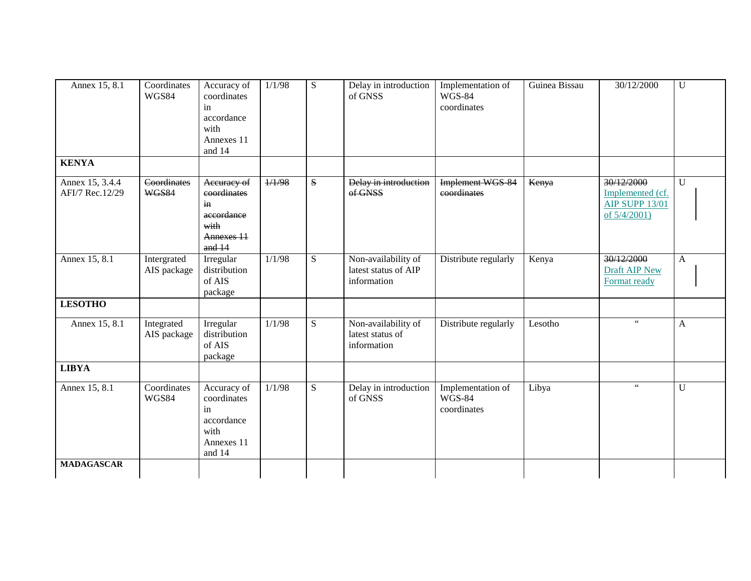| Annex 15, 8.1                      | Coordinates<br><b>WGS84</b> | Accuracy of<br>coordinates<br>in<br>accordance<br>with<br>Annexes 11<br>and 14   | 1/1/98 | ${\bf S}$ | Delay in introduction<br>of GNSS                           | Implementation of<br><b>WGS-84</b><br>coordinates | Guinea Bissau | 30/12/2000                                                              | $\overline{U}$ |
|------------------------------------|-----------------------------|----------------------------------------------------------------------------------|--------|-----------|------------------------------------------------------------|---------------------------------------------------|---------------|-------------------------------------------------------------------------|----------------|
| <b>KENYA</b>                       |                             |                                                                                  |        |           |                                                            |                                                   |               |                                                                         |                |
| Annex 15, 3.4.4<br>AFI/7 Rec.12/29 | Coordinates<br><b>WGS84</b> | Accuracy of<br>coordinates<br>in<br>accordance<br>with<br>Annexes 11<br>and $14$ | 1/1/98 | ${\bf S}$ | Delay in introduction<br>of GNSS                           | <b>Implement WGS 84</b><br>eoordinates            | Kenya         | 30/12/2000<br>Implemented (cf.<br><b>AIP SUPP 13/01</b><br>of 5/4/2001) | $\overline{U}$ |
| Annex 15, 8.1                      | Intergrated<br>AIS package  | Irregular<br>distribution<br>of AIS<br>package                                   | 1/1/98 | ${\bf S}$ | Non-availability of<br>latest status of AIP<br>information | Distribute regularly                              | Kenya         | 30/12/2000<br>Draft AIP New<br>Format ready                             | $\mathbf{A}$   |
| <b>LESOTHO</b>                     |                             |                                                                                  |        |           |                                                            |                                                   |               |                                                                         |                |
| Annex 15, 8.1                      | Integrated<br>AIS package   | Irregular<br>distribution<br>of AIS<br>package                                   | 1/1/98 | ${\bf S}$ | Non-availability of<br>latest status of<br>information     | Distribute regularly                              | Lesotho       | $66 -$                                                                  | $\mathbf{A}$   |
| <b>LIBYA</b>                       |                             |                                                                                  |        |           |                                                            |                                                   |               |                                                                         |                |
| Annex 15, 8.1                      | Coordinates<br><b>WGS84</b> | Accuracy of<br>coordinates<br>in<br>accordance<br>with<br>Annexes 11<br>and 14   | 1/1/98 | ${\bf S}$ | Delay in introduction<br>of GNSS                           | Implementation of<br><b>WGS-84</b><br>coordinates | Libya         | $\zeta\,\zeta$                                                          | $\mathbf U$    |
| <b>MADAGASCAR</b>                  |                             |                                                                                  |        |           |                                                            |                                                   |               |                                                                         |                |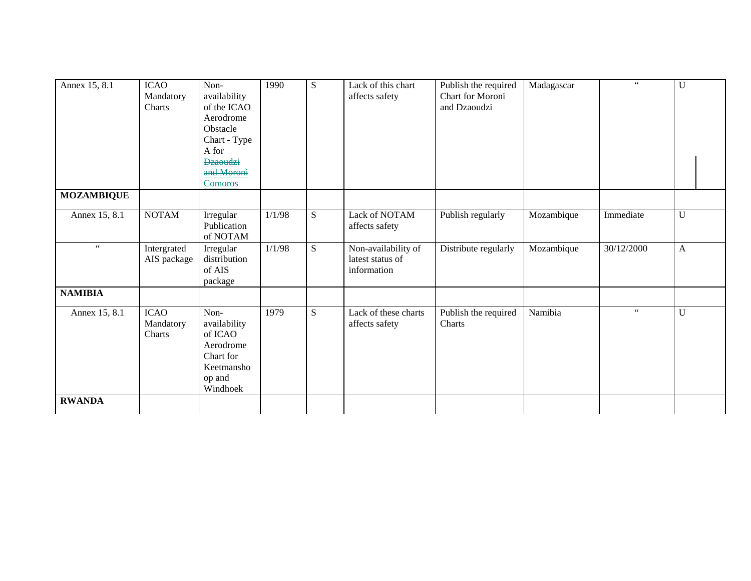| Annex 15, 8.1        | <b>ICAO</b><br>Mandatory<br>Charts | Non-<br>availability<br>of the ICAO<br>Aerodrome<br>Obstacle<br>Chart - Type<br>A for<br><b>Dzaoudzi</b><br>and Moroni<br><b>Comoros</b> | 1990   | ${\bf S}$ | Lack of this chart<br>affects safety                   | Publish the required<br>Chart for Moroni<br>and Dzaoudzi | Madagascar | $\epsilon\,\epsilon$ | U            |
|----------------------|------------------------------------|------------------------------------------------------------------------------------------------------------------------------------------|--------|-----------|--------------------------------------------------------|----------------------------------------------------------|------------|----------------------|--------------|
| <b>MOZAMBIQUE</b>    |                                    |                                                                                                                                          |        |           |                                                        |                                                          |            |                      |              |
| Annex 15, 8.1        | <b>NOTAM</b>                       | Irregular<br>Publication<br>of NOTAM                                                                                                     | 1/1/98 | S         | Lack of NOTAM<br>affects safety                        | Publish regularly                                        | Mozambique | Immediate            | $\mathbf U$  |
| $\epsilon\,\epsilon$ | Intergrated<br>AIS package         | Irregular<br>distribution<br>of AIS<br>package                                                                                           | 1/1/98 | ${\bf S}$ | Non-availability of<br>latest status of<br>information | Distribute regularly                                     | Mozambique | 30/12/2000           | $\mathbf{A}$ |
| <b>NAMIBIA</b>       |                                    |                                                                                                                                          |        |           |                                                        |                                                          |            |                      |              |
| Annex 15, 8.1        | <b>ICAO</b><br>Mandatory<br>Charts | Non-<br>availability<br>of ICAO<br>Aerodrome<br>Chart for<br>Keetmansho<br>op and<br>Windhoek                                            | 1979   | ${\bf S}$ | Lack of these charts<br>affects safety                 | Publish the required<br>Charts                           | Namibia    | $\epsilon\,\epsilon$ | $\mathbf U$  |
| <b>RWANDA</b>        |                                    |                                                                                                                                          |        |           |                                                        |                                                          |            |                      |              |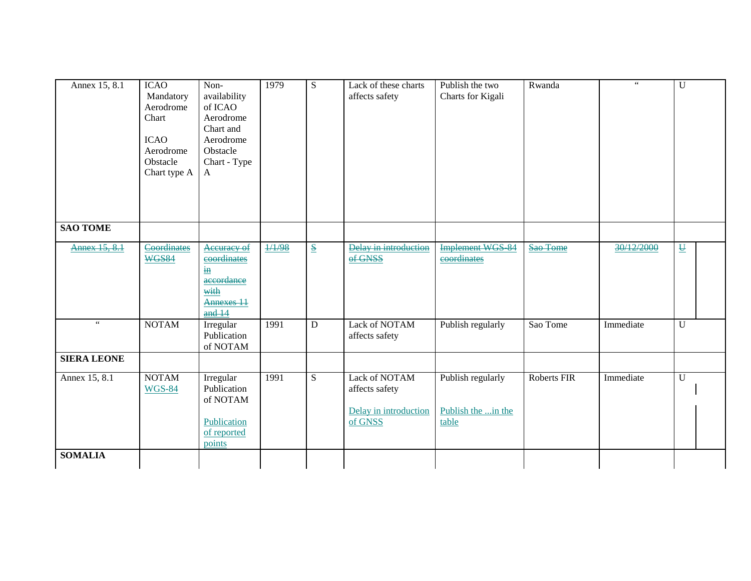| Annex 15, 8.1        | <b>ICAO</b><br>Mandatory<br>Aerodrome<br>Chart<br><b>ICAO</b><br>Aerodrome<br>Obstacle<br>Chart type A | Non-<br>availability<br>of ICAO<br>Aerodrome<br>Chart and<br>Aerodrome<br>Obstacle<br>Chart - Type<br>A | 1979   | S                                    | Lack of these charts<br>affects safety                              | Publish the two<br>Charts for Kigali             | Rwanda      | $\zeta\,\zeta$ | U                                    |
|----------------------|--------------------------------------------------------------------------------------------------------|---------------------------------------------------------------------------------------------------------|--------|--------------------------------------|---------------------------------------------------------------------|--------------------------------------------------|-------------|----------------|--------------------------------------|
| <b>SAO TOME</b>      |                                                                                                        |                                                                                                         |        |                                      |                                                                     |                                                  |             |                |                                      |
| Annex 15, 8.1        | Coordinates<br><b>WGS84</b>                                                                            | Accuracy of<br>coordinates<br>$\underline{\textbf{in}}$<br>accordance<br>with<br>Annexes 11<br>and 14   | 1/1/98 | $\underline{\underline{\mathbf{S}}}$ | Delay in introduction<br>of GNSS                                    | <b>Implement WGS 84</b><br>eoordinates           | Sao Tome    | 30/12/2000     | $\underline{\underline{\mathsf{U}}}$ |
| $\epsilon\,\epsilon$ | <b>NOTAM</b>                                                                                           | Irregular<br>Publication<br>of NOTAM                                                                    | 1991   | D                                    | Lack of NOTAM<br>affects safety                                     | Publish regularly                                | Sao Tome    | Immediate      | $\overline{U}$                       |
| <b>SIERA LEONE</b>   |                                                                                                        |                                                                                                         |        |                                      |                                                                     |                                                  |             |                |                                      |
| Annex 15, 8.1        | <b>NOTAM</b><br><b>WGS-84</b>                                                                          | Irregular<br>Publication<br>of NOTAM<br>Publication<br>of reported<br>points                            | 1991   | ${\bf S}$                            | Lack of NOTAM<br>affects safety<br>Delay in introduction<br>of GNSS | Publish regularly<br>Publish the in the<br>table | Roberts FIR | Immediate      | $\overline{U}$                       |
| <b>SOMALIA</b>       |                                                                                                        |                                                                                                         |        |                                      |                                                                     |                                                  |             |                |                                      |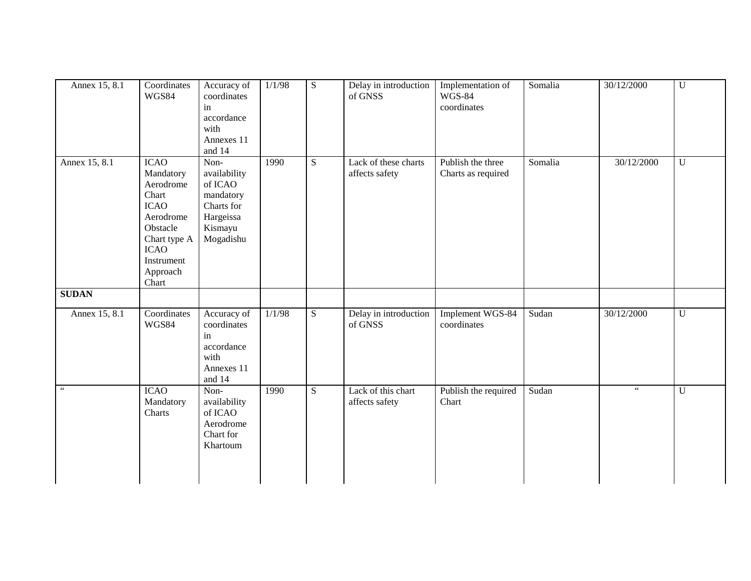| Annex 15, 8.1 | Coordinates<br><b>WGS84</b>                                                                                                                              | Accuracy of<br>coordinates<br>in<br>accordance<br>with<br>Annexes 11<br>and 14                  | 1/1/98 | S | Delay in introduction<br>of GNSS       | Implementation of<br>$\overline{W}$ GS-84<br>coordinates | Somalia | 30/12/2000           | U              |
|---------------|----------------------------------------------------------------------------------------------------------------------------------------------------------|-------------------------------------------------------------------------------------------------|--------|---|----------------------------------------|----------------------------------------------------------|---------|----------------------|----------------|
| Annex 15, 8.1 | <b>ICAO</b><br>Mandatory<br>Aerodrome<br>Chart<br><b>ICAO</b><br>Aerodrome<br>Obstacle<br>Chart type A<br><b>ICAO</b><br>Instrument<br>Approach<br>Chart | Non-<br>availability<br>of ICAO<br>mandatory<br>Charts for<br>Hargeissa<br>Kismayu<br>Mogadishu | 1990   | S | Lack of these charts<br>affects safety | Publish the three<br>Charts as required                  | Somalia | 30/12/2000           | $\overline{U}$ |
| <b>SUDAN</b>  |                                                                                                                                                          |                                                                                                 |        |   |                                        |                                                          |         |                      |                |
| Annex 15, 8.1 | Coordinates<br>WGS84                                                                                                                                     | Accuracy of<br>coordinates<br>in<br>accordance<br>with<br>Annexes 11<br>and 14                  | 1/1/98 | S | Delay in introduction<br>of GNSS       | Implement WGS-84<br>coordinates                          | Sudan   | 30/12/2000           | $\overline{U}$ |
|               | <b>ICAO</b><br>Mandatory<br>Charts                                                                                                                       | Non-<br>availability<br>of ICAO<br>Aerodrome<br>Chart for<br>Khartoum                           | 1990   | S | Lack of this chart<br>affects safety   | Publish the required<br>Chart                            | Sudan   | $\epsilon\,\epsilon$ | $\overline{U}$ |